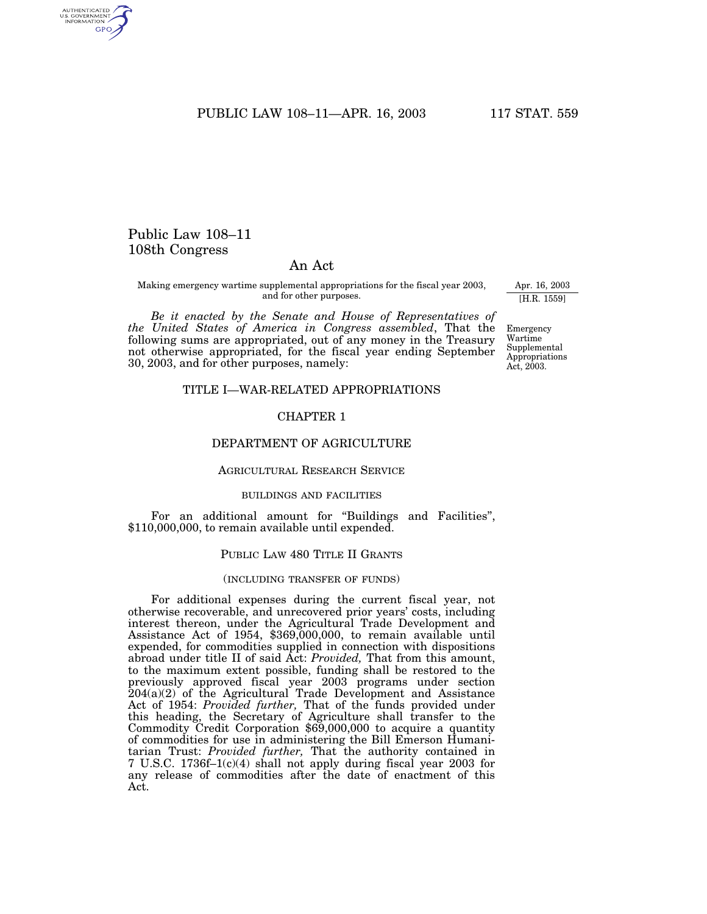PUBLIC LAW 108-11-APR. 16, 2003 117 STAT. 559

# Public Law 108–11 108th Congress

AUTHENTICATED<br>U.S. GOVERNMENT<br>INFORMATION GPO

## An Act

Making emergency wartime supplemental appropriations for the fiscal year 2003, and for other purposes.

*Be it enacted by the Senate and House of Representatives of the United States of America in Congress assembled*, That the following sums are appropriated, out of any money in the Treasury not otherwise appropriated, for the fiscal year ending September 30, 2003, and for other purposes, namely:

## Apr. 16, 2003 [H.R. 1559]

Emergency Wartime Supplemental Appropriations Act, 2003.

### TITLE I—WAR-RELATED APPROPRIATIONS

### CHAPTER 1

## DEPARTMENT OF AGRICULTURE

## AGRICULTURAL RESEARCH SERVICE

### BUILDINGS AND FACILITIES

For an additional amount for ''Buildings and Facilities'', \$110,000,000, to remain available until expended.

#### PUBLIC LAW 480 TITLE II GRANTS

#### (INCLUDING TRANSFER OF FUNDS)

For additional expenses during the current fiscal year, not otherwise recoverable, and unrecovered prior years' costs, including interest thereon, under the Agricultural Trade Development and Assistance Act of 1954, \$369,000,000, to remain available until expended, for commodities supplied in connection with dispositions abroad under title II of said Act: *Provided,* That from this amount, to the maximum extent possible, funding shall be restored to the previously approved fiscal year 2003 programs under section 204(a)(2) of the Agricultural Trade Development and Assistance Act of 1954: *Provided further,* That of the funds provided under this heading, the Secretary of Agriculture shall transfer to the Commodity Credit Corporation \$69,000,000 to acquire a quantity of commodities for use in administering the Bill Emerson Humanitarian Trust: *Provided further,* That the authority contained in 7 U.S.C. 1736f–1(c)(4) shall not apply during fiscal year 2003 for any release of commodities after the date of enactment of this Act.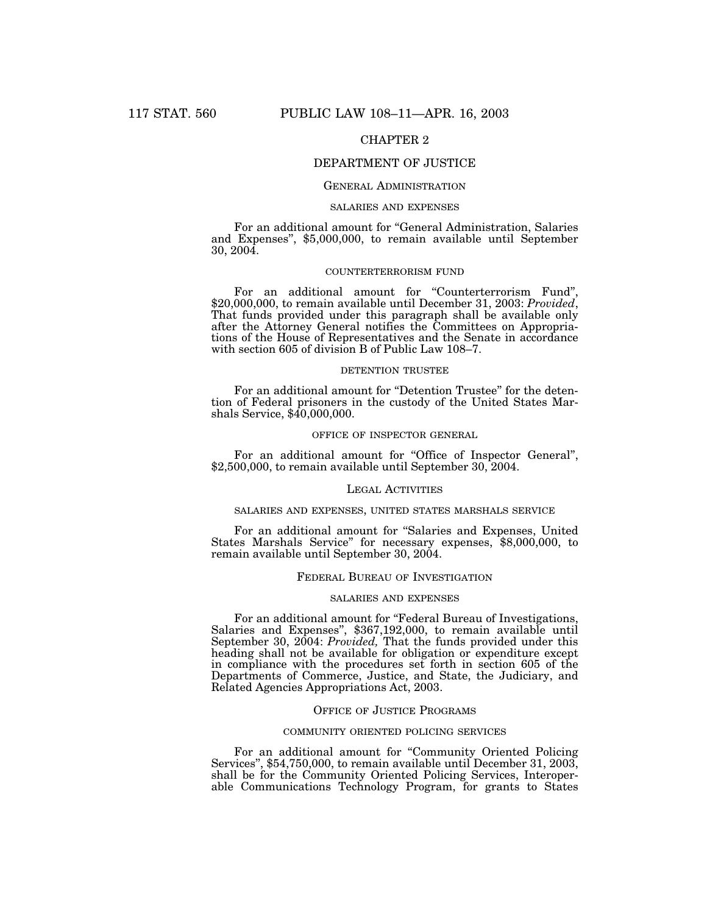## CHAPTER 2

## DEPARTMENT OF JUSTICE

## GENERAL ADMINISTRATION

#### SALARIES AND EXPENSES

For an additional amount for ''General Administration, Salaries and Expenses'', \$5,000,000, to remain available until September 30, 2004.

### COUNTERTERRORISM FUND

For an additional amount for "Counterterrorism Fund" \$20,000,000, to remain available until December 31, 2003: *Provided*, That funds provided under this paragraph shall be available only after the Attorney General notifies the Committees on Appropriations of the House of Representatives and the Senate in accordance with section 605 of division B of Public Law 108–7.

#### DETENTION TRUSTEE

For an additional amount for "Detention Trustee" for the detention of Federal prisoners in the custody of the United States Marshals Service, \$40,000,000.

### OFFICE OF INSPECTOR GENERAL

For an additional amount for "Office of Inspector General", \$2,500,000, to remain available until September 30, 2004.

#### LEGAL ACTIVITIES

#### SALARIES AND EXPENSES, UNITED STATES MARSHALS SERVICE

For an additional amount for ''Salaries and Expenses, United States Marshals Service'' for necessary expenses, \$8,000,000, to remain available until September 30, 2004.

### FEDERAL BUREAU OF INVESTIGATION

### SALARIES AND EXPENSES

For an additional amount for ''Federal Bureau of Investigations, Salaries and Expenses'', \$367,192,000, to remain available until September 30, 2004: *Provided,* That the funds provided under this heading shall not be available for obligation or expenditure except in compliance with the procedures set forth in section 605 of the Departments of Commerce, Justice, and State, the Judiciary, and Related Agencies Appropriations Act, 2003.

### OFFICE OF JUSTICE PROGRAMS

### COMMUNITY ORIENTED POLICING SERVICES

For an additional amount for "Community Oriented Policing" Services'', \$54,750,000, to remain available until December 31, 2003, shall be for the Community Oriented Policing Services, Interoperable Communications Technology Program, for grants to States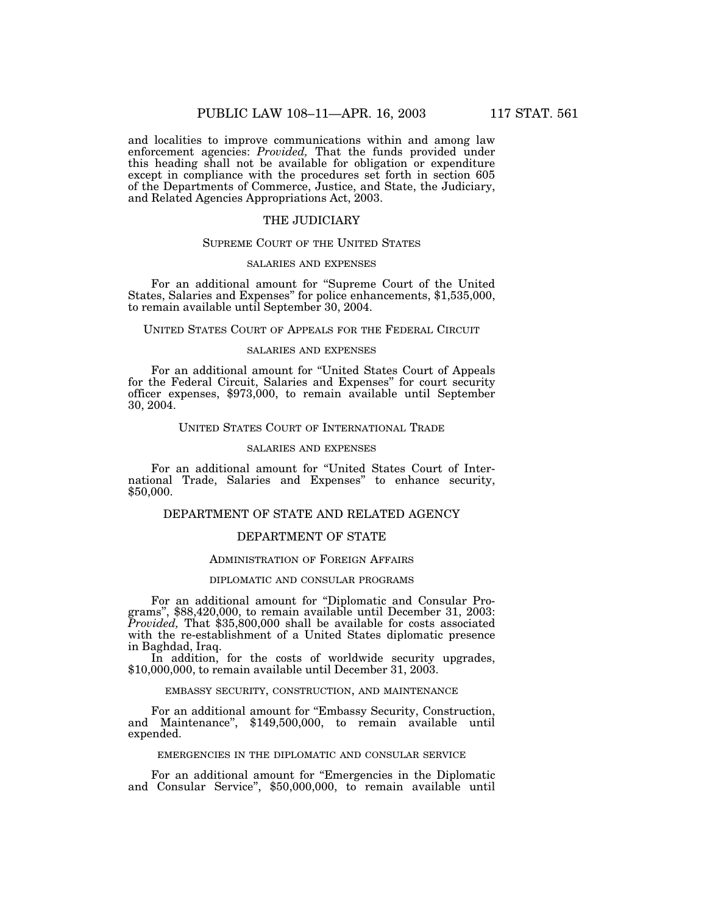and localities to improve communications within and among law enforcement agencies: *Provided,* That the funds provided under this heading shall not be available for obligation or expenditure except in compliance with the procedures set forth in section 605 of the Departments of Commerce, Justice, and State, the Judiciary, and Related Agencies Appropriations Act, 2003.

## THE JUDICIARY

### SUPREME COURT OF THE UNITED STATES

#### SALARIES AND EXPENSES

For an additional amount for ''Supreme Court of the United States, Salaries and Expenses'' for police enhancements, \$1,535,000, to remain available until September 30, 2004.

## UNITED STATES COURT OF APPEALS FOR THE FEDERAL CIRCUIT

### SALARIES AND EXPENSES

For an additional amount for ''United States Court of Appeals for the Federal Circuit, Salaries and Expenses'' for court security officer expenses, \$973,000, to remain available until September 30, 2004.

## UNITED STATES COURT OF INTERNATIONAL TRADE

#### SALARIES AND EXPENSES

For an additional amount for ''United States Court of International Trade, Salaries and Expenses'' to enhance security, \$50,000.

## DEPARTMENT OF STATE AND RELATED AGENCY

## DEPARTMENT OF STATE

### ADMINISTRATION OF FOREIGN AFFAIRS

### DIPLOMATIC AND CONSULAR PROGRAMS

For an additional amount for "Diplomatic and Consular Pro-<br>grams", \$88,420,000, to remain available until December 31, 2003: *Provided,* That \$35,800,000 shall be available for costs associated with the re-establishment of a United States diplomatic presence in Baghdad, Iraq.

In addition, for the costs of worldwide security upgrades, \$10,000,000, to remain available until December 31, 2003.

#### EMBASSY SECURITY, CONSTRUCTION, AND MAINTENANCE

For an additional amount for "Embassy Security, Construction, and Maintenance'', \$149,500,000, to remain available until expended.

### EMERGENCIES IN THE DIPLOMATIC AND CONSULAR SERVICE

For an additional amount for ''Emergencies in the Diplomatic and Consular Service'', \$50,000,000, to remain available until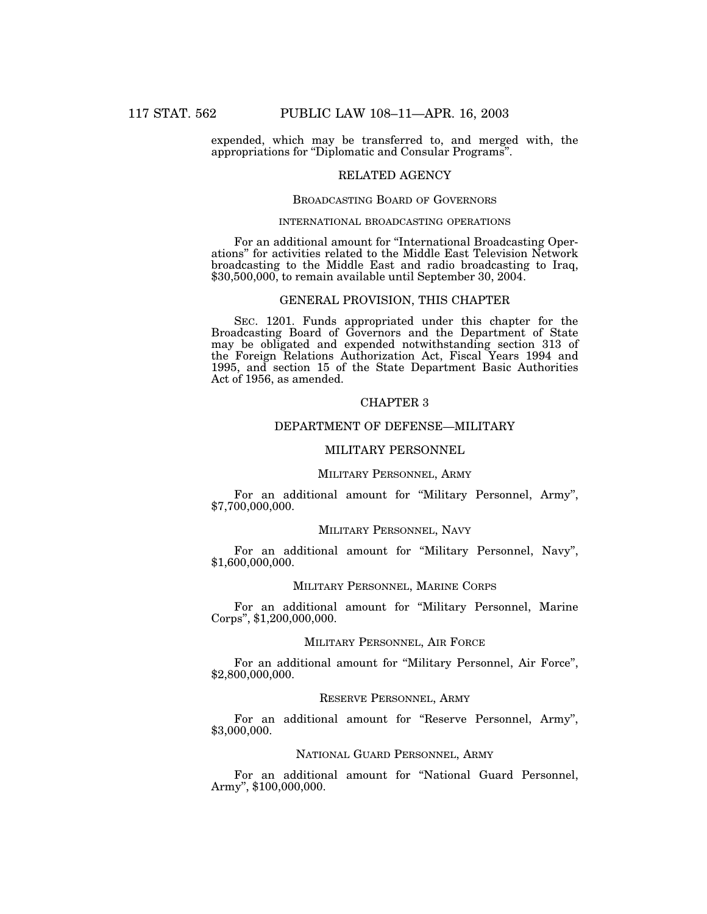expended, which may be transferred to, and merged with, the appropriations for ''Diplomatic and Consular Programs''.

## RELATED AGENCY

### BROADCASTING BOARD OF GOVERNORS

### INTERNATIONAL BROADCASTING OPERATIONS

For an additional amount for ''International Broadcasting Operations'' for activities related to the Middle East Television Network broadcasting to the Middle East and radio broadcasting to Iraq, \$30,500,000, to remain available until September 30, 2004.

## GENERAL PROVISION, THIS CHAPTER

SEC. 1201. Funds appropriated under this chapter for the Broadcasting Board of Governors and the Department of State may be obligated and expended notwithstanding section 313 of the Foreign Relations Authorization Act, Fiscal Years 1994 and 1995, and section 15 of the State Department Basic Authorities Act of 1956, as amended.

### CHAPTER 3

## DEPARTMENT OF DEFENSE—MILITARY

## MILITARY PERSONNEL

### MILITARY PERSONNEL, ARMY

For an additional amount for ''Military Personnel, Army'', \$7,700,000,000.

#### MILITARY PERSONNEL, NAVY

For an additional amount for ''Military Personnel, Navy'', \$1,600,000,000.

#### MILITARY PERSONNEL, MARINE CORPS

For an additional amount for ''Military Personnel, Marine Corps'', \$1,200,000,000.

### MILITARY PERSONNEL, AIR FORCE

For an additional amount for ''Military Personnel, Air Force'', \$2,800,000,000.

## RESERVE PERSONNEL, ARMY

For an additional amount for "Reserve Personnel, Army", \$3,000,000.

### NATIONAL GUARD PERSONNEL, ARMY

For an additional amount for ''National Guard Personnel, Army'', \$100,000,000.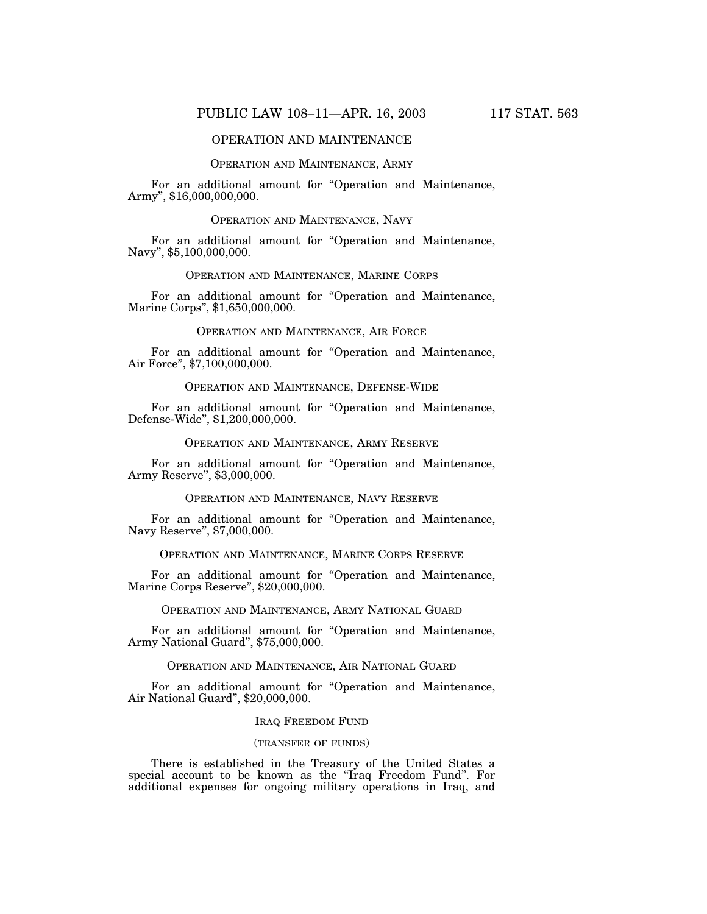### OPERATION AND MAINTENANCE

## OPERATION AND MAINTENANCE, ARMY

For an additional amount for "Operation and Maintenance, Army'', \$16,000,000,000.

### OPERATION AND MAINTENANCE, NAVY

For an additional amount for "Operation and Maintenance, Navy'', \$5,100,000,000.

## OPERATION AND MAINTENANCE, MARINE CORPS

For an additional amount for "Operation and Maintenance, Marine Corps'', \$1,650,000,000.

### OPERATION AND MAINTENANCE, AIR FORCE

For an additional amount for "Operation and Maintenance, Air Force'', \$7,100,000,000.

## OPERATION AND MAINTENANCE, DEFENSE-WIDE

For an additional amount for "Operation and Maintenance, Defense-Wide'', \$1,200,000,000.

#### OPERATION AND MAINTENANCE, ARMY RESERVE

For an additional amount for "Operation and Maintenance, Army Reserve'', \$3,000,000.

### OPERATION AND MAINTENANCE, NAVY RESERVE

For an additional amount for "Operation and Maintenance, Navy Reserve'', \$7,000,000.

### OPERATION AND MAINTENANCE, MARINE CORPS RESERVE

For an additional amount for "Operation and Maintenance, Marine Corps Reserve'', \$20,000,000.

## OPERATION AND MAINTENANCE, ARMY NATIONAL GUARD

For an additional amount for "Operation and Maintenance, Army National Guard'', \$75,000,000.

## OPERATION AND MAINTENANCE, AIR NATIONAL GUARD

For an additional amount for "Operation and Maintenance, Air National Guard", \$20,000,000.

#### IRAQ FREEDOM FUND

### (TRANSFER OF FUNDS)

There is established in the Treasury of the United States a special account to be known as the "Iraq Freedom Fund". For additional expenses for ongoing military operations in Iraq, and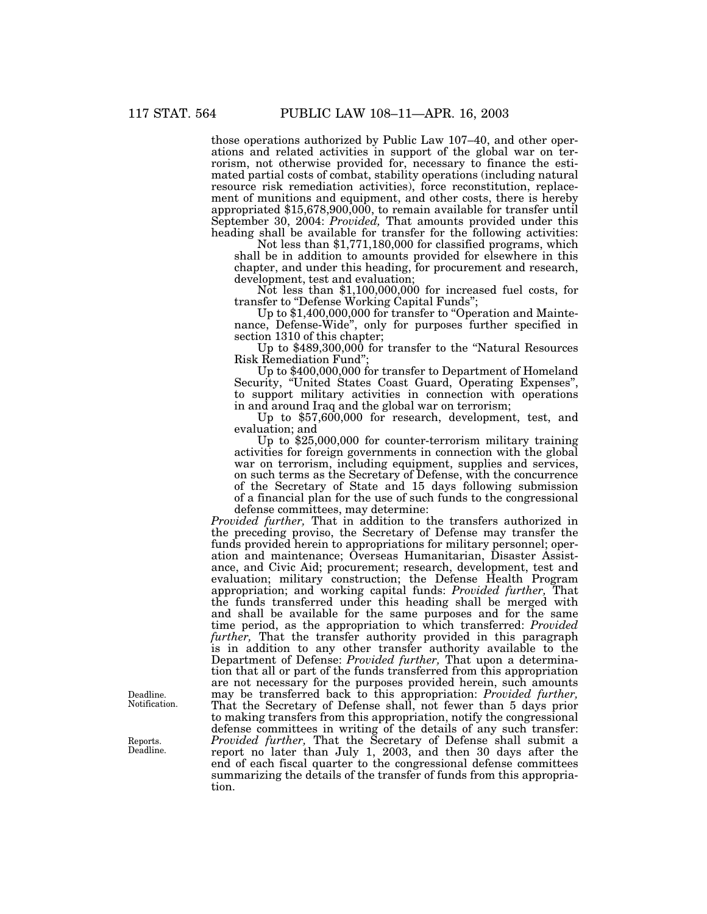those operations authorized by Public Law 107–40, and other operations and related activities in support of the global war on terrorism, not otherwise provided for, necessary to finance the estimated partial costs of combat, stability operations (including natural resource risk remediation activities), force reconstitution, replacement of munitions and equipment, and other costs, there is hereby appropriated \$15,678,900,000, to remain available for transfer until September 30, 2004: *Provided,* That amounts provided under this heading shall be available for transfer for the following activities:

Not less than \$1,771,180,000 for classified programs, which shall be in addition to amounts provided for elsewhere in this chapter, and under this heading, for procurement and research, development, test and evaluation;

Not less than \$1,100,000,000 for increased fuel costs, for transfer to "Defense Working Capital Funds";

Up to \$1,400,000,000 for transfer to "Operation and Maintenance, Defense-Wide'', only for purposes further specified in section 1310 of this chapter;

Up to \$489,300,000 for transfer to the ''Natural Resources Risk Remediation Fund'';

Up to \$400,000,000 for transfer to Department of Homeland Security, "United States Coast Guard, Operating Expenses", to support military activities in connection with operations in and around Iraq and the global war on terrorism;

Up to \$57,600,000 for research, development, test, and evaluation; and

Up to \$25,000,000 for counter-terrorism military training activities for foreign governments in connection with the global war on terrorism, including equipment, supplies and services, on such terms as the Secretary of Defense, with the concurrence of the Secretary of State and 15 days following submission of a financial plan for the use of such funds to the congressional defense committees, may determine:

*Provided further,* That in addition to the transfers authorized in the preceding proviso, the Secretary of Defense may transfer the funds provided herein to appropriations for military personnel; operation and maintenance; Overseas Humanitarian, Disaster Assistance, and Civic Aid; procurement; research, development, test and evaluation; military construction; the Defense Health Program appropriation; and working capital funds: *Provided further,* That the funds transferred under this heading shall be merged with and shall be available for the same purposes and for the same time period, as the appropriation to which transferred: *Provided further,* That the transfer authority provided in this paragraph is in addition to any other transfer authority available to the Department of Defense: *Provided further,* That upon a determination that all or part of the funds transferred from this appropriation are not necessary for the purposes provided herein, such amounts may be transferred back to this appropriation: *Provided further,* That the Secretary of Defense shall, not fewer than 5 days prior to making transfers from this appropriation, notify the congressional defense committees in writing of the details of any such transfer: *Provided further,* That the Secretary of Defense shall submit a report no later than July 1, 2003, and then 30 days after the end of each fiscal quarter to the congressional defense committees summarizing the details of the transfer of funds from this appropriation.

Deadline. Notification.

Reports. Deadline.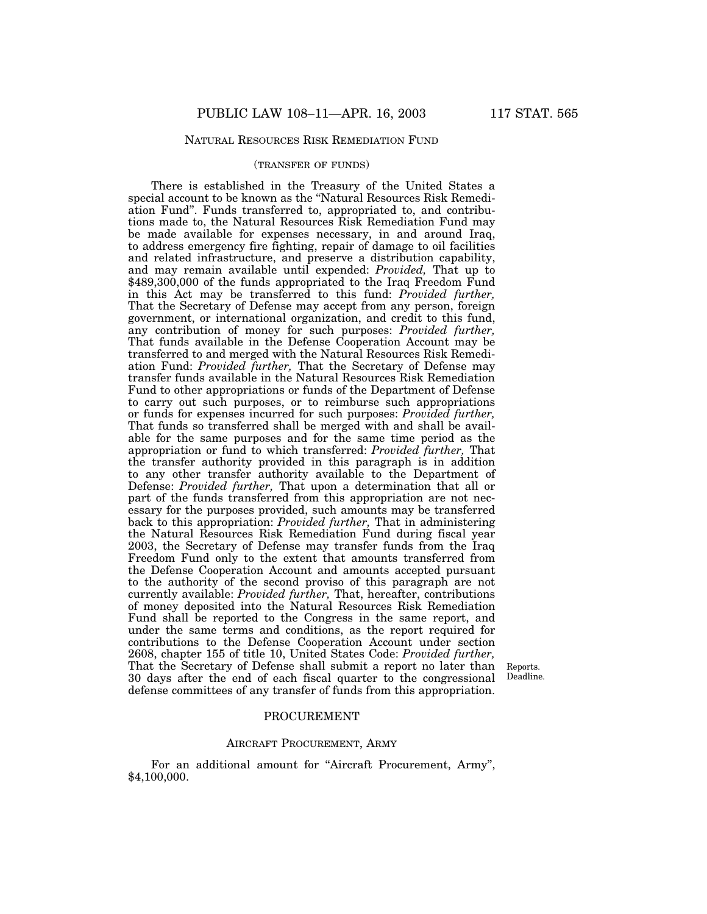## NATURAL RESOURCES RISK REMEDIATION FUND

### (TRANSFER OF FUNDS)

There is established in the Treasury of the United States a special account to be known as the "Natural Resources Risk Remediation Fund''. Funds transferred to, appropriated to, and contributions made to, the Natural Resources Risk Remediation Fund may be made available for expenses necessary, in and around Iraq, to address emergency fire fighting, repair of damage to oil facilities and related infrastructure, and preserve a distribution capability, and may remain available until expended: *Provided,* That up to \$489,300,000 of the funds appropriated to the Iraq Freedom Fund in this Act may be transferred to this fund: *Provided further,* That the Secretary of Defense may accept from any person, foreign government, or international organization, and credit to this fund, any contribution of money for such purposes: *Provided further,* That funds available in the Defense Cooperation Account may be transferred to and merged with the Natural Resources Risk Remediation Fund: *Provided further,* That the Secretary of Defense may transfer funds available in the Natural Resources Risk Remediation Fund to other appropriations or funds of the Department of Defense to carry out such purposes, or to reimburse such appropriations or funds for expenses incurred for such purposes: *Provided further,* That funds so transferred shall be merged with and shall be available for the same purposes and for the same time period as the appropriation or fund to which transferred: *Provided further,* That the transfer authority provided in this paragraph is in addition to any other transfer authority available to the Department of Defense: *Provided further,* That upon a determination that all or part of the funds transferred from this appropriation are not necessary for the purposes provided, such amounts may be transferred back to this appropriation: *Provided further,* That in administering the Natural Resources Risk Remediation Fund during fiscal year 2003, the Secretary of Defense may transfer funds from the Iraq Freedom Fund only to the extent that amounts transferred from the Defense Cooperation Account and amounts accepted pursuant to the authority of the second proviso of this paragraph are not currently available: *Provided further,* That, hereafter, contributions of money deposited into the Natural Resources Risk Remediation Fund shall be reported to the Congress in the same report, and under the same terms and conditions, as the report required for contributions to the Defense Cooperation Account under section 2608, chapter 155 of title 10, United States Code: *Provided further,* That the Secretary of Defense shall submit a report no later than 30 days after the end of each fiscal quarter to the congressional defense committees of any transfer of funds from this appropriation.

Reports. Deadline.

### PROCUREMENT

## AIRCRAFT PROCUREMENT, ARMY

For an additional amount for "Aircraft Procurement, Army", \$4,100,000.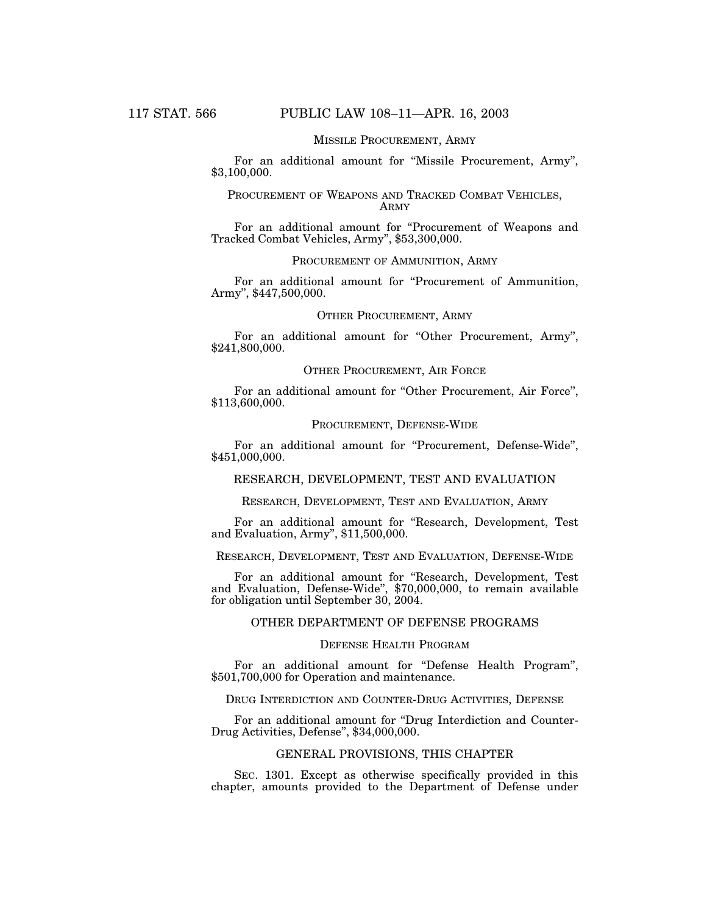## MISSILE PROCUREMENT, ARMY

For an additional amount for ''Missile Procurement, Army'', \$3,100,000.

### PROCUREMENT OF WEAPONS AND TRACKED COMBAT VEHICLES, ARMY

For an additional amount for "Procurement of Weapons and Tracked Combat Vehicles, Army'', \$53,300,000.

### PROCUREMENT OF AMMUNITION, ARMY

For an additional amount for "Procurement of Ammunition, Army'', \$447,500,000.

#### OTHER PROCUREMENT, ARMY

For an additional amount for "Other Procurement, Army", \$241,800,000.

## OTHER PROCUREMENT, AIR FORCE

For an additional amount for "Other Procurement, Air Force", \$113,600,000.

## PROCUREMENT, DEFENSE-WIDE

For an additional amount for "Procurement, Defense-Wide", \$451,000,000.

## RESEARCH, DEVELOPMENT, TEST AND EVALUATION

RESEARCH, DEVELOPMENT, TEST AND EVALUATION, ARMY

For an additional amount for ''Research, Development, Test and Evaluation, Army'', \$11,500,000.

### RESEARCH, DEVELOPMENT, TEST AND EVALUATION, DEFENSE-WIDE

For an additional amount for ''Research, Development, Test and Evaluation, Defense-Wide'', \$70,000,000, to remain available for obligation until September 30, 2004.

## OTHER DEPARTMENT OF DEFENSE PROGRAMS

### DEFENSE HEALTH PROGRAM

For an additional amount for "Defense Health Program", \$501,700,000 for Operation and maintenance.

### DRUG INTERDICTION AND COUNTER-DRUG ACTIVITIES, DEFENSE

For an additional amount for "Drug Interdiction and Counter-Drug Activities, Defense'', \$34,000,000.

## GENERAL PROVISIONS, THIS CHAPTER

SEC. 1301. Except as otherwise specifically provided in this chapter, amounts provided to the Department of Defense under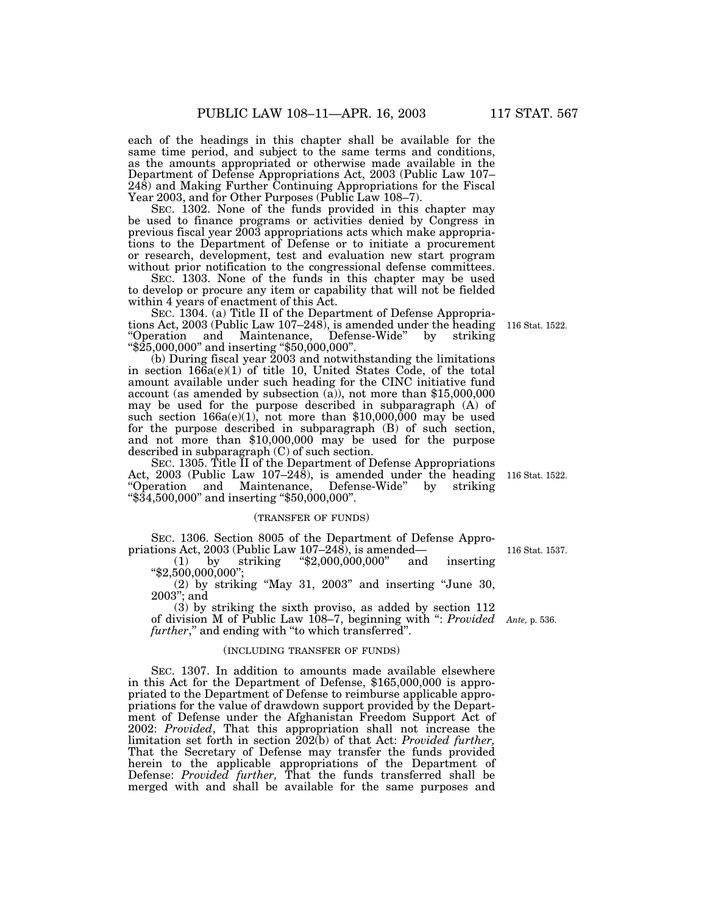each of the headings in this chapter shall be available for the same time period, and subject to the same terms and conditions, as the amounts appropriated or otherwise made available in the Department of Defense Appropriations Act, 2003 (Public Law 107– 248) and Making Further Continuing Appropriations for the Fiscal Year 2003, and for Other Purposes (Public Law 108–7).

SEC. 1302. None of the funds provided in this chapter may be used to finance programs or activities denied by Congress in previous fiscal year 2003 appropriations acts which make appropriations to the Department of Defense or to initiate a procurement or research, development, test and evaluation new start program without prior notification to the congressional defense committees.

SEC. 1303. None of the funds in this chapter may be used to develop or procure any item or capability that will not be fielded within 4 years of enactment of this Act.

SEC. 1304. (a) Title II of the Department of Defense Appropriations Act, 2003 (Public Law 107–248), is amended under the heading "Operation and Maintenance, Defense-Wide" by striking ''\$25,000,000'' and inserting ''\$50,000,000''.

(b) During fiscal year 2003 and notwithstanding the limitations in section 166a(e)(1) of title 10, United States Code, of the total amount available under such heading for the CINC initiative fund account (as amended by subsection (a)), not more than \$15,000,000 may be used for the purpose described in subparagraph (A) of such section  $166a(e)(1)$ , not more than \$10,000,000 may be used for the purpose described in subparagraph (B) of such section, and not more than \$10,000,000 may be used for the purpose described in subparagraph (C) of such section.

SEC. 1305. Title II of the Department of Defense Appropriations Act, 2003 (Public Law 107–248), is amended under the heading "Operation and Maintenance, Defense-Wide" by striking and Maintenance, Defense-Wide" by striking ''\$34,500,000'' and inserting ''\$50,000,000''.

### (TRANSFER OF FUNDS)

SEC. 1306. Section 8005 of the Department of Defense Appro-

priations Act, 2003 (Public Law 107–248), is amended—<br>
(1) by striking "\$2,000,000,000" and inserting ''\$2,500,000,000";

 $(2)$  by striking "May 31, 2003" and inserting "June 30, 2003''; and

(3) by striking the sixth proviso, as added by section 112 of division M of Public Law 108–7, beginning with '': *Provided Ante,* p. 536. *further*," and ending with "to which transferred".

### (INCLUDING TRANSFER OF FUNDS)

SEC. 1307. In addition to amounts made available elsewhere in this Act for the Department of Defense, \$165,000,000 is appropriated to the Department of Defense to reimburse applicable appropriations for the value of drawdown support provided by the Department of Defense under the Afghanistan Freedom Support Act of 2002: *Provided*, That this appropriation shall not increase the limitation set forth in section 202(b) of that Act: *Provided further,* That the Secretary of Defense may transfer the funds provided herein to the applicable appropriations of the Department of Defense: *Provided further,* That the funds transferred shall be merged with and shall be available for the same purposes and

116 Stat. 1522.

116 Stat. 1537.

116 Stat. 1522.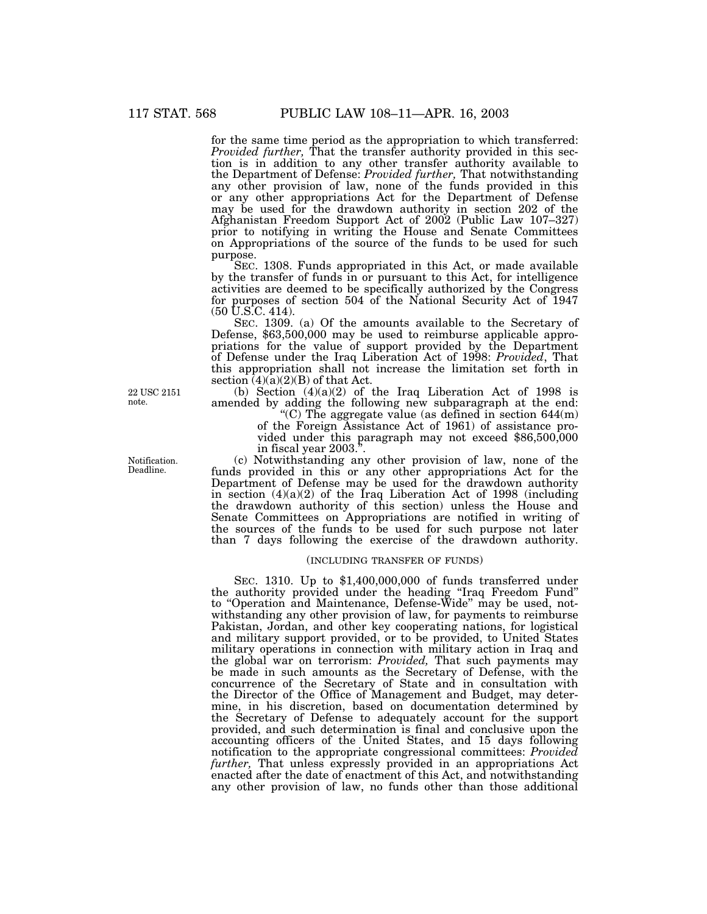for the same time period as the appropriation to which transferred: *Provided further,* That the transfer authority provided in this section is in addition to any other transfer authority available to the Department of Defense: *Provided further,* That notwithstanding any other provision of law, none of the funds provided in this or any other appropriations Act for the Department of Defense may be used for the drawdown authority in section 202 of the Afghanistan Freedom Support Act of 2002 (Public Law 107–327) prior to notifying in writing the House and Senate Committees on Appropriations of the source of the funds to be used for such purpose.

SEC. 1308. Funds appropriated in this Act, or made available by the transfer of funds in or pursuant to this Act, for intelligence activities are deemed to be specifically authorized by the Congress for purposes of section 504 of the National Security Act of 1947 (50 U.S.C. 414).

SEC. 1309. (a) Of the amounts available to the Secretary of Defense, \$63,500,000 may be used to reimburse applicable appropriations for the value of support provided by the Department of Defense under the Iraq Liberation Act of 1998: *Provided*, That this appropriation shall not increase the limitation set forth in section  $(4)(a)(2)(B)$  of that Act.

(b) Section  $(4)(a)(2)$  of the Iraq Liberation Act of 1998 is amended by adding the following new subparagraph at the end:

 $(C)$  The aggregate value (as defined in section 644 $(m)$ ) of the Foreign Assistance Act of 1961) of assistance provided under this paragraph may not exceed \$86,500,000 in fiscal year 2003.''.

(c) Notwithstanding any other provision of law, none of the funds provided in this or any other appropriations Act for the Department of Defense may be used for the drawdown authority in section  $(4)(a)(2)$  of the Iraq Liberation Act of 1998 (including the drawdown authority of this section) unless the House and Senate Committees on Appropriations are notified in writing of the sources of the funds to be used for such purpose not later than 7 days following the exercise of the drawdown authority.

#### (INCLUDING TRANSFER OF FUNDS)

SEC. 1310. Up to \$1,400,000,000 of funds transferred under the authority provided under the heading ''Iraq Freedom Fund'' to ''Operation and Maintenance, Defense-Wide'' may be used, notwithstanding any other provision of law, for payments to reimburse Pakistan, Jordan, and other key cooperating nations, for logistical and military support provided, or to be provided, to United States military operations in connection with military action in Iraq and the global war on terrorism: *Provided,* That such payments may be made in such amounts as the Secretary of Defense, with the concurrence of the Secretary of State and in consultation with the Director of the Office of Management and Budget, may determine, in his discretion, based on documentation determined by the Secretary of Defense to adequately account for the support provided, and such determination is final and conclusive upon the accounting officers of the United States, and 15 days following notification to the appropriate congressional committees: *Provided further,* That unless expressly provided in an appropriations Act enacted after the date of enactment of this Act, and notwithstanding any other provision of law, no funds other than those additional

22 USC 2151 note.

Notification. Deadline.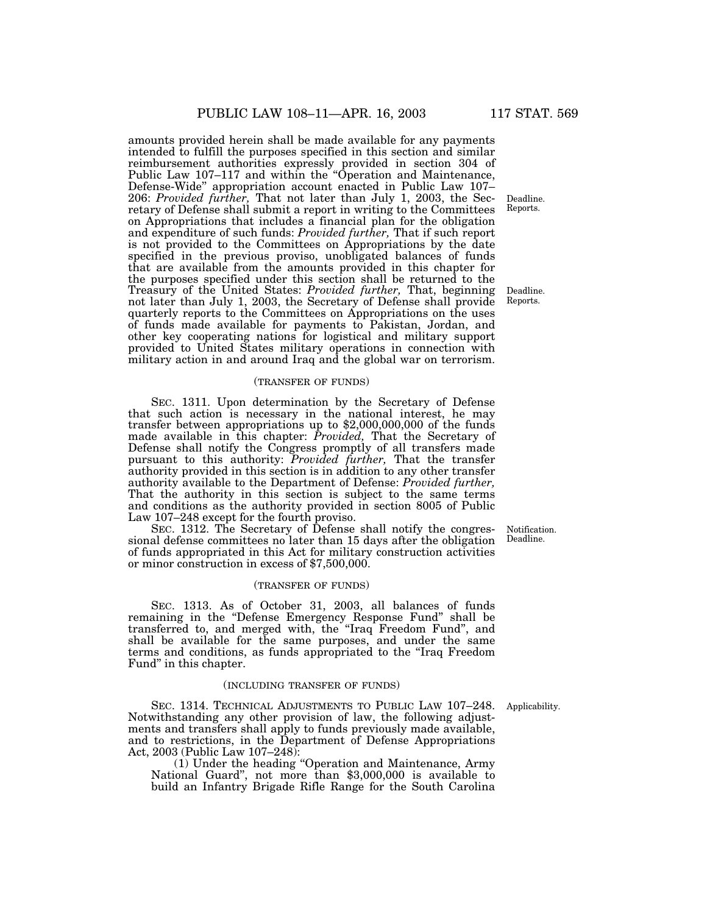amounts provided herein shall be made available for any payments intended to fulfill the purposes specified in this section and similar reimbursement authorities expressly provided in section 304 of Public Law 107–117 and within the ''Operation and Maintenance, Defense-Wide'' appropriation account enacted in Public Law 107– 206: *Provided further,* That not later than July 1, 2003, the Secretary of Defense shall submit a report in writing to the Committees on Appropriations that includes a financial plan for the obligation and expenditure of such funds: *Provided further,* That if such report is not provided to the Committees on Appropriations by the date specified in the previous proviso, unobligated balances of funds that are available from the amounts provided in this chapter for the purposes specified under this section shall be returned to the Treasury of the United States: *Provided further,* That, beginning not later than July 1, 2003, the Secretary of Defense shall provide quarterly reports to the Committees on Appropriations on the uses of funds made available for payments to Pakistan, Jordan, and other key cooperating nations for logistical and military support provided to United States military operations in connection with military action in and around Iraq and the global war on terrorism.

### (TRANSFER OF FUNDS)

SEC. 1311. Upon determination by the Secretary of Defense that such action is necessary in the national interest, he may transfer between appropriations up to \$2,000,000,000 of the funds made available in this chapter: *Provided*, That the Secretary of Defense shall notify the Congress promptly of all transfers made pursuant to this authority: *Provided further,* That the transfer authority provided in this section is in addition to any other transfer authority available to the Department of Defense: *Provided further,* That the authority in this section is subject to the same terms and conditions as the authority provided in section 8005 of Public Law 107–248 except for the fourth proviso.

SEC. 1312. The Secretary of Defense shall notify the congressional defense committees no later than 15 days after the obligation of funds appropriated in this Act for military construction activities or minor construction in excess of \$7,500,000.

### (TRANSFER OF FUNDS)

SEC. 1313. As of October 31, 2003, all balances of funds remaining in the "Defense Emergency Response Fund" shall be transferred to, and merged with, the ''Iraq Freedom Fund'', and shall be available for the same purposes, and under the same terms and conditions, as funds appropriated to the ''Iraq Freedom Fund'' in this chapter.

## (INCLUDING TRANSFER OF FUNDS)

Applicability.

SEC. 1314. TECHNICAL ADJUSTMENTS TO PUBLIC LAW 107–248. Notwithstanding any other provision of law, the following adjustments and transfers shall apply to funds previously made available, and to restrictions, in the Department of Defense Appropriations Act, 2003 (Public Law 107–248):

(1) Under the heading ''Operation and Maintenance, Army National Guard'', not more than \$3,000,000 is available to build an Infantry Brigade Rifle Range for the South Carolina

Deadline. Reports.

Deadline. Reports.

Notification. Deadline.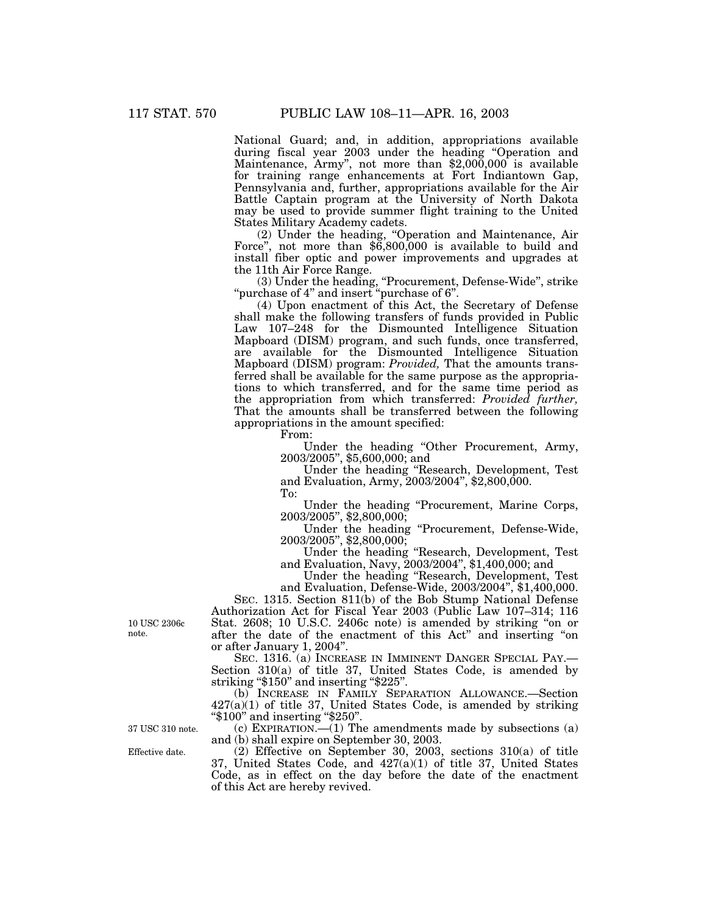National Guard; and, in addition, appropriations available during fiscal year 2003 under the heading ''Operation and Maintenance, Army'', not more than \$2,000,000 is available for training range enhancements at Fort Indiantown Gap, Pennsylvania and, further, appropriations available for the Air Battle Captain program at the University of North Dakota may be used to provide summer flight training to the United States Military Academy cadets.

(2) Under the heading, ''Operation and Maintenance, Air Force", not more than  $\frac{6}{6}800,000$  is available to build and install fiber optic and power improvements and upgrades at the 11th Air Force Range.

(3) Under the heading, ''Procurement, Defense-Wide'', strike ''purchase of 4'' and insert ''purchase of 6''.

(4) Upon enactment of this Act, the Secretary of Defense shall make the following transfers of funds provided in Public Law 107–248 for the Dismounted Intelligence Situation Mapboard (DISM) program, and such funds, once transferred, are available for the Dismounted Intelligence Situation Mapboard (DISM) program: *Provided,* That the amounts transferred shall be available for the same purpose as the appropriations to which transferred, and for the same time period as the appropriation from which transferred: *Provided further,* That the amounts shall be transferred between the following appropriations in the amount specified:

From:

Under the heading ''Other Procurement, Army, 2003/2005'', \$5,600,000; and

Under the heading ''Research, Development, Test and Evaluation, Army, 2003/2004'', \$2,800,000.

To:

Under the heading ''Procurement, Marine Corps, 2003/2005'', \$2,800,000;

Under the heading ''Procurement, Defense-Wide, 2003/2005'', \$2,800,000;

Under the heading "Research, Development, Test and Evaluation, Navy, 2003/2004'', \$1,400,000; and

Under the heading ''Research, Development, Test and Evaluation, Defense-Wide, 2003/2004'', \$1,400,000.

SEC. 1315. Section 811(b) of the Bob Stump National Defense Authorization Act for Fiscal Year 2003 (Public Law 107–314; 116 Stat. 2608; 10 U.S.C. 2406c note) is amended by striking ''on or after the date of the enactment of this Act'' and inserting ''on or after January 1, 2004''.

SEC. 1316. (a) INCREASE IN IMMINENT DANGER SPECIAL PAY.— Section 310(a) of title 37, United States Code, is amended by striking ''\$150'' and inserting ''\$225''.

(b) INCREASE IN FAMILY SEPARATION ALLOWANCE.—Section  $427(a)(1)$  of title 37, United States Code, is amended by striking ''\$100'' and inserting ''\$250''.

(c) EXPIRATION.—(1) The amendments made by subsections (a) and (b) shall expire on September 30, 2003.

(2) Effective on September 30, 2003, sections 310(a) of title 37, United States Code, and  $427(a)(1)$  of title 37, United States Code, as in effect on the day before the date of the enactment of this Act are hereby revived.

10 USC 2306c note.

37 USC 310 note.

Effective date.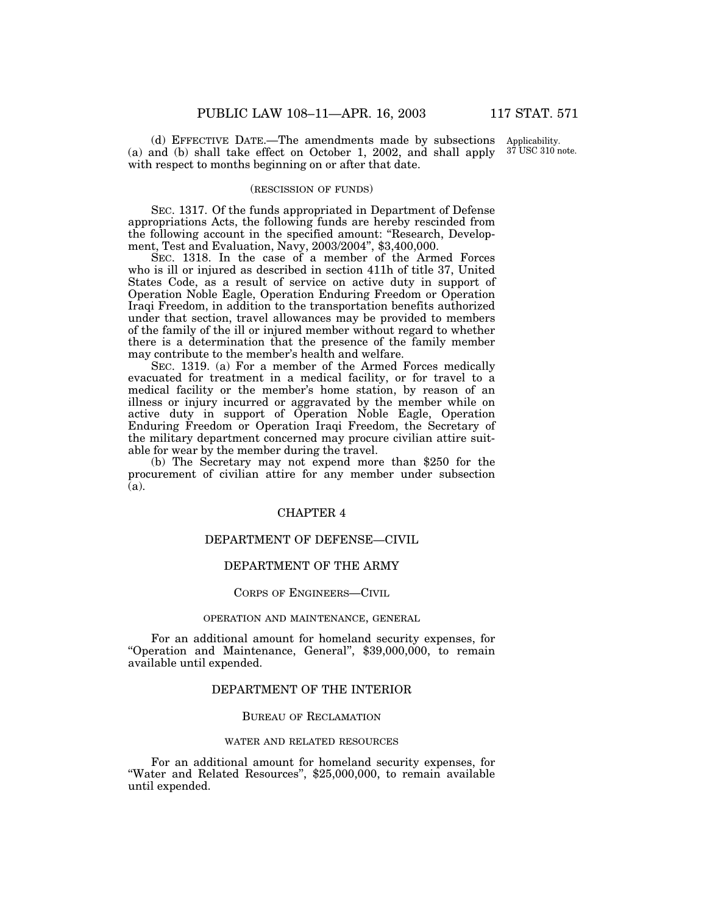(d) EFFECTIVE DATE.—The amendments made by subsections Applicability. (a) and (b) shall take effect on October 1, 2002, and shall apply with respect to months beginning on or after that date. 37 USC 310 note.

## (RESCISSION OF FUNDS)

SEC. 1317. Of the funds appropriated in Department of Defense appropriations Acts, the following funds are hereby rescinded from the following account in the specified amount: ''Research, Development, Test and Evaluation, Navy, 2003/2004'', \$3,400,000.

SEC. 1318. In the case of a member of the Armed Forces who is ill or injured as described in section 411h of title 37, United States Code, as a result of service on active duty in support of Operation Noble Eagle, Operation Enduring Freedom or Operation Iraqi Freedom, in addition to the transportation benefits authorized under that section, travel allowances may be provided to members of the family of the ill or injured member without regard to whether there is a determination that the presence of the family member may contribute to the member's health and welfare.

SEC. 1319. (a) For a member of the Armed Forces medically evacuated for treatment in a medical facility, or for travel to a medical facility or the member's home station, by reason of an illness or injury incurred or aggravated by the member while on active duty in support of Operation Noble Eagle, Operation Enduring Freedom or Operation Iraqi Freedom, the Secretary of the military department concerned may procure civilian attire suitable for wear by the member during the travel.

(b) The Secretary may not expend more than \$250 for the procurement of civilian attire for any member under subsection (a).

## CHAPTER 4

## DEPARTMENT OF DEFENSE—CIVIL

## DEPARTMENT OF THE ARMY

#### CORPS OF ENGINEERS—CIVIL

#### OPERATION AND MAINTENANCE, GENERAL

For an additional amount for homeland security expenses, for "Operation and Maintenance, General", \$39,000,000, to remain available until expended.

## DEPARTMENT OF THE INTERIOR

## BUREAU OF RECLAMATION

### WATER AND RELATED RESOURCES

For an additional amount for homeland security expenses, for "Water and Related Resources", \$25,000,000, to remain available until expended.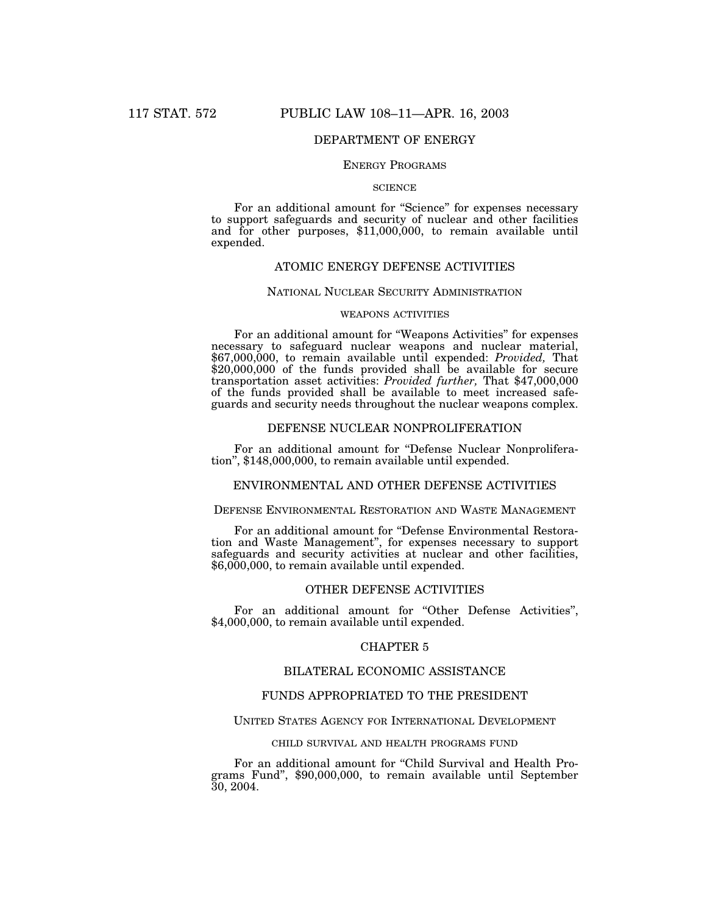## DEPARTMENT OF ENERGY

## ENERGY PROGRAMS

#### **SCIENCE**

For an additional amount for "Science" for expenses necessary to support safeguards and security of nuclear and other facilities and for other purposes, \$11,000,000, to remain available until expended.

## ATOMIC ENERGY DEFENSE ACTIVITIES

### NATIONAL NUCLEAR SECURITY ADMINISTRATION

### WEAPONS ACTIVITIES

For an additional amount for ''Weapons Activities'' for expenses necessary to safeguard nuclear weapons and nuclear material, \$67,000,000, to remain available until expended: *Provided,* That \$20,000,000 of the funds provided shall be available for secure transportation asset activities: *Provided further,* That \$47,000,000 of the funds provided shall be available to meet increased safeguards and security needs throughout the nuclear weapons complex.

## DEFENSE NUCLEAR NONPROLIFERATION

For an additional amount for "Defense Nuclear Nonproliferation", \$148,000,000, to remain available until expended.

## ENVIRONMENTAL AND OTHER DEFENSE ACTIVITIES

## DEFENSE ENVIRONMENTAL RESTORATION AND WASTE MANAGEMENT

For an additional amount for ''Defense Environmental Restoration and Waste Management'', for expenses necessary to support safeguards and security activities at nuclear and other facilities, \$6,000,000, to remain available until expended.

## OTHER DEFENSE ACTIVITIES

For an additional amount for "Other Defense Activities", \$4,000,000, to remain available until expended.

### CHAPTER 5

## BILATERAL ECONOMIC ASSISTANCE

### FUNDS APPROPRIATED TO THE PRESIDENT

#### UNITED STATES AGENCY FOR INTERNATIONAL DEVELOPMENT

### CHILD SURVIVAL AND HEALTH PROGRAMS FUND

For an additional amount for ''Child Survival and Health Programs Fund'', \$90,000,000, to remain available until September 30, 2004.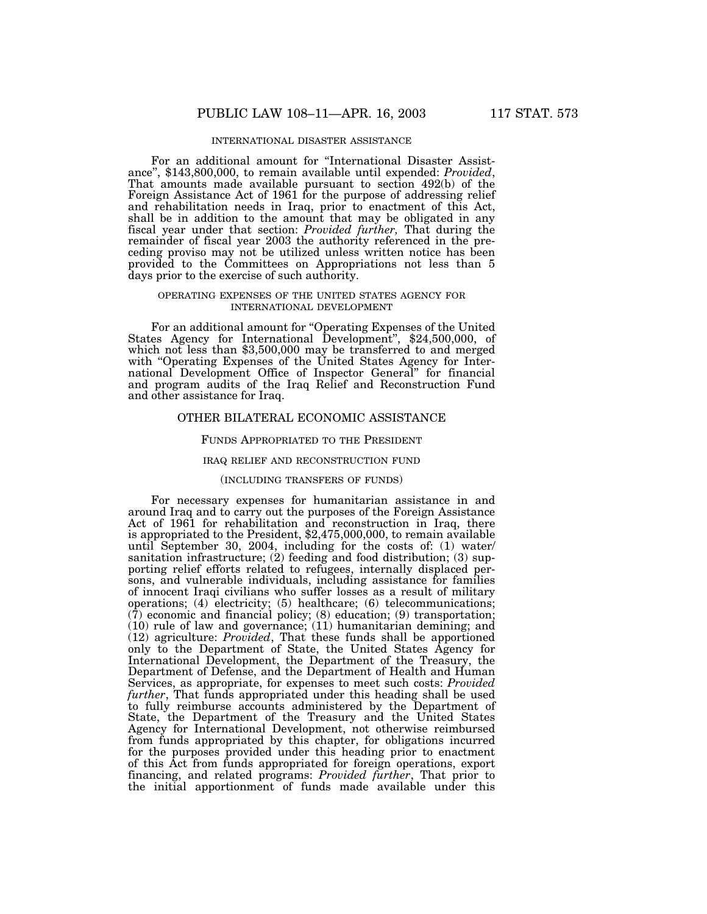### INTERNATIONAL DISASTER ASSISTANCE

For an additional amount for ''International Disaster Assistance'', \$143,800,000, to remain available until expended: *Provided*, That amounts made available pursuant to section 492(b) of the Foreign Assistance Act of 1961 for the purpose of addressing relief and rehabilitation needs in Iraq, prior to enactment of this Act, shall be in addition to the amount that may be obligated in any fiscal year under that section: *Provided further,* That during the remainder of fiscal year 2003 the authority referenced in the preceding proviso may not be utilized unless written notice has been provided to the Committees on Appropriations not less than 5 days prior to the exercise of such authority.

### OPERATING EXPENSES OF THE UNITED STATES AGENCY FOR INTERNATIONAL DEVELOPMENT

For an additional amount for "Operating Expenses of the United States Agency for International Development", \$24,500,000, of which not less than \$3,500,000 may be transferred to and merged with "Operating Expenses of the United States Agency for International Development Office of Inspector General'' for financial and program audits of the Iraq Relief and Reconstruction Fund and other assistance for Iraq.

### OTHER BILATERAL ECONOMIC ASSISTANCE

#### FUNDS APPROPRIATED TO THE PRESIDENT

#### IRAQ RELIEF AND RECONSTRUCTION FUND

### (INCLUDING TRANSFERS OF FUNDS)

For necessary expenses for humanitarian assistance in and around Iraq and to carry out the purposes of the Foreign Assistance Act of 1961 for rehabilitation and reconstruction in Iraq, there is appropriated to the President, \$2,475,000,000, to remain available until September 30, 2004, including for the costs of: (1) water/ sanitation infrastructure;  $(2)$  feeding and food distribution;  $(3)$  supporting relief efforts related to refugees, internally displaced persons, and vulnerable individuals, including assistance for families of innocent Iraqi civilians who suffer losses as a result of military operations; (4) electricity; (5) healthcare; (6) telecommunications; (7) economic and financial policy; (8) education; (9) transportation; (10) rule of law and governance; (11) humanitarian demining; and (12) agriculture: *Provided*, That these funds shall be apportioned only to the Department of State, the United States Agency for International Development, the Department of the Treasury, the Department of Defense, and the Department of Health and Human Services, as appropriate, for expenses to meet such costs: *Provided further*, That funds appropriated under this heading shall be used to fully reimburse accounts administered by the Department of State, the Department of the Treasury and the United States Agency for International Development, not otherwise reimbursed from funds appropriated by this chapter, for obligations incurred for the purposes provided under this heading prior to enactment of this Act from funds appropriated for foreign operations, export financing, and related programs: *Provided further*, That prior to the initial apportionment of funds made available under this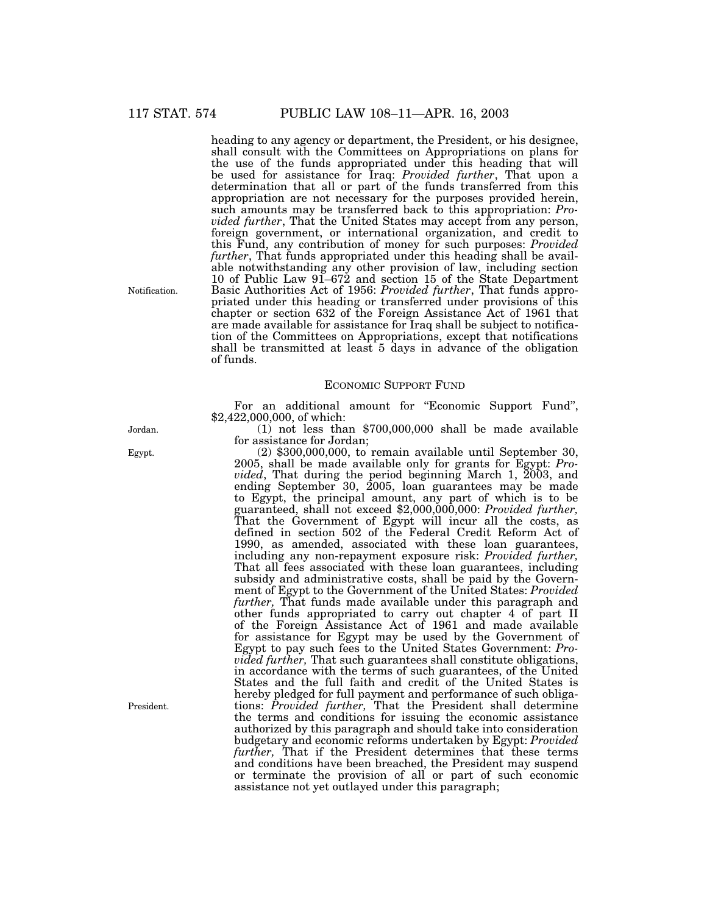heading to any agency or department, the President, or his designee, shall consult with the Committees on Appropriations on plans for the use of the funds appropriated under this heading that will be used for assistance for Iraq: *Provided further*, That upon a determination that all or part of the funds transferred from this appropriation are not necessary for the purposes provided herein, such amounts may be transferred back to this appropriation: *Provided further*, That the United States may accept from any person, foreign government, or international organization, and credit to this Fund, any contribution of money for such purposes: *Provided further*, That funds appropriated under this heading shall be available notwithstanding any other provision of law, including section 10 of Public Law 91–672 and section 15 of the State Department Basic Authorities Act of 1956: *Provided further*, That funds appropriated under this heading or transferred under provisions of this chapter or section 632 of the Foreign Assistance Act of 1961 that are made available for assistance for Iraq shall be subject to notification of the Committees on Appropriations, except that notifications shall be transmitted at least 5 days in advance of the obligation of funds.

### ECONOMIC SUPPORT FUND

For an additional amount for "Economic Support Fund", \$2,422,000,000, of which:

(1) not less than \$700,000,000 shall be made available for assistance for Jordan;

 $(2)$  \$300,000,000, to remain available until September 30, 2005, shall be made available only for grants for Egypt: *Provided*, That during the period beginning March 1, 2003, and ending September 30, 2005, loan guarantees may be made to Egypt, the principal amount, any part of which is to be guaranteed, shall not exceed \$2,000,000,000: *Provided further,* That the Government of Egypt will incur all the costs, as defined in section 502 of the Federal Credit Reform Act of 1990, as amended, associated with these loan guarantees, including any non-repayment exposure risk: *Provided further,* That all fees associated with these loan guarantees, including subsidy and administrative costs, shall be paid by the Government of Egypt to the Government of the United States: *Provided further,* That funds made available under this paragraph and other funds appropriated to carry out chapter 4 of part II of the Foreign Assistance Act of 1961 and made available for assistance for Egypt may be used by the Government of Egypt to pay such fees to the United States Government: *Provided further,* That such guarantees shall constitute obligations, in accordance with the terms of such guarantees, of the United States and the full faith and credit of the United States is hereby pledged for full payment and performance of such obligations: *Provided further,* That the President shall determine the terms and conditions for issuing the economic assistance authorized by this paragraph and should take into consideration budgetary and economic reforms undertaken by Egypt: *Provided further,* That if the President determines that these terms and conditions have been breached, the President may suspend or terminate the provision of all or part of such economic assistance not yet outlayed under this paragraph;

Notification.

Jordan.

Egypt.

President.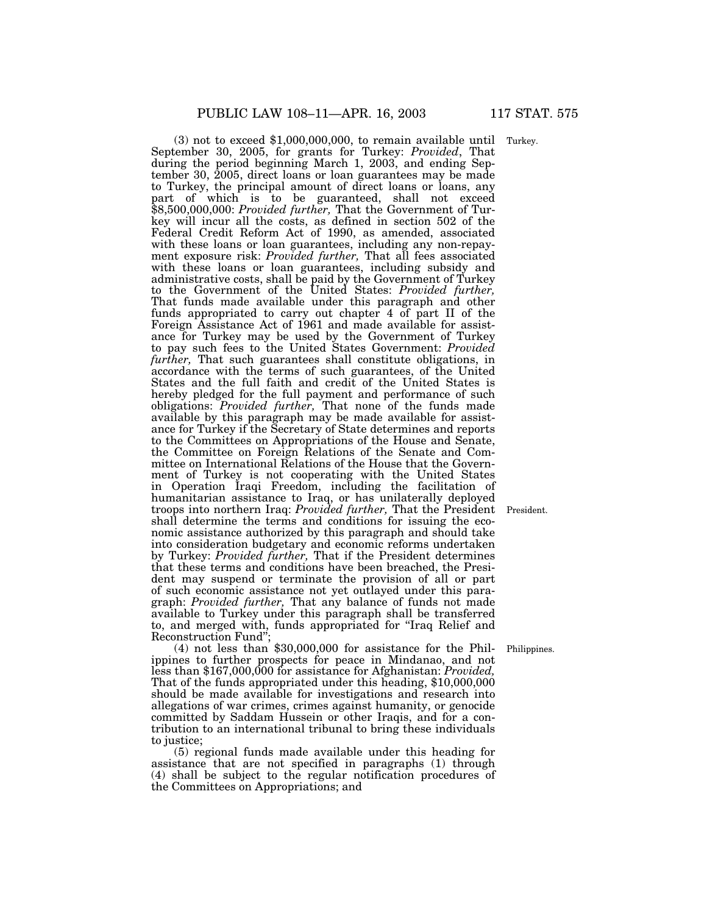(3) not to exceed \$1,000,000,000, to remain available until Turkey. September 30, 2005, for grants for Turkey: *Provided*, That during the period beginning March 1, 2003, and ending September 30, 2005, direct loans or loan guarantees may be made to Turkey, the principal amount of direct loans or loans, any part of which is to be guaranteed, shall not exceed \$8,500,000,000: *Provided further,* That the Government of Turkey will incur all the costs, as defined in section 502 of the Federal Credit Reform Act of 1990, as amended, associated with these loans or loan guarantees, including any non-repayment exposure risk: *Provided further,* That all fees associated with these loans or loan guarantees, including subsidy and administrative costs, shall be paid by the Government of Turkey to the Government of the United States: *Provided further,* That funds made available under this paragraph and other funds appropriated to carry out chapter 4 of part II of the Foreign Assistance Act of 1961 and made available for assistance for Turkey may be used by the Government of Turkey to pay such fees to the United States Government: *Provided further,* That such guarantees shall constitute obligations, in accordance with the terms of such guarantees, of the United States and the full faith and credit of the United States is hereby pledged for the full payment and performance of such obligations: *Provided further*, That none of the funds made available by this paragraph may be made available for assistance for Turkey if the Secretary of State determines and reports to the Committees on Appropriations of the House and Senate, the Committee on Foreign Relations of the Senate and Committee on International Relations of the House that the Government of Turkey is not cooperating with the United States in Operation Iraqi Freedom, including the facilitation of humanitarian assistance to Iraq, or has unilaterally deployed troops into northern Iraq: *Provided further,* That the President shall determine the terms and conditions for issuing the economic assistance authorized by this paragraph and should take into consideration budgetary and economic reforms undertaken by Turkey: *Provided further,* That if the President determines that these terms and conditions have been breached, the President may suspend or terminate the provision of all or part of such economic assistance not yet outlayed under this paragraph: *Provided further,* That any balance of funds not made available to Turkey under this paragraph shall be transferred to, and merged with, funds appropriated for ''Iraq Relief and Reconstruction Fund'';

(4) not less than \$30,000,000 for assistance for the Philippines to further prospects for peace in Mindanao, and not less than \$167,000,000 for assistance for Afghanistan: *Provided,* That of the funds appropriated under this heading, \$10,000,000 should be made available for investigations and research into allegations of war crimes, crimes against humanity, or genocide committed by Saddam Hussein or other Iraqis, and for a contribution to an international tribunal to bring these individuals to justice;

(5) regional funds made available under this heading for assistance that are not specified in paragraphs (1) through (4) shall be subject to the regular notification procedures of the Committees on Appropriations; and

President.

Philippines.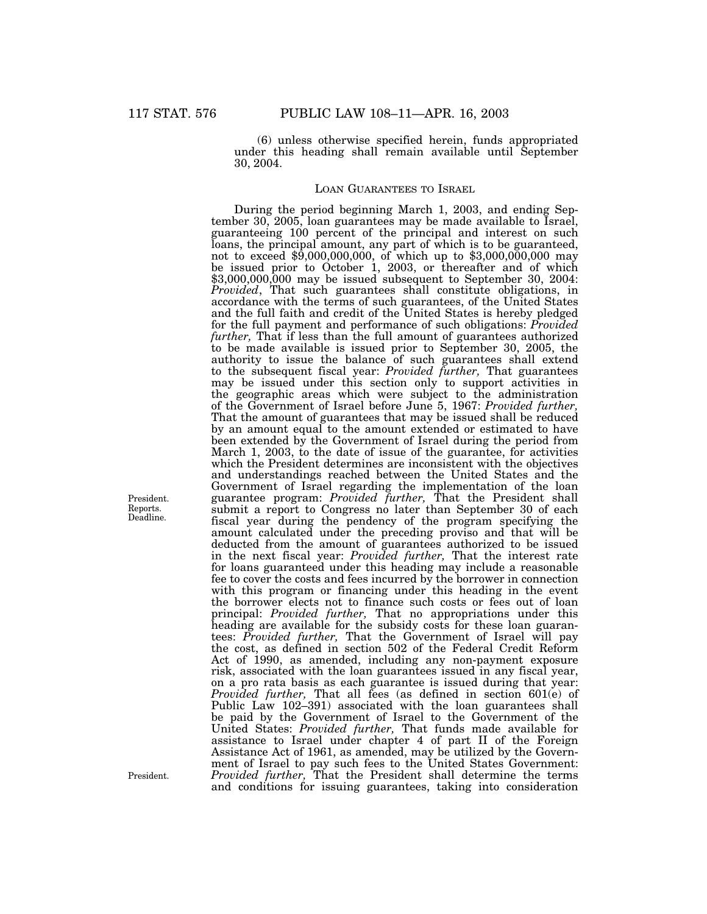(6) unless otherwise specified herein, funds appropriated under this heading shall remain available until September 30, 2004.

### LOAN GUARANTEES TO ISRAEL

During the period beginning March 1, 2003, and ending September 30, 2005, loan guarantees may be made available to Israel, guaranteeing 100 percent of the principal and interest on such loans, the principal amount, any part of which is to be guaranteed, not to exceed \$9,000,000,000, of which up to \$3,000,000,000 may be issued prior to October 1, 2003, or thereafter and of which \$3,000,000,000 may be issued subsequent to September 30, 2004: *Provided*, That such guarantees shall constitute obligations, in accordance with the terms of such guarantees, of the United States and the full faith and credit of the United States is hereby pledged for the full payment and performance of such obligations: *Provided further,* That if less than the full amount of guarantees authorized to be made available is issued prior to September 30, 2005, the authority to issue the balance of such guarantees shall extend to the subsequent fiscal year: *Provided further,* That guarantees may be issued under this section only to support activities in the geographic areas which were subject to the administration of the Government of Israel before June 5, 1967: *Provided further,* That the amount of guarantees that may be issued shall be reduced by an amount equal to the amount extended or estimated to have been extended by the Government of Israel during the period from March 1, 2003, to the date of issue of the guarantee, for activities which the President determines are inconsistent with the objectives and understandings reached between the United States and the Government of Israel regarding the implementation of the loan guarantee program: *Provided further,* That the President shall submit a report to Congress no later than September 30 of each fiscal year during the pendency of the program specifying the amount calculated under the preceding proviso and that will be deducted from the amount of guarantees authorized to be issued in the next fiscal year: *Provided further,* That the interest rate for loans guaranteed under this heading may include a reasonable fee to cover the costs and fees incurred by the borrower in connection with this program or financing under this heading in the event the borrower elects not to finance such costs or fees out of loan principal: *Provided further,* That no appropriations under this heading are available for the subsidy costs for these loan guarantees: *Provided further,* That the Government of Israel will pay the cost, as defined in section 502 of the Federal Credit Reform Act of 1990, as amended, including any non-payment exposure risk, associated with the loan guarantees issued in any fiscal year, on a pro rata basis as each guarantee is issued during that year: *Provided further,* That all fees (as defined in section 601(e) of Public Law 102–391) associated with the loan guarantees shall be paid by the Government of Israel to the Government of the United States: *Provided further,* That funds made available for assistance to Israel under chapter 4 of part II of the Foreign Assistance Act of 1961, as amended, may be utilized by the Government of Israel to pay such fees to the United States Government: *Provided further,* That the President shall determine the terms and conditions for issuing guarantees, taking into consideration

President. Reports. Deadline.

President.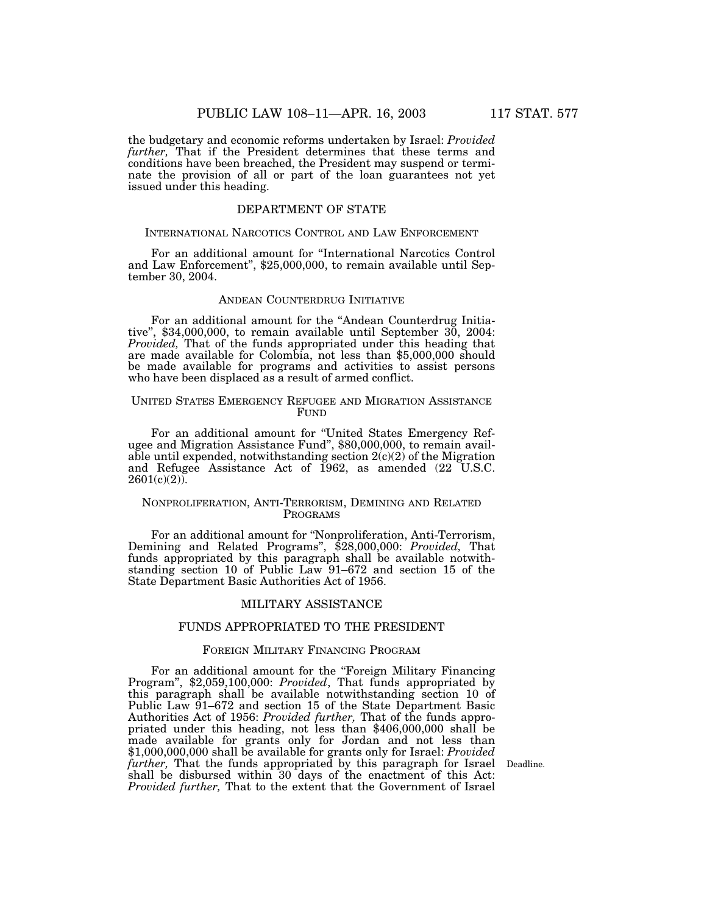the budgetary and economic reforms undertaken by Israel: *Provided further,* That if the President determines that these terms and conditions have been breached, the President may suspend or terminate the provision of all or part of the loan guarantees not yet issued under this heading.

### DEPARTMENT OF STATE

### INTERNATIONAL NARCOTICS CONTROL AND LAW ENFORCEMENT

For an additional amount for ''International Narcotics Control and Law Enforcement'', \$25,000,000, to remain available until September 30, 2004.

## ANDEAN COUNTERDRUG INITIATIVE

For an additional amount for the ''Andean Counterdrug Initiative'', \$34,000,000, to remain available until September 30, 2004: *Provided,* That of the funds appropriated under this heading that are made available for Colombia, not less than \$5,000,000 should be made available for programs and activities to assist persons who have been displaced as a result of armed conflict.

### UNITED STATES EMERGENCY REFUGEE AND MIGRATION ASSISTANCE FUND

For an additional amount for ''United States Emergency Refugee and Migration Assistance Fund'', \$80,000,000, to remain available until expended, notwithstanding section  $2(c)(2)$  of the Migration and Refugee Assistance Act of 1962, as amended (22 U.S.C.  $2601(c)(2)$ ).

### NONPROLIFERATION, ANTI-TERRORISM, DEMINING AND RELATED PROGRAMS

For an additional amount for ''Nonproliferation, Anti-Terrorism, Demining and Related Programs'', \$28,000,000: *Provided,* That funds appropriated by this paragraph shall be available notwithstanding section 10 of Public Law 91–672 and section 15 of the State Department Basic Authorities Act of 1956.

### MILITARY ASSISTANCE

## FUNDS APPROPRIATED TO THE PRESIDENT

### FOREIGN MILITARY FINANCING PROGRAM

For an additional amount for the ''Foreign Military Financing Program'', \$2,059,100,000: *Provided*, That funds appropriated by this paragraph shall be available notwithstanding section 10 of Public Law 91–672 and section 15 of the State Department Basic<br>Authorities Act of 1956: *Provided further*, That of the funds appropriated under this heading, not less than \$406,000,000 shall be made available for grants only for Jordan and not less than \$1,000,000,000 shall be available for grants only for Israel: *Provided further,* That the funds appropriated by this paragraph for Israel shall be disbursed within 30 days of the enactment of this Act: *Provided further,* That to the extent that the Government of Israel

Deadline.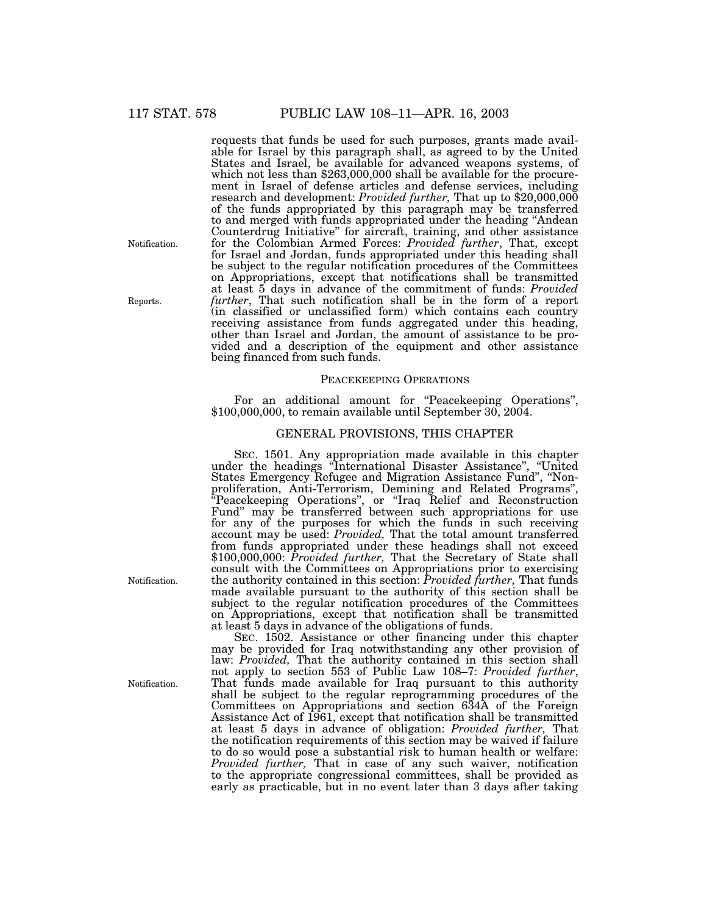requests that funds be used for such purposes, grants made available for Israel by this paragraph shall, as agreed to by the United States and Israel, be available for advanced weapons systems, of which not less than \$263,000,000 shall be available for the procurement in Israel of defense articles and defense services, including research and development: *Provided further,* That up to \$20,000,000 of the funds appropriated by this paragraph may be transferred to and merged with funds appropriated under the heading ''Andean Counterdrug Initiative'' for aircraft, training, and other assistance for the Colombian Armed Forces: *Provided further*, That, except for Israel and Jordan, funds appropriated under this heading shall be subject to the regular notification procedures of the Committees on Appropriations, except that notifications shall be transmitted at least 5 days in advance of the commitment of funds: *Provided further*, That such notification shall be in the form of a report (in classified or unclassified form) which contains each country receiving assistance from funds aggregated under this heading, other than Israel and Jordan, the amount of assistance to be provided and a description of the equipment and other assistance being financed from such funds.

### PEACEKEEPING OPERATIONS

For an additional amount for "Peacekeeping Operations", \$100,000,000, to remain available until September 30, 2004.

## GENERAL PROVISIONS, THIS CHAPTER

SEC. 1501. Any appropriation made available in this chapter under the headings ''International Disaster Assistance'', ''United States Emergency Refugee and Migration Assistance Fund'', ''Nonproliferation, Anti-Terrorism, Demining and Related Programs'', ''Peacekeeping Operations'', or ''Iraq Relief and Reconstruction Fund'' may be transferred between such appropriations for use for any of the purposes for which the funds in such receiving account may be used: *Provided,* That the total amount transferred from funds appropriated under these headings shall not exceed \$100,000,000: *Provided further,* That the Secretary of State shall consult with the Committees on Appropriations prior to exercising the authority contained in this section: *Provided further,* That funds made available pursuant to the authority of this section shall be subject to the regular notification procedures of the Committees on Appropriations, except that notification shall be transmitted at least 5 days in advance of the obligations of funds.

SEC. 1502. Assistance or other financing under this chapter may be provided for Iraq notwithstanding any other provision of law: *Provided*, That the authority contained in this section shall not apply to section 553 of Public Law 108–7: *Provided further*, That funds made available for Iraq pursuant to this authority shall be subject to the regular reprogramming procedures of the Committees on Appropriations and section 634A of the Foreign Assistance Act of 1961, except that notification shall be transmitted at least 5 days in advance of obligation: *Provided further,* That the notification requirements of this section may be waived if failure to do so would pose a substantial risk to human health or welfare: *Provided further,* That in case of any such waiver, notification to the appropriate congressional committees, shall be provided as early as practicable, but in no event later than 3 days after taking

Notification.

Reports.

Notification.

Notification.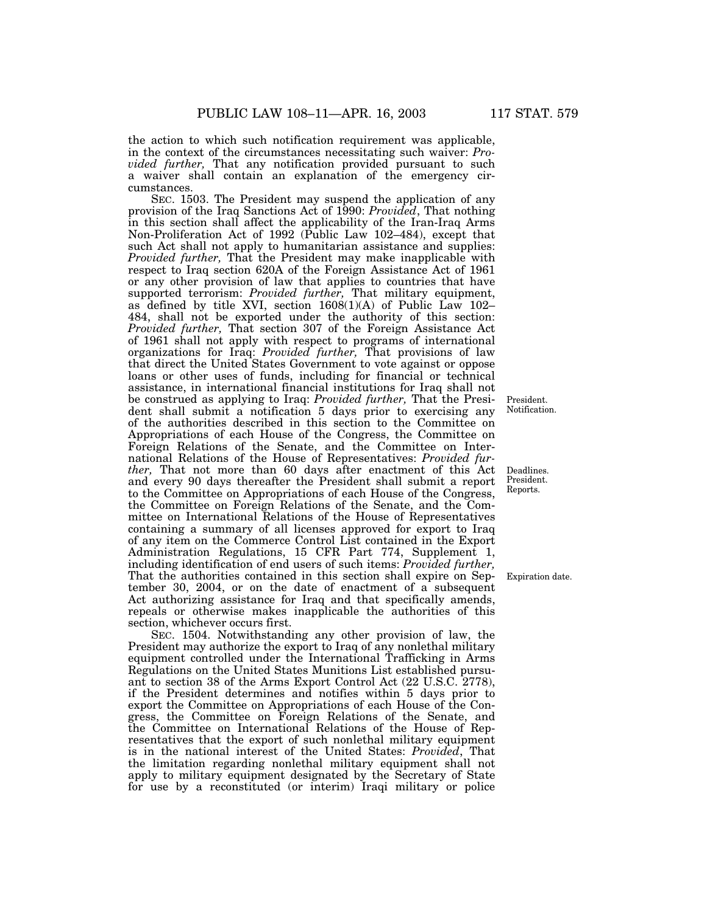the action to which such notification requirement was applicable, in the context of the circumstances necessitating such waiver: *Provided further,* That any notification provided pursuant to such a waiver shall contain an explanation of the emergency circumstances.

SEC. 1503. The President may suspend the application of any provision of the Iraq Sanctions Act of 1990: *Provided*, That nothing in this section shall affect the applicability of the Iran-Iraq Arms Non-Proliferation Act of 1992 (Public Law 102–484), except that such Act shall not apply to humanitarian assistance and supplies: *Provided further,* That the President may make inapplicable with respect to Iraq section 620A of the Foreign Assistance Act of 1961 or any other provision of law that applies to countries that have supported terrorism: *Provided further,* That military equipment, as defined by title XVI, section  $1608(1)(A)$  of Public Law  $102-$ 484, shall not be exported under the authority of this section: *Provided further,* That section 307 of the Foreign Assistance Act of 1961 shall not apply with respect to programs of international organizations for Iraq: *Provided further,* That provisions of law that direct the United States Government to vote against or oppose loans or other uses of funds, including for financial or technical assistance, in international financial institutions for Iraq shall not be construed as applying to Iraq: *Provided further*, That the President shall submit a notification 5 days prior to exercising any of the authorities described in this section to the Committee on Appropriations of each House of the Congress, the Committee on Foreign Relations of the Senate, and the Committee on International Relations of the House of Representatives: *Provided further,* That not more than 60 days after enactment of this Act and every 90 days thereafter the President shall submit a report to the Committee on Appropriations of each House of the Congress, the Committee on Foreign Relations of the Senate, and the Committee on International Relations of the House of Representatives containing a summary of all licenses approved for export to Iraq of any item on the Commerce Control List contained in the Export Administration Regulations, 15 CFR Part 774, Supplement 1, including identification of end users of such items: *Provided further,* That the authorities contained in this section shall expire on September 30, 2004, or on the date of enactment of a subsequent Act authorizing assistance for Iraq and that specifically amends, repeals or otherwise makes inapplicable the authorities of this section, whichever occurs first.

SEC. 1504. Notwithstanding any other provision of law, the President may authorize the export to Iraq of any nonlethal military equipment controlled under the International Trafficking in Arms Regulations on the United States Munitions List established pursuant to section 38 of the Arms Export Control Act (22 U.S.C. 2778), if the President determines and notifies within 5 days prior to export the Committee on Appropriations of each House of the Congress, the Committee on Foreign Relations of the Senate, and the Committee on International Relations of the House of Representatives that the export of such nonlethal military equipment is in the national interest of the United States: *Provided*, That the limitation regarding nonlethal military equipment shall not apply to military equipment designated by the Secretary of State for use by a reconstituted (or interim) Iraqi military or police

President. Notification.

Deadlines. President. Reports.

Expiration date.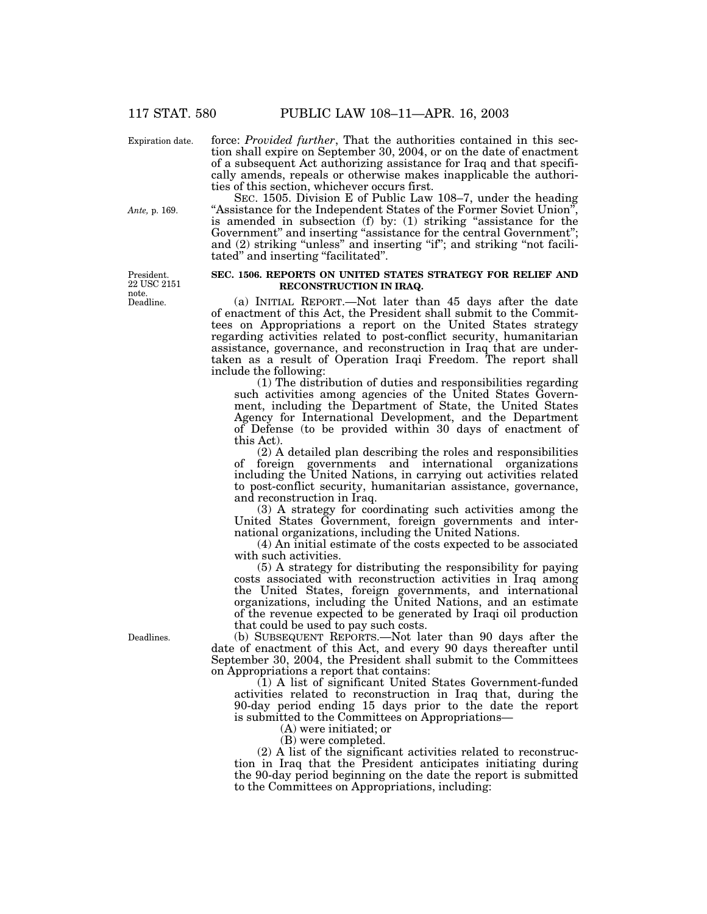Expiration date.

force: *Provided further*, That the authorities contained in this section shall expire on September 30, 2004, or on the date of enactment of a subsequent Act authorizing assistance for Iraq and that specifically amends, repeals or otherwise makes inapplicable the authorities of this section, whichever occurs first.

SEC. 1505. Division E of Public Law 108–7, under the heading ''Assistance for the Independent States of the Former Soviet Union'', is amended in subsection (f) by: (1) striking "assistance for the Government" and inserting "assistance for the central Government"; and (2) striking "unless" and inserting "if"; and striking "not facilitated'' and inserting ''facilitated''.

### **SEC. 1506. REPORTS ON UNITED STATES STRATEGY FOR RELIEF AND RECONSTRUCTION IN IRAQ.**

(a) INITIAL REPORT.—Not later than 45 days after the date of enactment of this Act, the President shall submit to the Committees on Appropriations a report on the United States strategy regarding activities related to post-conflict security, humanitarian assistance, governance, and reconstruction in Iraq that are undertaken as a result of Operation Iraqi Freedom. The report shall include the following:

(1) The distribution of duties and responsibilities regarding such activities among agencies of the United States Government, including the Department of State, the United States Agency for International Development, and the Department of Defense (to be provided within 30 days of enactment of this Act).

(2) A detailed plan describing the roles and responsibilities of foreign governments and international organizations including the United Nations, in carrying out activities related to post-conflict security, humanitarian assistance, governance, and reconstruction in Iraq.

(3) A strategy for coordinating such activities among the United States Government, foreign governments and international organizations, including the United Nations.

(4) An initial estimate of the costs expected to be associated with such activities.

(5) A strategy for distributing the responsibility for paying costs associated with reconstruction activities in Iraq among the United States, foreign governments, and international organizations, including the United Nations, and an estimate of the revenue expected to be generated by Iraqi oil production that could be used to pay such costs.

(b) SUBSEQUENT REPORTS.—Not later than 90 days after the date of enactment of this Act, and every 90 days thereafter until September 30, 2004, the President shall submit to the Committees on Appropriations a report that contains:

(1) A list of significant United States Government-funded activities related to reconstruction in Iraq that, during the 90-day period ending 15 days prior to the date the report is submitted to the Committees on Appropriations—

(A) were initiated; or

(B) were completed.

(2) A list of the significant activities related to reconstruction in Iraq that the President anticipates initiating during the 90-day period beginning on the date the report is submitted to the Committees on Appropriations, including:

Deadlines.

Deadline. President. 22 USC 2151 note.

*Ante,* p. 169.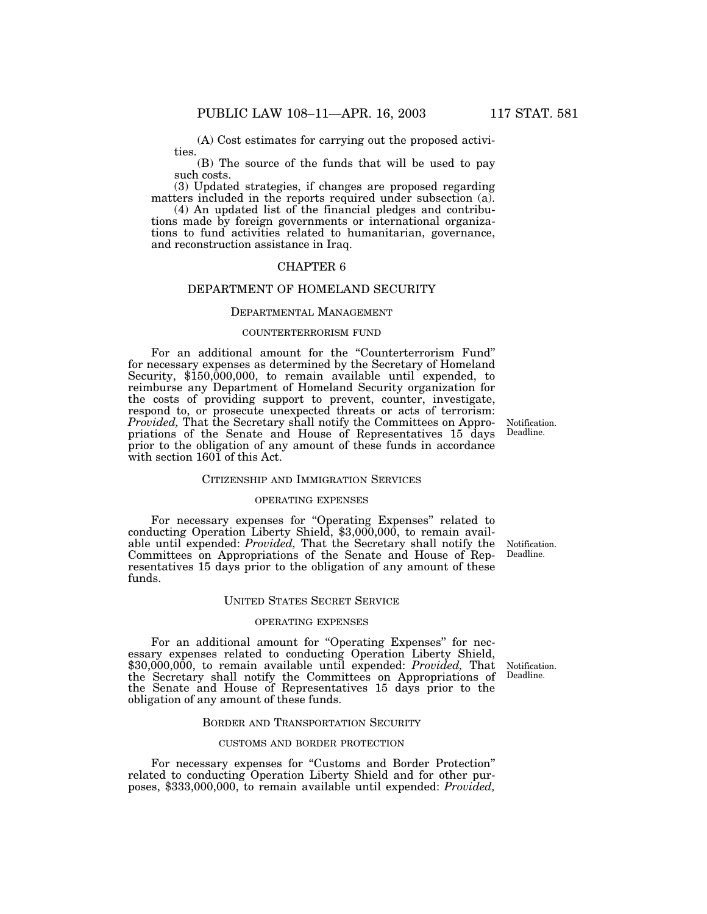(A) Cost estimates for carrying out the proposed activities.

(B) The source of the funds that will be used to pay such costs.

(3) Updated strategies, if changes are proposed regarding matters included in the reports required under subsection (a).

(4) An updated list of the financial pledges and contributions made by foreign governments or international organizations to fund activities related to humanitarian, governance, and reconstruction assistance in Iraq.

## CHAPTER 6

## DEPARTMENT OF HOMELAND SECURITY

### DEPARTMENTAL MANAGEMENT

### COUNTERTERRORISM FUND

For an additional amount for the ''Counterterrorism Fund'' for necessary expenses as determined by the Secretary of Homeland Security, \$150,000,000, to remain available until expended, to reimburse any Department of Homeland Security organization for the costs of providing support to prevent, counter, investigate, respond to, or prosecute unexpected threats or acts of terrorism: *Provided, That the Secretary shall notify the Committees on Appro*priations of the Senate and House of Representatives 15 days prior to the obligation of any amount of these funds in accordance with section 1601 of this Act.

### CITIZENSHIP AND IMMIGRATION SERVICES

### OPERATING EXPENSES

For necessary expenses for ''Operating Expenses'' related to conducting Operation Liberty Shield, \$3,000,000, to remain available until expended: *Provided,* That the Secretary shall notify the Committees on Appropriations of the Senate and House of Representatives 15 days prior to the obligation of any amount of these funds.

#### UNITED STATES SECRET SERVICE

### OPERATING EXPENSES

For an additional amount for "Operating Expenses" for necessary expenses related to conducting Operation Liberty Shield, \$30,000,000, to remain available until expended: *Provided,* That the Secretary shall notify the Committees on Appropriations of the Senate and House of Representatives 15 days prior to the obligation of any amount of these funds.

#### BORDER AND TRANSPORTATION SECURITY

### CUSTOMS AND BORDER PROTECTION

For necessary expenses for "Customs and Border Protection" related to conducting Operation Liberty Shield and for other purposes, \$333,000,000, to remain available until expended: *Provided,*

Notification. Deadline.

Notification. Deadline.

Notification. Deadline.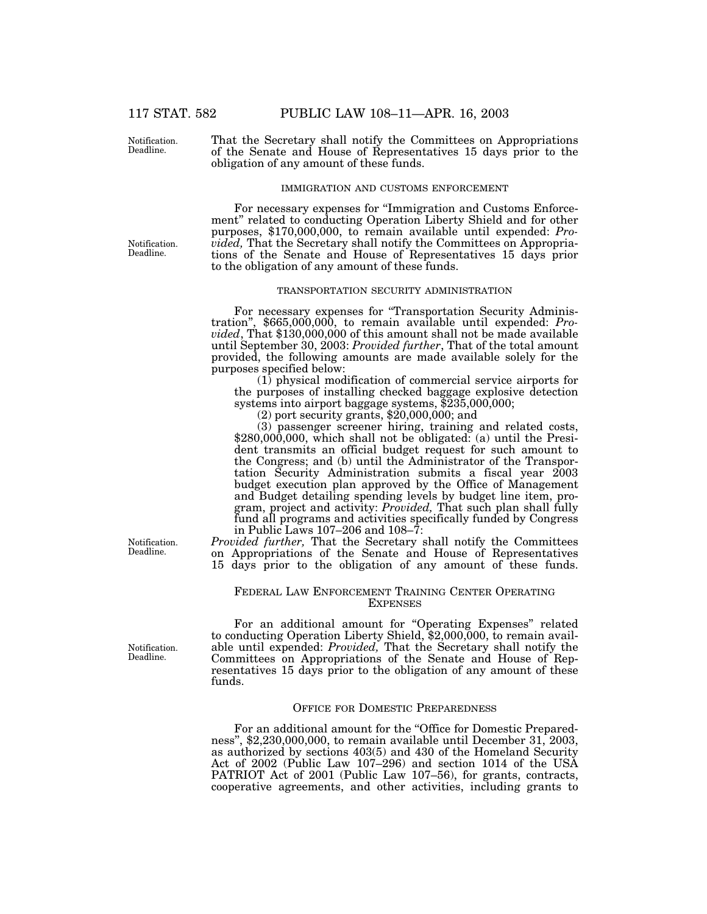117 STAT. 582 PUBLIC LAW 108–11—APR. 16, 2003

Notification. Deadline.

That the Secretary shall notify the Committees on Appropriations of the Senate and House of Representatives 15 days prior to the obligation of any amount of these funds.

#### IMMIGRATION AND CUSTOMS ENFORCEMENT

For necessary expenses for "Immigration and Customs Enforcement'' related to conducting Operation Liberty Shield and for other purposes, \$170,000,000, to remain available until expended: *Provided,* That the Secretary shall notify the Committees on Appropriations of the Senate and House of Representatives 15 days prior to the obligation of any amount of these funds.

### TRANSPORTATION SECURITY ADMINISTRATION

For necessary expenses for ''Transportation Security Adminis- tration'', \$665,000,000, to remain available until expended: *Provided*, That \$130,000,000 of this amount shall not be made available until September 30, 2003: *Provided further*, That of the total amount provided, the following amounts are made available solely for the purposes specified below:

(1) physical modification of commercial service airports for the purposes of installing checked baggage explosive detection systems into airport baggage systems, \$235,000,000; systems into airport baggage systems, \$235,000,000; (2) port security grants, \$20,000,000; and

(3) passenger screener hiring, training and related costs, \$280,000,000, which shall not be obligated: (a) until the President transmits an official budget request for such amount to the Congress; and (b) until the Administrator of the Transportation Security Administration submits a fiscal year 2003 budget execution plan approved by the Office of Management and Budget detailing spending levels by budget line item, program, project and activity: *Provided,* That such plan shall fully fund all programs and activities specifically funded by Congress in Public Laws 107–206 and 108–7:

*Provided further,* That the Secretary shall notify the Committees on Appropriations of the Senate and House of Representatives 15 days prior to the obligation of any amount of these funds.

### FEDERAL LAW ENFORCEMENT TRAINING CENTER OPERATING **EXPENSES**

For an additional amount for "Operating Expenses" related to conducting Operation Liberty Shield, \$2,000,000, to remain available until expended: *Provided,* That the Secretary shall notify the Committees on Appropriations of the Senate and House of Representatives 15 days prior to the obligation of any amount of these funds.

### OFFICE FOR DOMESTIC PREPAREDNESS

For an additional amount for the "Office for Domestic Preparedness'', \$2,230,000,000, to remain available until December 31, 2003, as authorized by sections 403(5) and 430 of the Homeland Security Act of 2002 (Public Law 107–296) and section 1014 of the USA PATRIOT Act of 2001 (Public Law 107–56), for grants, contracts, cooperative agreements, and other activities, including grants to

Notification. Deadline.

Notification. Deadline.

Notification. Deadline.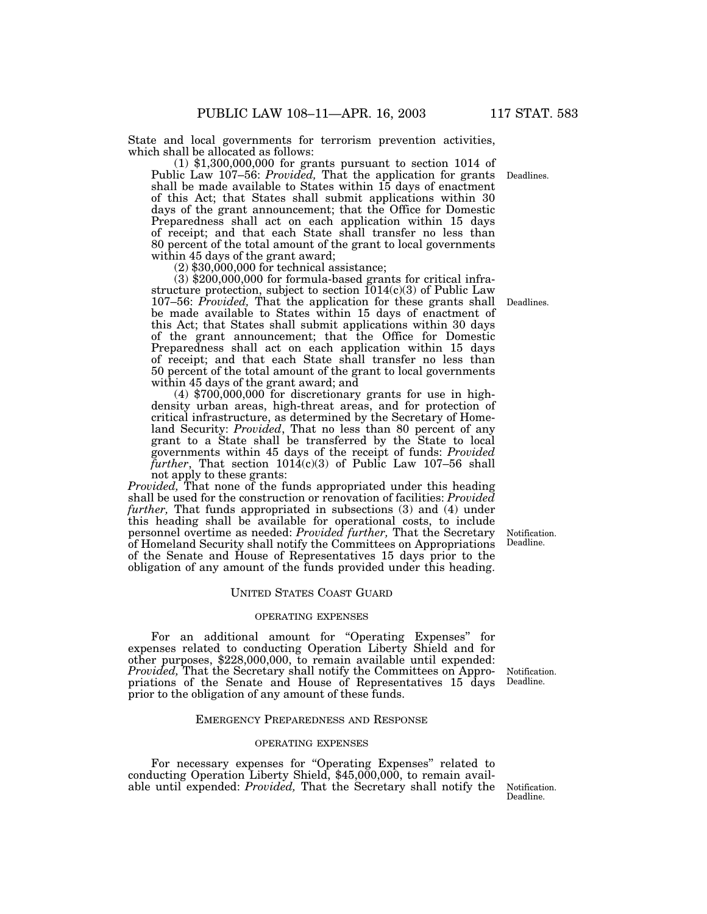Deadlines.

State and local governments for terrorism prevention activities, which shall be allocated as follows:

(1) \$1,300,000,000 for grants pursuant to section 1014 of Public Law 107–56: *Provided,* That the application for grants shall be made available to States within 15 days of enactment of this Act; that States shall submit applications within 30 days of the grant announcement; that the Office for Domestic Preparedness shall act on each application within 15 days of receipt; and that each State shall transfer no less than 80 percent of the total amount of the grant to local governments within 45 days of the grant award;

(2) \$30,000,000 for technical assistance;

(3) \$200,000,000 for formula-based grants for critical infrastructure protection, subject to section  $1014(c)(3)$  of Public Law 107–56: *Provided,* That the application for these grants shall be made available to States within 15 days of enactment of this Act; that States shall submit applications within 30 days of the grant announcement; that the Office for Domestic Preparedness shall act on each application within 15 days of receipt; and that each State shall transfer no less than 50 percent of the total amount of the grant to local governments within 45 days of the grant award; and

(4) \$700,000,000 for discretionary grants for use in highdensity urban areas, high-threat areas, and for protection of critical infrastructure, as determined by the Secretary of Homeland Security: *Provided*, That no less than 80 percent of any grant to a State shall be transferred by the State to local governments within 45 days of the receipt of funds: *Provided further*, That section 1014(c)(3) of Public Law 107–56 shall not apply to these grants:

*Provided,* That none of the funds appropriated under this heading shall be used for the construction or renovation of facilities: *Provided further,* That funds appropriated in subsections (3) and (4) under this heading shall be available for operational costs, to include personnel overtime as needed: *Provided further,* That the Secretary of Homeland Security shall notify the Committees on Appropriations of the Senate and House of Representatives 15 days prior to the obligation of any amount of the funds provided under this heading.

#### UNITED STATES COAST GUARD

### OPERATING EXPENSES

For an additional amount for "Operating Expenses" for expenses related to conducting Operation Liberty Shield and for other purposes, \$228,000,000, to remain available until expended: *Provided,* That the Secretary shall notify the Committees on Appropriations of the Senate and House of Representatives 15 days prior to the obligation of any amount of these funds.

#### EMERGENCY PREPAREDNESS AND RESPONSE

### OPERATING EXPENSES

For necessary expenses for "Operating Expenses" related to conducting Operation Liberty Shield, \$45,000,000, to remain available until expended: Provided, That the Secretary shall notify the Notification.

Notification. Deadline.

Deadlines.

Notification. Deadline.

Deadline.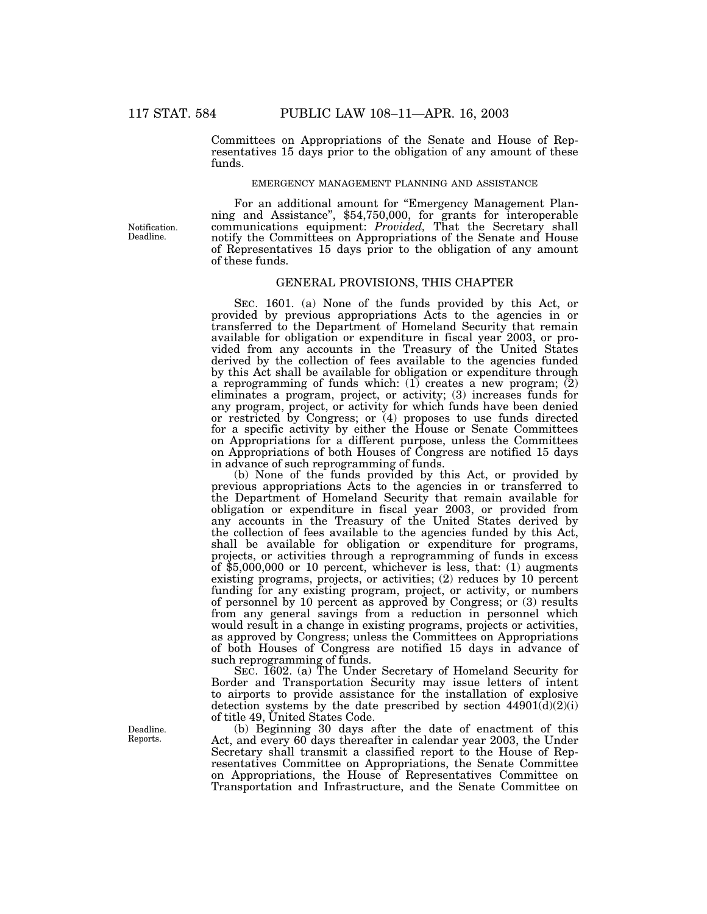Committees on Appropriations of the Senate and House of Representatives 15 days prior to the obligation of any amount of these funds.

### EMERGENCY MANAGEMENT PLANNING AND ASSISTANCE

Notification. Deadline.

For an additional amount for "Emergency Management Plan-<br>ning and Assistance", \$54,750,000, for grants for interoperable communications equipment: *Provided,* That the Secretary shall notify the Committees on Appropriations of the Senate and House of Representatives 15 days prior to the obligation of any amount of these funds.

### GENERAL PROVISIONS, THIS CHAPTER

SEC. 1601. (a) None of the funds provided by this Act, or provided by previous appropriations Acts to the agencies in or transferred to the Department of Homeland Security that remain available for obligation or expenditure in fiscal year 2003, or provided from any accounts in the Treasury of the United States derived by the collection of fees available to the agencies funded by this Act shall be available for obligation or expenditure through a reprogramming of funds which: (1) creates a new program; (2) eliminates a program, project, or activity; (3) increases funds for any program, project, or activity for which funds have been denied or restricted by Congress; or (4) proposes to use funds directed for a specific activity by either the House or Senate Committees on Appropriations for a different purpose, unless the Committees on Appropriations of both Houses of Congress are notified 15 days in advance of such reprogramming of funds.

(b) None of the funds provided by this Act, or provided by previous appropriations Acts to the agencies in or transferred to the Department of Homeland Security that remain available for obligation or expenditure in fiscal year 2003, or provided from any accounts in the Treasury of the United States derived by the collection of fees available to the agencies funded by this Act, shall be available for obligation or expenditure for programs, projects, or activities through a reprogramming of funds in excess of  $$5,000,000$  or 10 percent, whichever is less, that: (1) augments existing programs, projects, or activities; (2) reduces by 10 percent funding for any existing program, project, or activity, or numbers of personnel by 10 percent as approved by Congress; or (3) results from any general savings from a reduction in personnel which would result in a change in existing programs, projects or activities, as approved by Congress; unless the Committees on Appropriations of both Houses of Congress are notified 15 days in advance of such reprogramming of funds.

SEC. 1602. (a) The Under Secretary of Homeland Security for Border and Transportation Security may issue letters of intent to airports to provide assistance for the installation of explosive detection systems by the date prescribed by section  $44901(d)(2)(i)$ of title 49, United States Code.

(b) Beginning 30 days after the date of enactment of this Act, and every 60 days thereafter in calendar year 2003, the Under Secretary shall transmit a classified report to the House of Representatives Committee on Appropriations, the Senate Committee on Appropriations, the House of Representatives Committee on Transportation and Infrastructure, and the Senate Committee on

Deadline. Reports.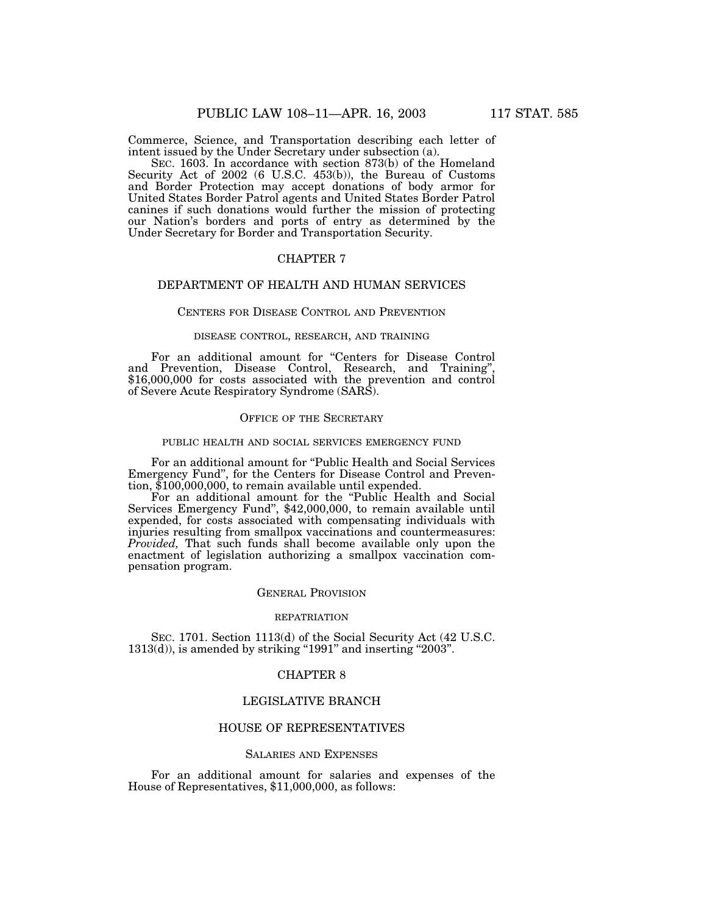Commerce, Science, and Transportation describing each letter of intent issued by the Under Secretary under subsection (a).

SEC. 1603. In accordance with section 873(b) of the Homeland Security Act of 2002 (6 U.S.C. 453(b)), the Bureau of Customs and Border Protection may accept donations of body armor for United States Border Patrol agents and United States Border Patrol canines if such donations would further the mission of protecting our Nation's borders and ports of entry as determined by the Under Secretary for Border and Transportation Security.

## CHAPTER 7

## DEPARTMENT OF HEALTH AND HUMAN SERVICES

## CENTERS FOR DISEASE CONTROL AND PREVENTION

### DISEASE CONTROL, RESEARCH, AND TRAINING

For an additional amount for "Centers for Disease Control and Prevention, Disease Control, Research, and Training" \$16,000,000 for costs associated with the prevention and control of Severe Acute Respiratory Syndrome (SARS).

## OFFICE OF THE SECRETARY

### PUBLIC HEALTH AND SOCIAL SERVICES EMERGENCY FUND

For an additional amount for ''Public Health and Social Services Emergency Fund'', for the Centers for Disease Control and Prevention, \$100,000,000, to remain available until expended.

For an additional amount for the "Public Health and Social Services Emergency Fund'', \$42,000,000, to remain available until expended, for costs associated with compensating individuals with injuries resulting from smallpox vaccinations and countermeasures: *Provided,* That such funds shall become available only upon the enactment of legislation authorizing a smallpox vaccination compensation program.

## GENERAL PROVISION

#### REPATRIATION

SEC. 1701. Section 1113(d) of the Social Security Act (42 U.S.C.  $1313(d)$ , is amended by striking "1991" and inserting "2003".

### CHAPTER 8

### LEGISLATIVE BRANCH

### HOUSE OF REPRESENTATIVES

### SALARIES AND EXPENSES

For an additional amount for salaries and expenses of the House of Representatives, \$11,000,000, as follows: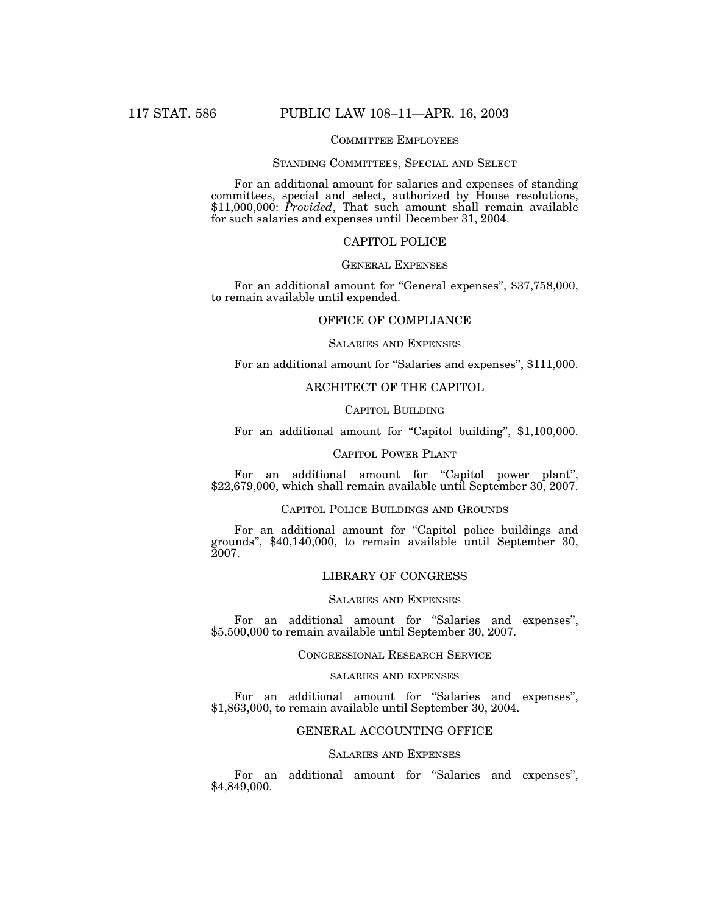## COMMITTEE EMPLOYEES

#### STANDING COMMITTEES, SPECIAL AND SELECT

For an additional amount for salaries and expenses of standing committees, special and select, authorized by House resolutions, \$11,000,000: *Provided*, That such amount shall remain available for such salaries and expenses until December 31, 2004.

## CAPITOL POLICE

## GENERAL EXPENSES

For an additional amount for "General expenses", \$37,758,000, to remain available until expended.

## OFFICE OF COMPLIANCE

## SALARIES AND EXPENSES

For an additional amount for "Salaries and expenses", \$111,000.

## ARCHITECT OF THE CAPITOL

### CAPITOL BUILDING

For an additional amount for "Capitol building", \$1,100,000.

### CAPITOL POWER PLANT

For an additional amount for "Capitol power plant", \$22,679,000, which shall remain available until September 30, 2007.

## CAPITOL POLICE BUILDINGS AND GROUNDS

For an additional amount for "Capitol police buildings and grounds'', \$40,140,000, to remain available until September 30, 2007.

## LIBRARY OF CONGRESS

### SALARIES AND EXPENSES

For an additional amount for "Salaries and expenses", \$5,500,000 to remain available until September 30, 2007.

### CONGRESSIONAL RESEARCH SERVICE

### SALARIES AND EXPENSES

For an additional amount for "Salaries and expenses", \$1,863,000, to remain available until September 30, 2004.

## GENERAL ACCOUNTING OFFICE

## SALARIES AND EXPENSES

For an additional amount for "Salaries and expenses", \$4,849,000.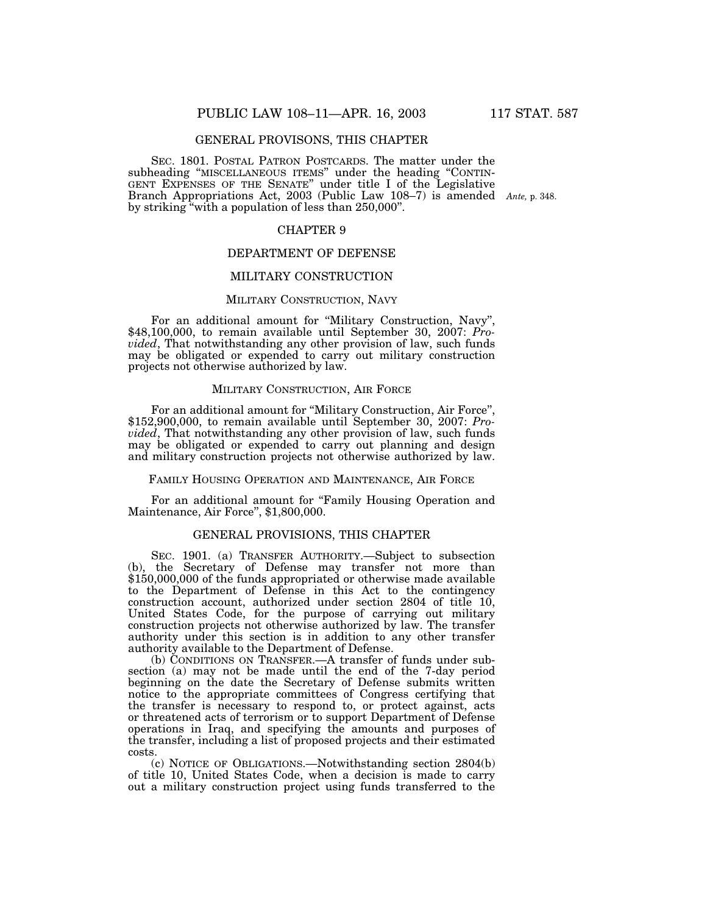## GENERAL PROVISONS, THIS CHAPTER

SEC. 1801. POSTAL PATRON POSTCARDS. The matter under the subheading "MISCELLANEOUS ITEMS" under the heading "CONTIN-GENT EXPENSES OF THE SENATE'' under title I of the Legislative Branch Appropriations Act, 2003 (Public Law 108–7) is amended Ante, p. 348. by striking ''with a population of less than 250,000''.

## CHAPTER 9

## DEPARTMENT OF DEFENSE

## MILITARY CONSTRUCTION

## MILITARY CONSTRUCTION, NAVY

For an additional amount for ''Military Construction, Navy'', \$48,100,000, to remain available until September 30, 2007: *Provided*, That notwithstanding any other provision of law, such funds may be obligated or expended to carry out military construction projects not otherwise authorized by law.

### MILITARY CONSTRUCTION, AIR FORCE

For an additional amount for ''Military Construction, Air Force'', \$152,900,000, to remain available until September 30, 2007: *Provided*, That notwithstanding any other provision of law, such funds may be obligated or expended to carry out planning and design and military construction projects not otherwise authorized by law.

#### FAMILY HOUSING OPERATION AND MAINTENANCE, AIR FORCE

For an additional amount for "Family Housing Operation and Maintenance, Air Force'', \$1,800,000.

## GENERAL PROVISIONS, THIS CHAPTER

SEC. 1901. (a) TRANSFER AUTHORITY.—Subject to subsection (b), the Secretary of Defense may transfer not more than \$150,000,000 of the funds appropriated or otherwise made available to the Department of Defense in this Act to the contingency construction account, authorized under section 2804 of title 10, United States Code, for the purpose of carrying out military construction projects not otherwise authorized by law. The transfer authority under this section is in addition to any other transfer authority available to the Department of Defense.

(b) CONDITIONS ON TRANSFER.—A transfer of funds under subsection (a) may not be made until the end of the 7-day period beginning on the date the Secretary of Defense submits written notice to the appropriate committees of Congress certifying that the transfer is necessary to respond to, or protect against, acts or threatened acts of terrorism or to support Department of Defense operations in Iraq, and specifying the amounts and purposes of the transfer, including a list of proposed projects and their estimated costs.

(c) NOTICE OF OBLIGATIONS.—Notwithstanding section 2804(b) of title 10, United States Code, when a decision is made to carry out a military construction project using funds transferred to the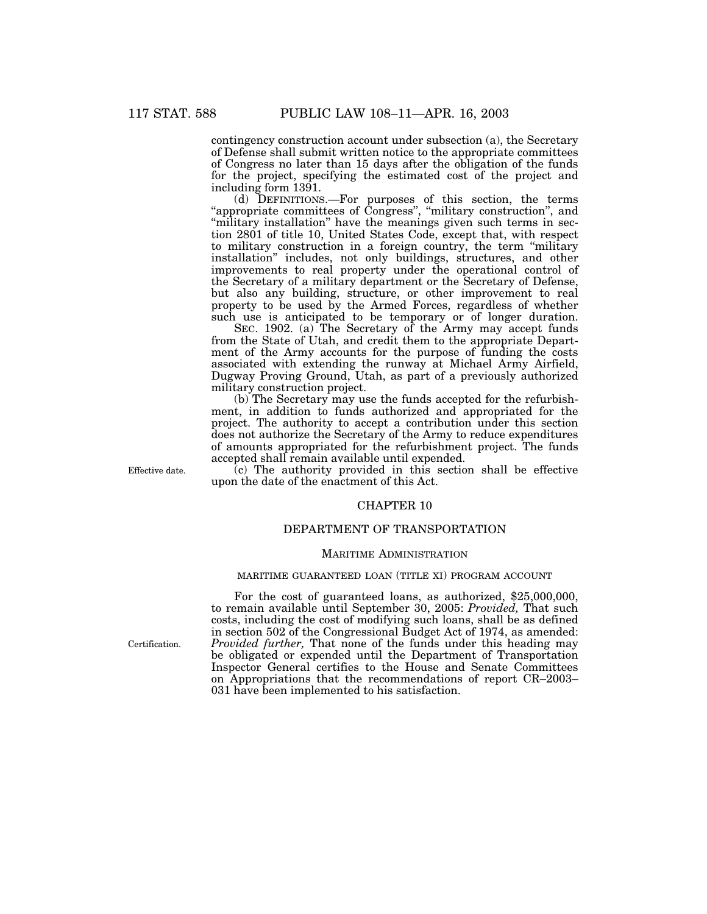contingency construction account under subsection (a), the Secretary of Defense shall submit written notice to the appropriate committees of Congress no later than 15 days after the obligation of the funds for the project, specifying the estimated cost of the project and including form 1391.

(d) DEFINITIONS.—For purposes of this section, the terms "appropriate committees of Congress", "military construction", and "military installation" have the meanings given such terms in section 2801 of title 10, United States Code, except that, with respect to military construction in a foreign country, the term ''military installation'' includes, not only buildings, structures, and other improvements to real property under the operational control of the Secretary of a military department or the Secretary of Defense, but also any building, structure, or other improvement to real property to be used by the Armed Forces, regardless of whether such use is anticipated to be temporary or of longer duration.

SEC. 1902. (a) The Secretary of the Army may accept funds from the State of Utah, and credit them to the appropriate Department of the Army accounts for the purpose of funding the costs associated with extending the runway at Michael Army Airfield, Dugway Proving Ground, Utah, as part of a previously authorized military construction project.

(b) The Secretary may use the funds accepted for the refurbishment, in addition to funds authorized and appropriated for the project. The authority to accept a contribution under this section does not authorize the Secretary of the Army to reduce expenditures of amounts appropriated for the refurbishment project. The funds accepted shall remain available until expended.

Effective date.

(c) The authority provided in this section shall be effective upon the date of the enactment of this Act.

## CHAPTER 10

### DEPARTMENT OF TRANSPORTATION

#### MARITIME ADMINISTRATION

### MARITIME GUARANTEED LOAN (TITLE XI) PROGRAM ACCOUNT

For the cost of guaranteed loans, as authorized, \$25,000,000, to remain available until September 30, 2005: *Provided*, That such costs, including the cost of modifying such loans, shall be as defined in section 502 of the Congressional Budget Act of 1974, as amended: *Provided further,* That none of the funds under this heading may be obligated or expended until the Department of Transportation Inspector General certifies to the House and Senate Committees on Appropriations that the recommendations of report CR–2003– 031 have been implemented to his satisfaction.

Certification.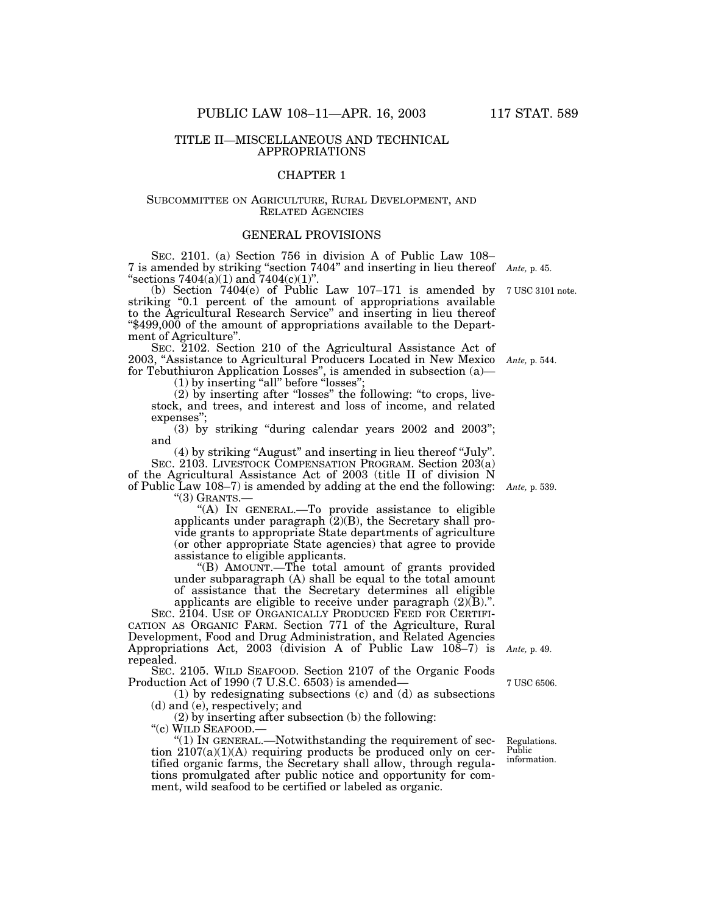### TITLE II—MISCELLANEOUS AND TECHNICAL APPROPRIATIONS

## CHAPTER 1

## SUBCOMMITTEE ON AGRICULTURE, RURAL DEVELOPMENT, AND RELATED AGENCIES

## GENERAL PROVISIONS

SEC. 2101. (a) Section 756 in division A of Public Law 108– 7 is amended by striking ''section 7404'' and inserting in lieu thereof "sections  $7404(a)(1)$  and  $7404(c)(1)$ ".

(b) Section  $7404(e)$  of Public Law  $107-171$  is amended by  $7 \text{ USC } 3101 \text{ note.}$ striking "0.1 percent of the amount of appropriations available to the Agricultural Research Service'' and inserting in lieu thereof ''\$499,000 of the amount of appropriations available to the Department of Agriculture''.

SEC. 2102. Section 210 of the Agricultural Assistance Act of 2003, ''Assistance to Agricultural Producers Located in New Mexico for Tebuthiuron Application Losses'', is amended in subsection (a)—

 $(1)$  by inserting "all" before "losses";

(2) by inserting after ''losses'' the following: ''to crops, livestock, and trees, and interest and loss of income, and related expenses'';

(3) by striking ''during calendar years 2002 and 2003''; and

(4) by striking ''August'' and inserting in lieu thereof ''July''. SEC. 2103. LIVESTOCK COMPENSATION PROGRAM. Section 203(a) of the Agricultural Assistance Act of 2003 (title II of division N of Public Law 108–7) is amended by adding at the end the following: *Ante,* p. 539.

''(3) GRANTS.—

"(A) IN GENERAL.—To provide assistance to eligible applicants under paragraph  $(2)(B)$ , the Secretary shall provide grants to appropriate State departments of agriculture (or other appropriate State agencies) that agree to provide assistance to eligible applicants.

''(B) AMOUNT.—The total amount of grants provided under subparagraph (A) shall be equal to the total amount of assistance that the Secretary determines all eligible applicants are eligible to receive under paragraph (2)(B).''.

SEC. 2104. USE OF ORGANICALLY PRODUCED FEED FOR CERTIFI-CATION AS ORGANIC FARM. Section 771 of the Agriculture, Rural Development, Food and Drug Administration, and Related Agencies Appropriations Act, 2003 (division A of Public Law 108–7) is *Ante,* p. 49. repealed.

SEC. 2105. WILD SEAFOOD. Section 2107 of the Organic Foods Production Act of 1990 (7 U.S.C. 6503) is amended—

(1) by redesignating subsections (c) and (d) as subsections (d) and (e), respectively; and

(2) by inserting after subsection (b) the following:

"(c) WILD SEAFOOD.

" $(1)$  In GENERAL.—Notwithstanding the requirement of section  $2107(a)(1)(A)$  requiring products be produced only on certified organic farms, the Secretary shall allow, through regulations promulgated after public notice and opportunity for comment, wild seafood to be certified or labeled as organic.

Regulations.

7 USC 6506.

Public information.

*Ante,* p. 45.

*Ante,* p. 544.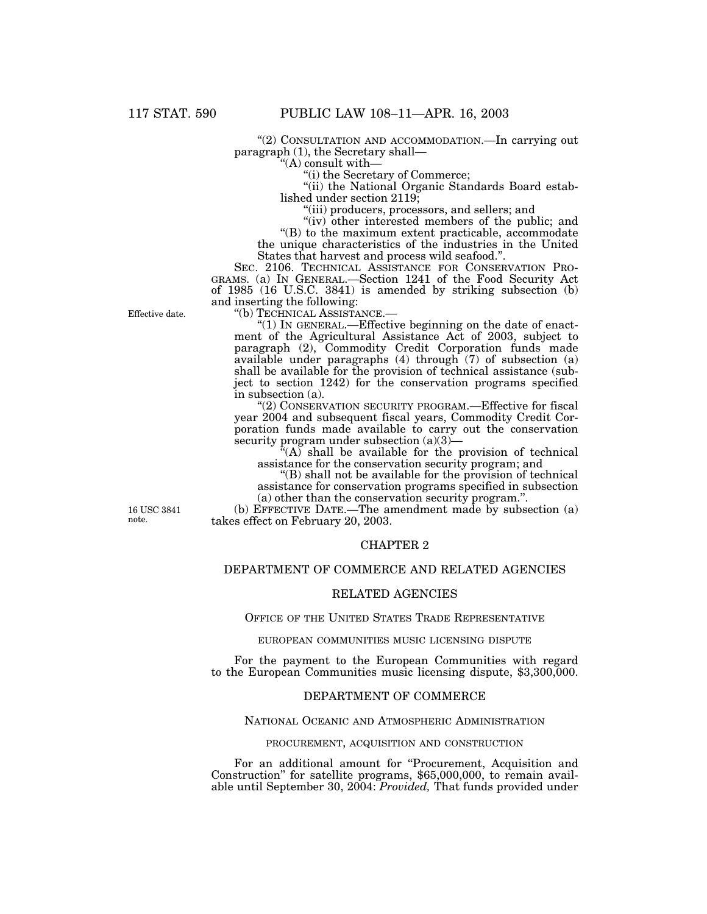''(2) CONSULTATION AND ACCOMMODATION.—In carrying out paragraph (1), the Secretary shall—

''(A) consult with—

''(i) the Secretary of Commerce;

"(ii) the National Organic Standards Board established under section 2119;

''(iii) producers, processors, and sellers; and

"(iv) other interested members of the public; and

''(B) to the maximum extent practicable, accommodate the unique characteristics of the industries in the United

States that harvest and process wild seafood.".<br>SEC. 2106. TECHNICAL ASSISTANCE FOR CONSERVATION PRO-GRAMS. (a) IN GENERAL. - Section 1241 of the Food Security Act of 1985 (16 U.S.C. 3841) is amended by striking subsection (b) and inserting the following:<br>"(b) TECHNICAL ASSISTANCE.—

Effective date.

"(1) IN GENERAL.—Effective beginning on the date of enactment of the Agricultural Assistance Act of 2003, subject to paragraph (2), Commodity Credit Corporation funds made available under paragraphs (4) through (7) of subsection (a) shall be available for the provision of technical assistance (subject to section 1242) for the conservation programs specified in subsection (a).

"(2) CONSERVATION SECURITY PROGRAM.—Effective for fiscal year 2004 and subsequent fiscal years, Commodity Credit Corporation funds made available to carry out the conservation security program under subsection (a)(3)—

 $(A)$  shall be available for the provision of technical assistance for the conservation security program; and

''(B) shall not be available for the provision of technical assistance for conservation programs specified in subsection (a) other than the conservation security program.''.

(b) EFFECTIVE DATE.—The amendment made by subsection (a) takes effect on February 20, 2003.

## CHAPTER 2

## DEPARTMENT OF COMMERCE AND RELATED AGENCIES

## RELATED AGENCIES

### OFFICE OF THE UNITED STATES TRADE REPRESENTATIVE

EUROPEAN COMMUNITIES MUSIC LICENSING DISPUTE

For the payment to the European Communities with regard to the European Communities music licensing dispute, \$3,300,000.

#### DEPARTMENT OF COMMERCE

#### NATIONAL OCEANIC AND ATMOSPHERIC ADMINISTRATION

### PROCUREMENT, ACQUISITION AND CONSTRUCTION

For an additional amount for "Procurement, Acquisition and Construction" for satellite programs, \$65,000,000, to remain available until September 30, 2004: *Provided,* That funds provided under

16 USC 3841 note.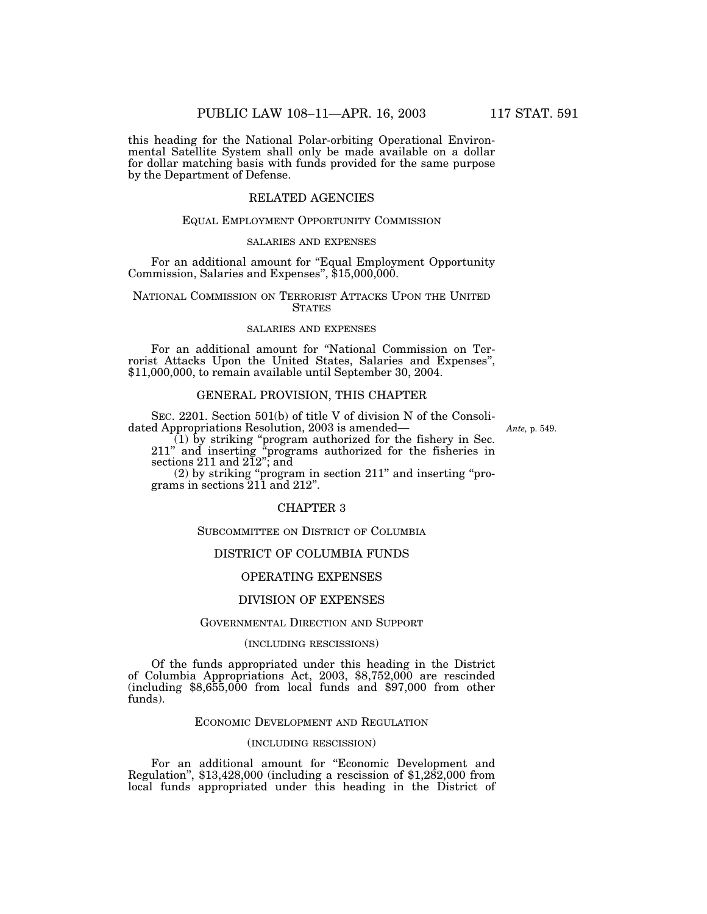this heading for the National Polar-orbiting Operational Environmental Satellite System shall only be made available on a dollar for dollar matching basis with funds provided for the same purpose by the Department of Defense.

## RELATED AGENCIES

### EQUAL EMPLOYMENT OPPORTUNITY COMMISSION

### SALARIES AND EXPENSES

For an additional amount for "Equal Employment Opportunity" Commission, Salaries and Expenses'', \$15,000,000.

### NATIONAL COMMISSION ON TERRORIST ATTACKS UPON THE UNITED **STATES**

#### SALARIES AND EXPENSES

For an additional amount for ''National Commission on Terrorist Attacks Upon the United States, Salaries and Expenses'', \$11,000,000, to remain available until September 30, 2004.

## GENERAL PROVISION, THIS CHAPTER

SEC. 2201. Section 501(b) of title V of division N of the Consolidated Appropriations Resolution, 2003 is amended—

*Ante,* p. 549.

(1) by striking ''program authorized for the fishery in Sec. 211'' and inserting ''programs authorized for the fisheries in sections 211 and 212''; and

(2) by striking ''program in section 211'' and inserting ''programs in sections 211 and 212''.

## CHAPTER 3

### SUBCOMMITTEE ON DISTRICT OF COLUMBIA

### DISTRICT OF COLUMBIA FUNDS

## OPERATING EXPENSES

### DIVISION OF EXPENSES

## GOVERNMENTAL DIRECTION AND SUPPORT

### (INCLUDING RESCISSIONS)

Of the funds appropriated under this heading in the District of Columbia Appropriations Act, 2003, \$8,752,000 are rescinded (including \$8,655,000 from local funds and \$97,000 from other funds).

## ECONOMIC DEVELOPMENT AND REGULATION

### (INCLUDING RESCISSION)

For an additional amount for "Economic Development and Regulation",  $$13,428,000$  (including a rescission of  $$1,282,000$  from local funds appropriated under this heading in the District of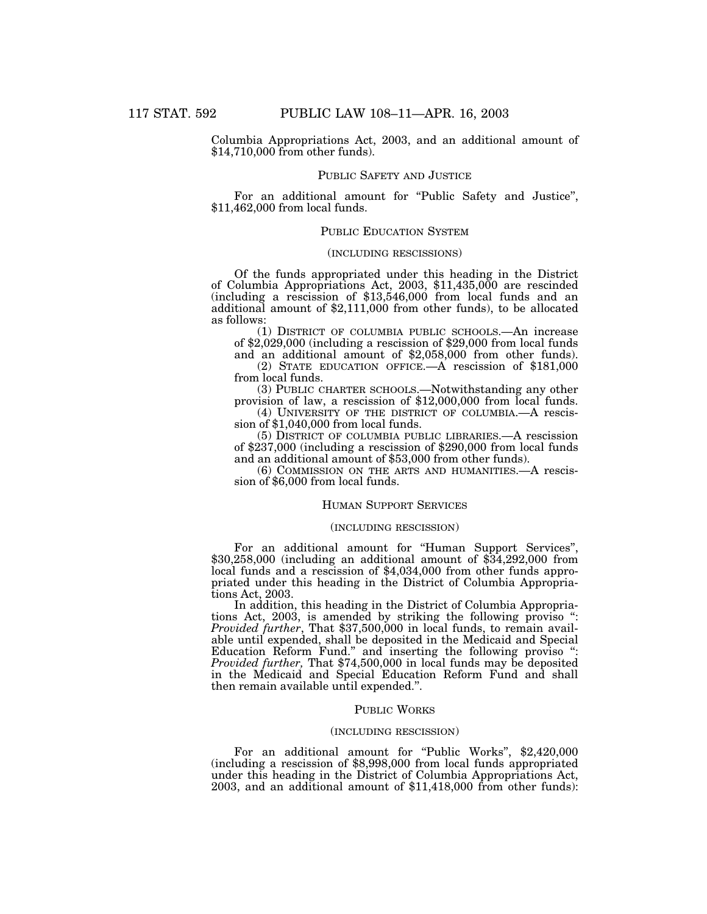Columbia Appropriations Act, 2003, and an additional amount of \$14,710,000 from other funds).

### PUBLIC SAFETY AND JUSTICE

For an additional amount for "Public Safety and Justice",  $$11,462,000$  from local funds.

## PUBLIC EDUCATION SYSTEM

## (INCLUDING RESCISSIONS)

Of the funds appropriated under this heading in the District of Columbia Appropriations Act, 2003, \$11,435,000 are rescinded (including a rescission of \$13,546,000 from local funds and an additional amount of \$2,111,000 from other funds), to be allocated as follows:

(1) DISTRICT OF COLUMBIA PUBLIC SCHOOLS.—An increase of \$2,029,000 (including a rescission of \$29,000 from local funds and an additional amount of \$2,058,000 from other funds).

(2) STATE EDUCATION OFFICE.—A rescission of \$181,000

from local funds.<br>(3) PUBLIC CHARTER SCHOOLS.—Notwithstanding any other provision of law, a rescission of  $$12,000,000$  from local funds.

(4) UNIVERSITY OF THE DISTRICT OF COLUMBIA.—A rescission of \$1,040,000 from local funds.

(5) DISTRICT OF COLUMBIA PUBLIC LIBRARIES.—A rescission of \$237,000 (including a rescission of \$290,000 from local funds and an additional amount of \$53,000 from other funds).

(6) COMMISSION ON THE ARTS AND HUMANITIES.—A rescission of \$6,000 from local funds.

## HUMAN SUPPORT SERVICES

### (INCLUDING RESCISSION)

For an additional amount for ''Human Support Services'', \$30,258,000 (including an additional amount of \$34,292,000 from local funds and a rescission of \$4,034,000 from other funds appropriated under this heading in the District of Columbia Appropriations Act, 2003.

In addition, this heading in the District of Columbia Appropriations Act, 2003, is amended by striking the following proviso '': *Provided further*, That \$37,500,000 in local funds, to remain available until expended, shall be deposited in the Medicaid and Special Education Reform Fund.'' and inserting the following proviso '': *Provided further,* That \$74,500,000 in local funds may be deposited in the Medicaid and Special Education Reform Fund and shall then remain available until expended.''.

### PUBLIC WORKS

#### (INCLUDING RESCISSION)

For an additional amount for "Public Works", \$2,420,000 (including a rescission of \$8,998,000 from local funds appropriated under this heading in the District of Columbia Appropriations Act, 2003, and an additional amount of \$11,418,000 from other funds):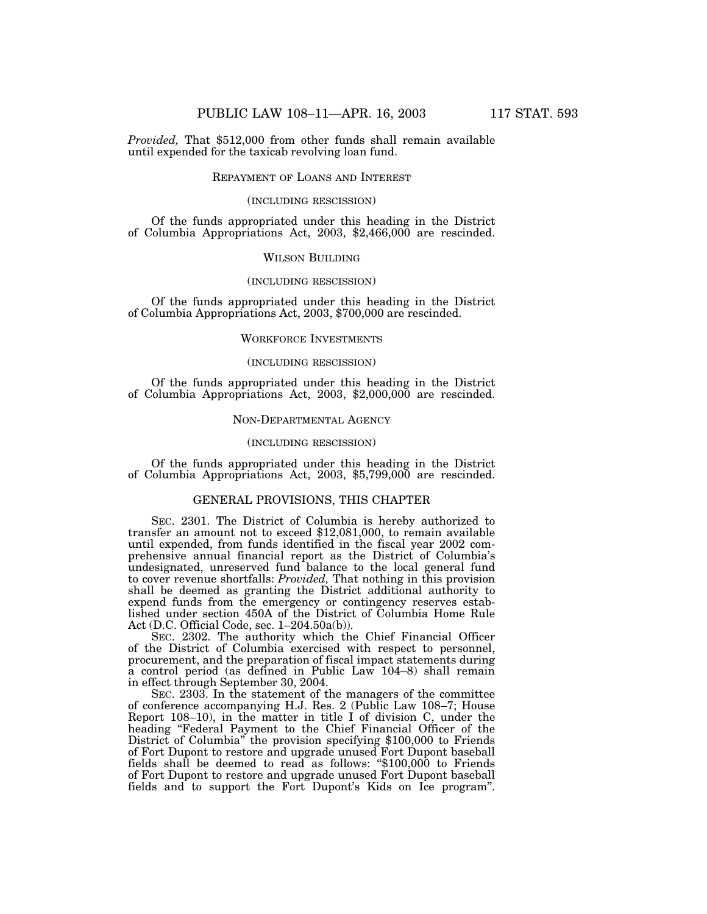*Provided,* That \$512,000 from other funds shall remain available until expended for the taxicab revolving loan fund.

### REPAYMENT OF LOANS AND INTEREST

#### (INCLUDING RESCISSION)

Of the funds appropriated under this heading in the District of Columbia Appropriations Act, 2003, \$2,466,000 are rescinded.

### WILSON BUILDING

### (INCLUDING RESCISSION)

Of the funds appropriated under this heading in the District of Columbia Appropriations Act, 2003, \$700,000 are rescinded.

### WORKFORCE INVESTMENTS

### (INCLUDING RESCISSION)

Of the funds appropriated under this heading in the District of Columbia Appropriations Act, 2003, \$2,000,000 are rescinded.

### NON-DEPARTMENTAL AGENCY

#### (INCLUDING RESCISSION)

Of the funds appropriated under this heading in the District of Columbia Appropriations Act, 2003, \$5,799,000 are rescinded.

## GENERAL PROVISIONS, THIS CHAPTER

SEC. 2301. The District of Columbia is hereby authorized to transfer an amount not to exceed \$12,081,000, to remain available until expended, from funds identified in the fiscal year 2002 comprehensive annual financial report as the District of Columbia's undesignated, unreserved fund balance to the local general fund to cover revenue shortfalls: *Provided,* That nothing in this provision shall be deemed as granting the District additional authority to expend funds from the emergency or contingency reserves established under section 450A of the District of Columbia Home Rule Act (D.C. Official Code, sec. 1–204.50a(b)).

SEC. 2302. The authority which the Chief Financial Officer of the District of Columbia exercised with respect to personnel, procurement, and the preparation of fiscal impact statements during a control period (as defined in Public Law 104–8) shall remain in effect through September 30, 2004.

SEC. 2303. In the statement of the managers of the committee of conference accompanying H.J. Res. 2 (Public Law 108–7; House Report 108–10), in the matter in title I of division C, under the heading ''Federal Payment to the Chief Financial Officer of the District of Columbia'' the provision specifying \$100,000 to Friends of Fort Dupont to restore and upgrade unused Fort Dupont baseball fields shall be deemed to read as follows: "\$100,000 to Friends" of Fort Dupont to restore and upgrade unused Fort Dupont baseball fields and to support the Fort Dupont's Kids on Ice program''.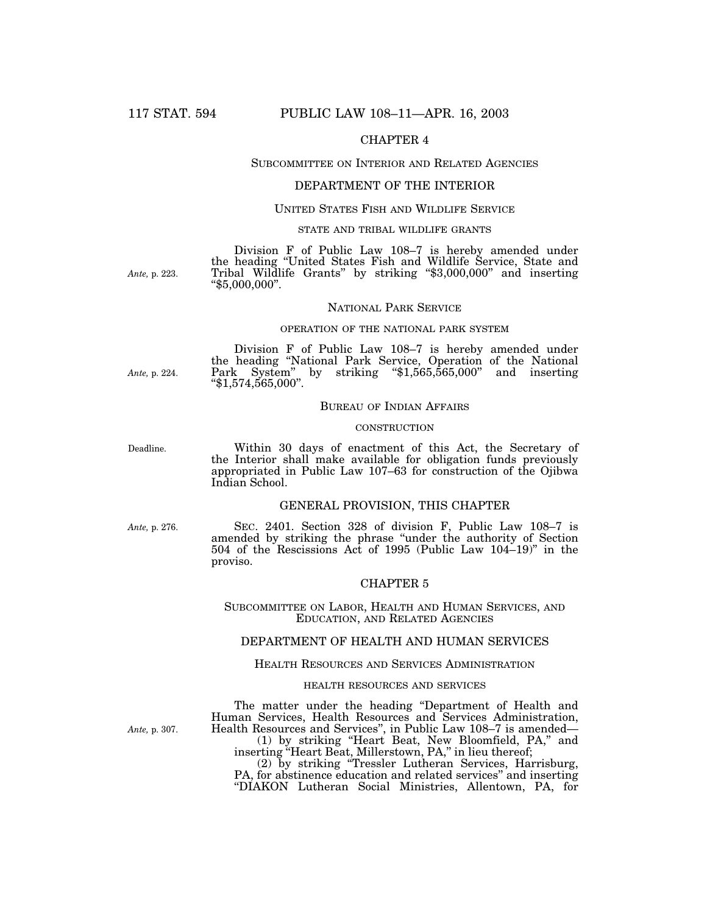## CHAPTER 4

## SUBCOMMITTEE ON INTERIOR AND RELATED AGENCIES

### DEPARTMENT OF THE INTERIOR

## UNITED STATES FISH AND WILDLIFE SERVICE

### STATE AND TRIBAL WILDLIFE GRANTS

Division F of Public Law 108–7 is hereby amended under the heading ''United States Fish and Wildlife Service, State and Tribal Wildlife Grants'' by striking ''\$3,000,000'' and inserting ''\$5,000,000''.

### NATIONAL PARK SERVICE

#### OPERATION OF THE NATIONAL PARK SYSTEM

Division F of Public Law 108–7 is hereby amended under the heading ''National Park Service, Operation of the National Park System'' by striking ''\$1,565,565,000'' and inserting ''\$1,574,565,000''.

## BUREAU OF INDIAN AFFAIRS

### **CONSTRUCTION**

Within 30 days of enactment of this Act, the Secretary of the Interior shall make available for obligation funds previously appropriated in Public Law 107–63 for construction of the Ojibwa Indian School.

#### GENERAL PROVISION, THIS CHAPTER

*Ante,* p. 276.

SEC. 2401. Section 328 of division F, Public Law 108–7 is amended by striking the phrase ''under the authority of Section 504 of the Rescissions Act of 1995 (Public Law 104–19)'' in the proviso.

## CHAPTER 5

SUBCOMMITTEE ON LABOR, HEALTH AND HUMAN SERVICES, AND EDUCATION, AND RELATED AGENCIES

## DEPARTMENT OF HEALTH AND HUMAN SERVICES

#### HEALTH RESOURCES AND SERVICES ADMINISTRATION

### HEALTH RESOURCES AND SERVICES

The matter under the heading ''Department of Health and Human Services, Health Resources and Services Administration, Health Resources and Services'', in Public Law 108–7 is amended—

(1) by striking ''Heart Beat, New Bloomfield, PA,'' and inserting ''Heart Beat, Millerstown, PA,'' in lieu thereof;

(2) by striking ''Tressler Lutheran Services, Harrisburg, PA, for abstinence education and related services" and inserting ''DIAKON Lutheran Social Ministries, Allentown, PA, for

*Ante,* p. 307.

*Ante,* p. 224.

*Ante,* p. 223.

Deadline.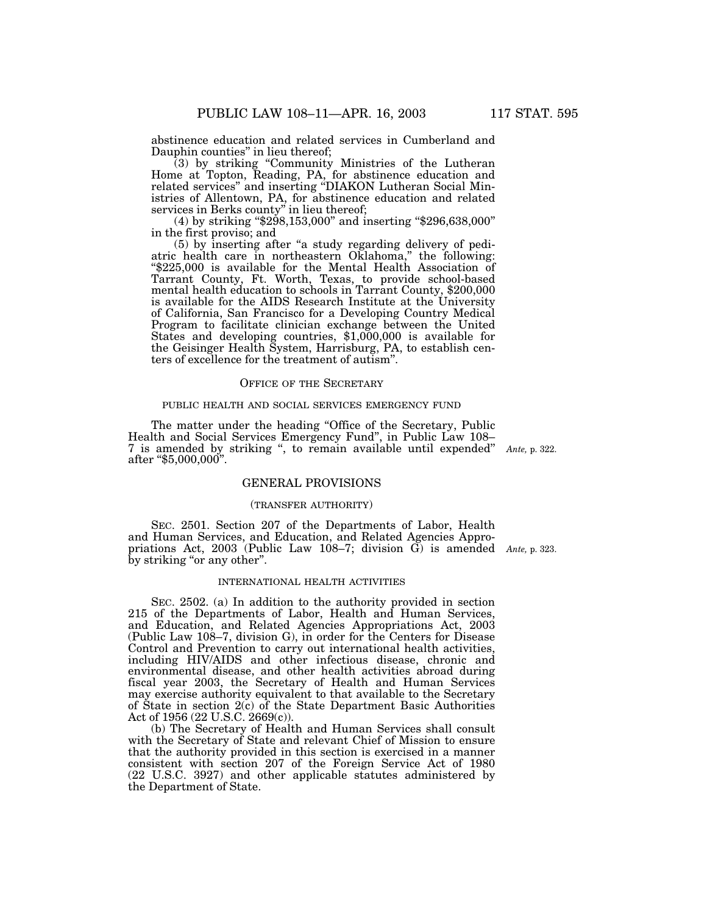abstinence education and related services in Cumberland and Dauphin counties'' in lieu thereof;

(3) by striking ''Community Ministries of the Lutheran Home at Topton, Reading, PA, for abstinence education and related services'' and inserting ''DIAKON Lutheran Social Ministries of Allentown, PA, for abstinence education and related services in Berks county" in lieu thereof;

(4) by striking ''\$298,153,000'' and inserting ''\$296,638,000'' in the first proviso; and

(5) by inserting after "a study regarding delivery of pediatric health care in northeastern Oklahoma,'' the following: ''\$225,000 is available for the Mental Health Association of Tarrant County, Ft. Worth, Texas, to provide school-based mental health education to schools in Tarrant County, \$200,000 is available for the AIDS Research Institute at the University of California, San Francisco for a Developing Country Medical Program to facilitate clinician exchange between the United States and developing countries, \$1,000,000 is available for the Geisinger Health System, Harrisburg, PA, to establish centers of excellence for the treatment of autism''.

#### OFFICE OF THE SECRETARY

#### PUBLIC HEALTH AND SOCIAL SERVICES EMERGENCY FUND

The matter under the heading "Office of the Secretary, Public Health and Social Services Emergency Fund'', in Public Law 108– 7 is amended by striking '', to remain available until expended'' *Ante,* p. 322. after ''\$5,000,000''.

### GENERAL PROVISIONS

#### (TRANSFER AUTHORITY)

SEC. 2501. Section 207 of the Departments of Labor, Health and Human Services, and Education, and Related Agencies Appropriations Act, 2003 (Public Law 108–7; division G) is amended *Ante,* p. 323. by striking "or any other".

### INTERNATIONAL HEALTH ACTIVITIES

SEC. 2502. (a) In addition to the authority provided in section 215 of the Departments of Labor, Health and Human Services, and Education, and Related Agencies Appropriations Act, 2003 (Public Law 108–7, division G), in order for the Centers for Disease Control and Prevention to carry out international health activities, including HIV/AIDS and other infectious disease, chronic and environmental disease, and other health activities abroad during fiscal year 2003, the Secretary of Health and Human Services may exercise authority equivalent to that available to the Secretary of State in section 2(c) of the State Department Basic Authorities Act of 1956 (22 U.S.C. 2669(c)).

(b) The Secretary of Health and Human Services shall consult with the Secretary of State and relevant Chief of Mission to ensure that the authority provided in this section is exercised in a manner consistent with section 207 of the Foreign Service Act of 1980 (22 U.S.C. 3927) and other applicable statutes administered by the Department of State.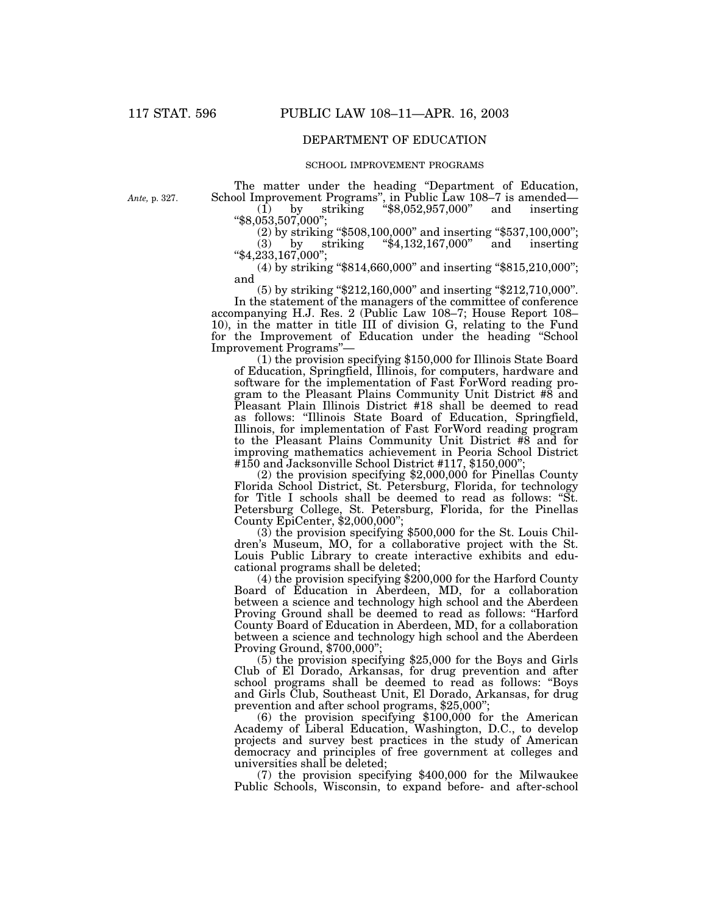## DEPARTMENT OF EDUCATION

### SCHOOL IMPROVEMENT PROGRAMS

*Ante,* p. 327.

The matter under the heading ''Department of Education, School Improvement Programs'', in Public Law 108–7 is amended— (1) by striking ''\$8,052,957,000'' and inserting

''\$8,053,507,000'';

(2) by striking "\$508,100,000" and inserting "\$537,100,000";<br>(3) by striking "\$4,132,167,000" and inserting (3) by striking ''\$4,132,167,000'' and inserting

''\$4,233,167,000''; (4) by striking ''\$814,660,000'' and inserting ''\$815,210,000'';

and  $(5)$  by striking "\$212,160,000" and inserting "\$212,710,000". In the statement of the managers of the committee of conference

accompanying H.J. Res. 2 (Public Law 108–7; House Report 108– 10), in the matter in title III of division G, relating to the Fund for the Improvement of Education under the heading ''School Improvement Programs''—

(1) the provision specifying \$150,000 for Illinois State Board of Education, Springfield, Illinois, for computers, hardware and software for the implementation of Fast ForWord reading program to the Pleasant Plains Community Unit District #8 and Pleasant Plain Illinois District #18 shall be deemed to read as follows: ''Illinois State Board of Education, Springfield, Illinois, for implementation of Fast ForWord reading program to the Pleasant Plains Community Unit District #8 and for improving mathematics achievement in Peoria School District #150 and Jacksonville School District #117, \$150,000'';

(2) the provision specifying \$2,000,000 for Pinellas County Florida School District, St. Petersburg, Florida, for technology for Title I schools shall be deemed to read as follows: ''St. Petersburg College, St. Petersburg, Florida, for the Pinellas County EpiCenter, \$2,000,000'';

(3) the provision specifying \$500,000 for the St. Louis Children's Museum, MO, for a collaborative project with the St. Louis Public Library to create interactive exhibits and educational programs shall be deleted;

(4) the provision specifying \$200,000 for the Harford County Board of Education in Aberdeen, MD, for a collaboration between a science and technology high school and the Aberdeen Proving Ground shall be deemed to read as follows: ''Harford County Board of Education in Aberdeen, MD, for a collaboration between a science and technology high school and the Aberdeen Proving Ground, \$700,000'';

(5) the provision specifying \$25,000 for the Boys and Girls Club of El Dorado, Arkansas, for drug prevention and after school programs shall be deemed to read as follows: ''Boys and Girls Club, Southeast Unit, El Dorado, Arkansas, for drug prevention and after school programs, \$25,000'';

(6) the provision specifying \$100,000 for the American Academy of Liberal Education, Washington, D.C., to develop projects and survey best practices in the study of American democracy and principles of free government at colleges and universities shall be deleted;

(7) the provision specifying \$400,000 for the Milwaukee Public Schools, Wisconsin, to expand before- and after-school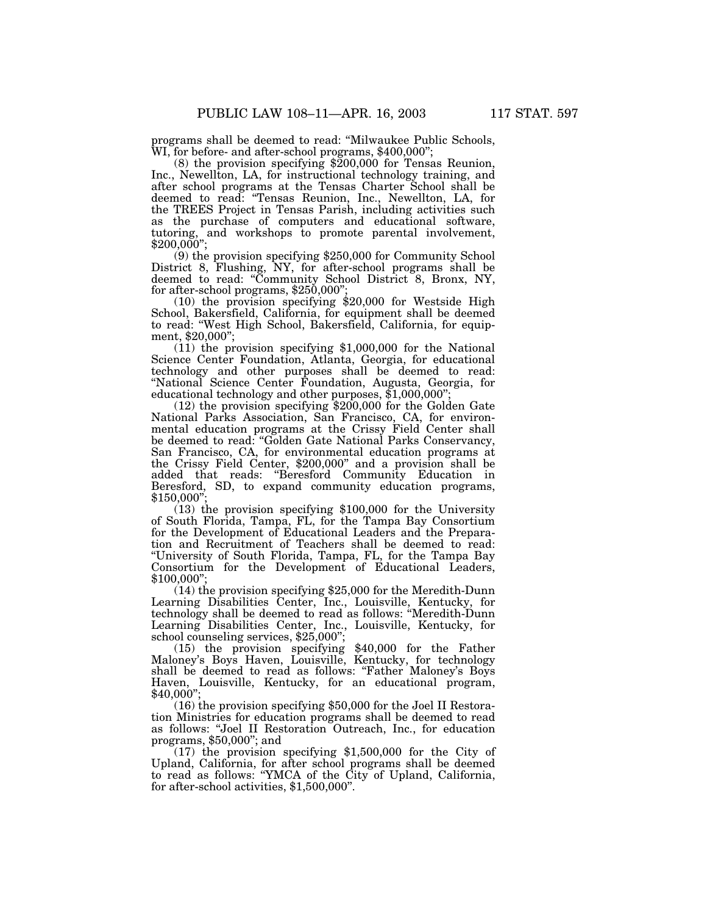programs shall be deemed to read: ''Milwaukee Public Schools, WI, for before- and after-school programs, \$400,000''; (8) the provision specifying \$200,000 for Tensas Reunion,

Inc., Newellton, LA, for instructional technology training, and after school programs at the Tensas Charter School shall be deemed to read: ''Tensas Reunion, Inc., Newellton, LA, for the TREES Project in Tensas Parish, including activities such as the purchase of computers and educational software, tutoring, and workshops to promote parental involvement,  $$200,000$ ";

(9) the provision specifying \$250,000 for Community School District 8, Flushing, NY, for after-school programs shall be deemed to read: "Community School District 8, Bronx, NY, for after-school programs,  $$250,000"$ 

(10) the provision specifying \$20,000 for Westside High School, Bakersfield, California, for equipment shall be deemed to read: ''West High School, Bakersfield, California, for equipment, \$20,000'';

(11) the provision specifying \$1,000,000 for the National Science Center Foundation, Atlanta, Georgia, for educational technology and other purposes shall be deemed to read: ''National Science Center Foundation, Augusta, Georgia, for educational technology and other purposes,  $$1,000,000"$ ;

(12) the provision specifying \$200,000 for the Golden Gate National Parks Association, San Francisco, CA, for environmental education programs at the Crissy Field Center shall be deemed to read: "Golden Gate National Parks Conservancy, San Francisco, CA, for environmental education programs at the Crissy Field Center, \$200,000'' and a provision shall be added that reads: ''Beresford Community Education in Beresford, SD, to expand community education programs,  $$150,000'$ 

(13) the provision specifying \$100,000 for the University of South Florida, Tampa, FL, for the Tampa Bay Consortium for the Development of Educational Leaders and the Preparation and Recruitment of Teachers shall be deemed to read: ''University of South Florida, Tampa, FL, for the Tampa Bay Consortium for the Development of Educational Leaders, \$100,000'';

(14) the provision specifying \$25,000 for the Meredith-Dunn Learning Disabilities Center, Inc., Louisville, Kentucky, for technology shall be deemed to read as follows: ''Meredith-Dunn Learning Disabilities Center, Inc., Louisville, Kentucky, for school counseling services, \$25,000'';

(15) the provision specifying \$40,000 for the Father Maloney's Boys Haven, Louisville, Kentucky, for technology shall be deemed to read as follows: "Father Maloney's Boys Haven, Louisville, Kentucky, for an educational program,  $$40,000"$ 

(16) the provision specifying \$50,000 for the Joel II Restoration Ministries for education programs shall be deemed to read as follows: ''Joel II Restoration Outreach, Inc., for education programs, \$50,000''; and

(17) the provision specifying \$1,500,000 for the City of Upland, California, for after school programs shall be deemed to read as follows: ''YMCA of the City of Upland, California, for after-school activities, \$1,500,000''.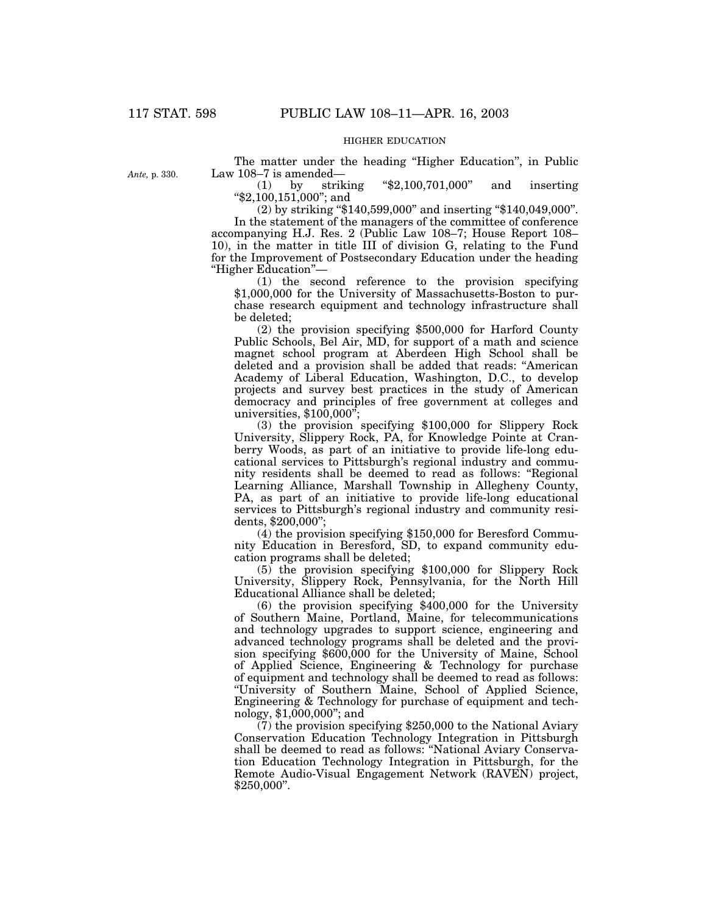## HIGHER EDUCATION

*Ante,* p. 330.

The matter under the heading "Higher Education", in Public Law 108–7 is amended—

(1) by striking ''\$2,100,701,000'' and inserting ''\$2,100,151,000''; and

(2) by striking ''\$140,599,000'' and inserting ''\$140,049,000''. In the statement of the managers of the committee of conference accompanying H.J. Res. 2 (Public Law 108–7; House Report 108– 10), in the matter in title III of division G, relating to the Fund for the Improvement of Postsecondary Education under the heading ''Higher Education''—

(1) the second reference to the provision specifying \$1,000,000 for the University of Massachusetts-Boston to purchase research equipment and technology infrastructure shall be deleted;

(2) the provision specifying \$500,000 for Harford County Public Schools, Bel Air, MD, for support of a math and science magnet school program at Aberdeen High School shall be deleted and a provision shall be added that reads: ''American Academy of Liberal Education, Washington, D.C., to develop projects and survey best practices in the study of American democracy and principles of free government at colleges and universities, \$100,000'';

(3) the provision specifying \$100,000 for Slippery Rock University, Slippery Rock, PA, for Knowledge Pointe at Cranberry Woods, as part of an initiative to provide life-long educational services to Pittsburgh's regional industry and community residents shall be deemed to read as follows: ''Regional Learning Alliance, Marshall Township in Allegheny County, PA, as part of an initiative to provide life-long educational services to Pittsburgh's regional industry and community residents, \$200,000'';

(4) the provision specifying \$150,000 for Beresford Community Education in Beresford, SD, to expand community education programs shall be deleted;

(5) the provision specifying \$100,000 for Slippery Rock University, Slippery Rock, Pennsylvania, for the North Hill Educational Alliance shall be deleted;

(6) the provision specifying \$400,000 for the University of Southern Maine, Portland, Maine, for telecommunications and technology upgrades to support science, engineering and advanced technology programs shall be deleted and the provision specifying \$600,000 for the University of Maine, School of Applied Science, Engineering & Technology for purchase of equipment and technology shall be deemed to read as follows: ''University of Southern Maine, School of Applied Science, Engineering & Technology for purchase of equipment and technology, \$1,000,000''; and

(7) the provision specifying \$250,000 to the National Aviary Conservation Education Technology Integration in Pittsburgh shall be deemed to read as follows: ''National Aviary Conservation Education Technology Integration in Pittsburgh, for the Remote Audio-Visual Engagement Network (RAVEN) project, \$250,000''.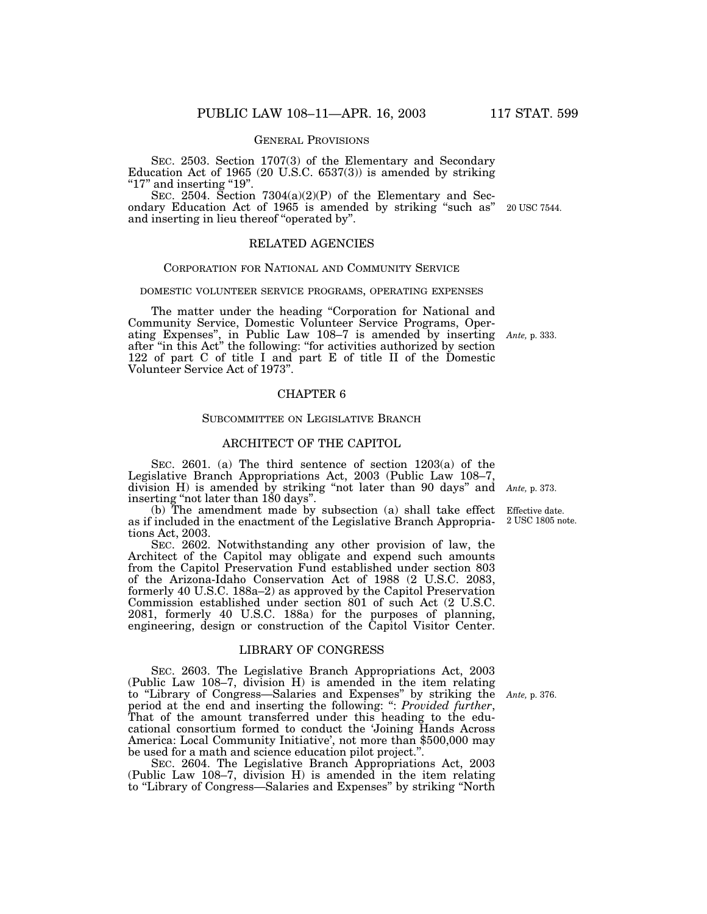### GENERAL PROVISIONS

SEC. 2503. Section 1707(3) of the Elementary and Secondary Education Act of 1965 (20 U.S.C. 6537(3)) is amended by striking " $17"$  and inserting " $19"$ .

SEC. 2504. Section 7304(a)(2)(P) of the Elementary and Secondary Education Act of 1965 is amended by striking ''such as'' and inserting in lieu thereof ''operated by''. 20 USC 7544.

### RELATED AGENCIES

### CORPORATION FOR NATIONAL AND COMMUNITY SERVICE

#### DOMESTIC VOLUNTEER SERVICE PROGRAMS, OPERATING EXPENSES

The matter under the heading "Corporation for National and Community Service, Domestic Volunteer Service Programs, Operating Expenses'', in Public Law 108–7 is amended by inserting after "in this Act" the following: "for activities authorized by section 122 of part C of title I and part E of title II of the Domestic Volunteer Service Act of 1973''.

## CHAPTER 6

## SUBCOMMITTEE ON LEGISLATIVE BRANCH

## ARCHITECT OF THE CAPITOL

SEC. 2601. (a) The third sentence of section 1203(a) of the Legislative Branch Appropriations Act, 2003 (Public Law 108–7, division H) is amended by striking ''not later than 90 days'' and *Ante,* p. 373. inserting ''not later than 180 days''.

(b) The amendment made by subsection (a) shall take effect as if included in the enactment of the Legislative Branch Appropriations Act, 2003.

SEC. 2602. Notwithstanding any other provision of law, the Architect of the Capitol may obligate and expend such amounts from the Capitol Preservation Fund established under section 803 of the Arizona-Idaho Conservation Act of 1988 (2 U.S.C. 2083, formerly 40 U.S.C. 188a–2) as approved by the Capitol Preservation Commission established under section 801 of such Act (2 U.S.C. 2081, formerly 40 U.S.C. 188a) for the purposes of planning, engineering, design or construction of the Capitol Visitor Center.

## LIBRARY OF CONGRESS

SEC. 2603. The Legislative Branch Appropriations Act, 2003 (Public Law 108–7, division H) is amended in the item relating to ''Library of Congress—Salaries and Expenses'' by striking the period at the end and inserting the following: '': *Provided further*, That of the amount transferred under this heading to the educational consortium formed to conduct the 'Joining Hands Across America: Local Community Initiative', not more than \$500,000 may be used for a math and science education pilot project.''.

SEC. 2604. The Legislative Branch Appropriations Act, 2003 (Public Law 108–7, division H) is amended in the item relating to "Library of Congress—Salaries and Expenses" by striking "North

Effective date. 2 USC 1805 note.

*Ante,* p. 333.

*Ante,* p. 376.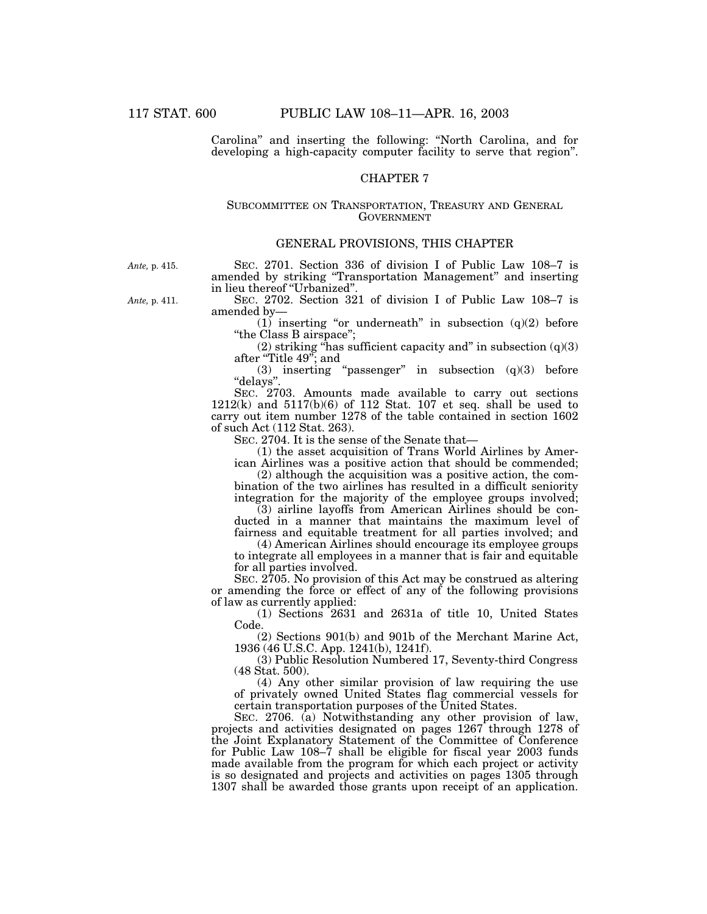Carolina'' and inserting the following: ''North Carolina, and for developing a high-capacity computer facility to serve that region''.

## CHAPTER 7

### SUBCOMMITTEE ON TRANSPORTATION, TREASURY AND GENERAL **GOVERNMENT**

### GENERAL PROVISIONS, THIS CHAPTER

*Ante,* p. 415.

SEC. 2701. Section 336 of division I of Public Law 108–7 is amended by striking ''Transportation Management'' and inserting in lieu thereof ''Urbanized''.

*Ante,* p. 411.

SEC. 2702. Section 321 of division I of Public Law 108–7 is amended by—

(1) inserting "or underneath" in subsection  $(q)(2)$  before "the Class B airspace";

(2) striking "has sufficient capacity and" in subsection  $(q)(3)$ after ''Title 49''; and

(3) inserting "passenger" in subsection  $(q)(3)$  before ''delays''.

SEC. 2703. Amounts made available to carry out sections 1212(k) and 5117(b)(6) of 112 Stat. 107 et seq. shall be used to carry out item number 1278 of the table contained in section 1602 of such Act (112 Stat. 263).

SEC. 2704. It is the sense of the Senate that—

(1) the asset acquisition of Trans World Airlines by American Airlines was a positive action that should be commended;

(2) although the acquisition was a positive action, the combination of the two airlines has resulted in a difficult seniority integration for the majority of the employee groups involved;

(3) airline layoffs from American Airlines should be conducted in a manner that maintains the maximum level of fairness and equitable treatment for all parties involved; and

(4) American Airlines should encourage its employee groups to integrate all employees in a manner that is fair and equitable for all parties involved.

SEC. 2705. No provision of this Act may be construed as altering or amending the force or effect of any of the following provisions of law as currently applied:

(1) Sections 2631 and 2631a of title 10, United States Code.

(2) Sections 901(b) and 901b of the Merchant Marine Act, 1936 (46 U.S.C. App. 1241(b), 1241f).

(3) Public Resolution Numbered 17, Seventy-third Congress (48 Stat. 500).

(4) Any other similar provision of law requiring the use of privately owned United States flag commercial vessels for certain transportation purposes of the United States.

SEC. 2706. (a) Notwithstanding any other provision of law, projects and activities designated on pages 1267 through 1278 of the Joint Explanatory Statement of the Committee of Conference for Public Law 108–7 shall be eligible for fiscal year 2003 funds made available from the program for which each project or activity is so designated and projects and activities on pages 1305 through 1307 shall be awarded those grants upon receipt of an application.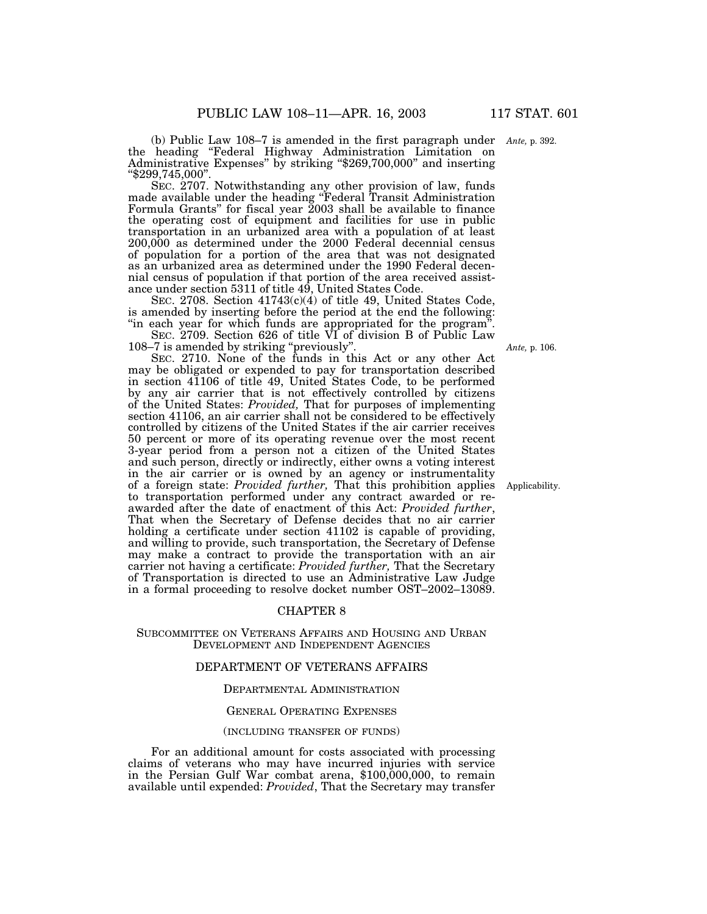(b) Public Law 108–7 is amended in the first paragraph under *Ante,* p. 392. the heading ''Federal Highway Administration Limitation on Administrative Expenses'' by striking ''\$269,700,000'' and inserting "\$299,745,000".

SEC. 2707. Notwithstanding any other provision of law, funds made available under the heading ''Federal Transit Administration Formula Grants" for fiscal year  $2003$  shall be available to finance the operating cost of equipment and facilities for use in public transportation in an urbanized area with a population of at least 200,000 as determined under the 2000 Federal decennial census of population for a portion of the area that was not designated as an urbanized area as determined under the 1990 Federal decennial census of population if that portion of the area received assistance under section 5311 of title 49, United States Code.

SEC. 2708. Section 41743(c)(4) of title 49, United States Code, is amended by inserting before the period at the end the following: "in each year for which funds are appropriated for the program".

SEC. 2709. Section 626 of title VI of division B of Public Law 108–7 is amended by striking "previously".

SEC. 2710. None of the funds in this Act or any other Act may be obligated or expended to pay for transportation described in section 41106 of title 49, United States Code, to be performed by any air carrier that is not effectively controlled by citizens of the United States: *Provided,* That for purposes of implementing section 41106, an air carrier shall not be considered to be effectively controlled by citizens of the United States if the air carrier receives 50 percent or more of its operating revenue over the most recent 3-year period from a person not a citizen of the United States and such person, directly or indirectly, either owns a voting interest in the air carrier or is owned by an agency or instrumentality of a foreign state: *Provided further,* That this prohibition applies to transportation performed under any contract awarded or reawarded after the date of enactment of this Act: *Provided further*, That when the Secretary of Defense decides that no air carrier holding a certificate under section 41102 is capable of providing, and willing to provide, such transportation, the Secretary of Defense may make a contract to provide the transportation with an air carrier not having a certificate: *Provided further,* That the Secretary of Transportation is directed to use an Administrative Law Judge in a formal proceeding to resolve docket number OST–2002–13089.

### CHAPTER 8

### SUBCOMMITTEE ON VETERANS AFFAIRS AND HOUSING AND URBAN DEVELOPMENT AND INDEPENDENT AGENCIES

### DEPARTMENT OF VETERANS AFFAIRS

#### DEPARTMENTAL ADMINISTRATION

### GENERAL OPERATING EXPENSES

#### (INCLUDING TRANSFER OF FUNDS)

For an additional amount for costs associated with processing claims of veterans who may have incurred injuries with service in the Persian Gulf War combat arena, \$100,000,000, to remain available until expended: *Provided*, That the Secretary may transfer

*Ante,* p. 106.

Applicability.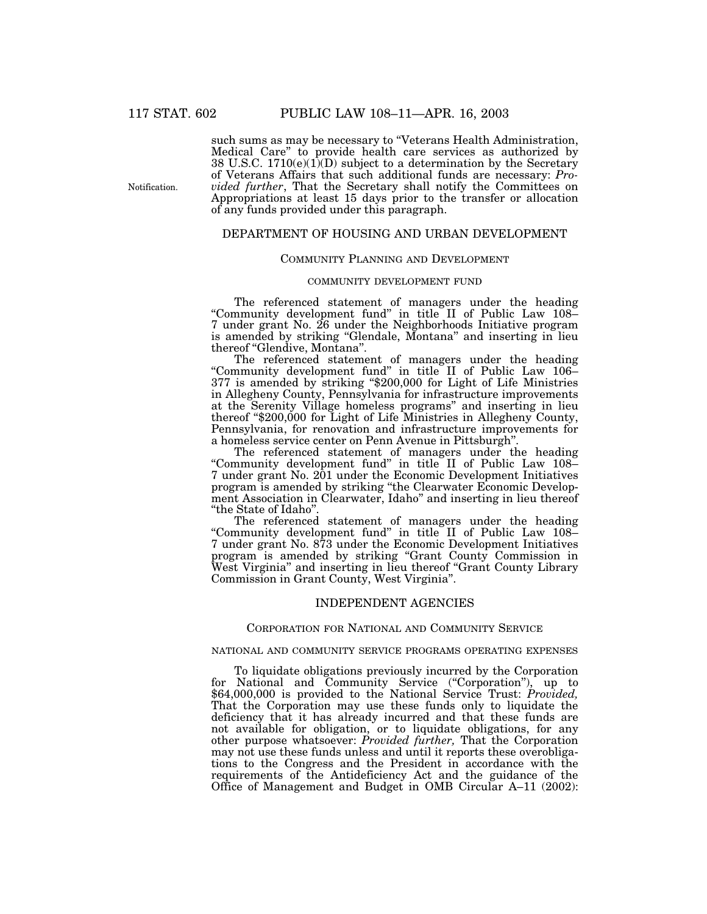Notification.

such sums as may be necessary to "Veterans Health Administration, Medical Care'' to provide health care services as authorized by 38 U.S.C.  $1710(e)(1)$  subject to a determination by the Secretary of Veterans Affairs that such additional funds are necessary: *Provided further*, That the Secretary shall notify the Committees on Appropriations at least 15 days prior to the transfer or allocation of any funds provided under this paragraph.

## DEPARTMENT OF HOUSING AND URBAN DEVELOPMENT

## COMMUNITY PLANNING AND DEVELOPMENT

### COMMUNITY DEVELOPMENT FUND

The referenced statement of managers under the heading "Community development fund" in title II of Public Law 108– 7 under grant No. 26 under the Neighborhoods Initiative program is amended by striking "Glendale, Montana" and inserting in lieu thereof ''Glendive, Montana''.

The referenced statement of managers under the heading ''Community development fund'' in title II of Public Law 106– 377 is amended by striking ''\$200,000 for Light of Life Ministries in Allegheny County, Pennsylvania for infrastructure improvements at the Serenity Village homeless programs'' and inserting in lieu thereof "\$200,000 for Light of Life Ministries in Allegheny County, Pennsylvania, for renovation and infrastructure improvements for a homeless service center on Penn Avenue in Pittsburgh''.

The referenced statement of managers under the heading ''Community development fund'' in title II of Public Law 108– 7 under grant No. 201 under the Economic Development Initiatives program is amended by striking ''the Clearwater Economic Development Association in Clearwater, Idaho'' and inserting in lieu thereof ''the State of Idaho''.

The referenced statement of managers under the heading ''Community development fund'' in title II of Public Law 108– 7 under grant No. 873 under the Economic Development Initiatives program is amended by striking ''Grant County Commission in West Virginia'' and inserting in lieu thereof ''Grant County Library Commission in Grant County, West Virginia''.

### INDEPENDENT AGENCIES

### CORPORATION FOR NATIONAL AND COMMUNITY SERVICE

### NATIONAL AND COMMUNITY SERVICE PROGRAMS OPERATING EXPENSES

To liquidate obligations previously incurred by the Corporation for National and Community Service ("Corporation"), up to \$64,000,000 is provided to the National Service Trust: *Provided,* That the Corporation may use these funds only to liquidate the deficiency that it has already incurred and that these funds are not available for obligation, or to liquidate obligations, for any other purpose whatsoever: Provided further, That the Corporation may not use these funds unless and until it reports these overobligations to the Congress and the President in accordance with the requirements of the Antideficiency Act and the guidance of the Office of Management and Budget in OMB Circular A–11 (2002):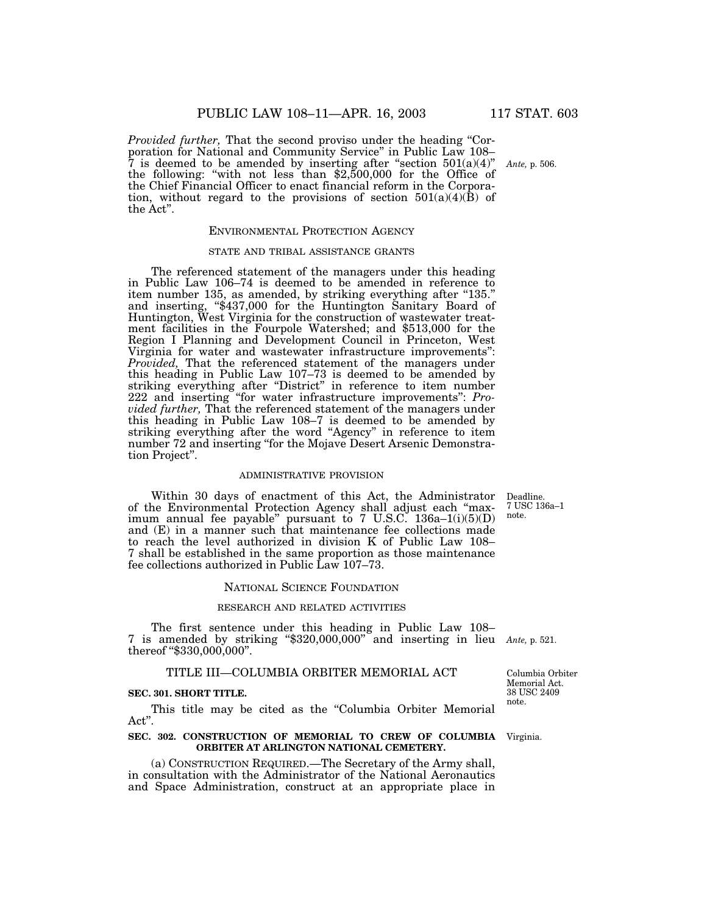*Provided further*, That the second proviso under the heading "Corporation for National and Community Service'' in Public Law 108–  $7$  is deemed to be amended by inserting after "section  $501(a)(4)$ " the following: ''with not less than \$2,500,000 for the Office of the Chief Financial Officer to enact financial reform in the Corporation, without regard to the provisions of section  $501(a)(4)(B)$  of the Act''.

### ENVIRONMENTAL PROTECTION AGENCY

#### STATE AND TRIBAL ASSISTANCE GRANTS

The referenced statement of the managers under this heading in Public Law 106–74 is deemed to be amended in reference to item number 135, as amended, by striking everything after "135." and inserting, ''\$437,000 for the Huntington Sanitary Board of Huntington, West Virginia for the construction of wastewater treatment facilities in the Fourpole Watershed; and \$513,000 for the Region I Planning and Development Council in Princeton, West Virginia for water and wastewater infrastructure improvements'': *Provided,* That the referenced statement of the managers under this heading in Public Law 107–73 is deemed to be amended by striking everything after "District" in reference to item number 222 and inserting ''for water infrastructure improvements'': *Provided further,* That the referenced statement of the managers under this heading in Public Law 108–7 is deemed to be amended by striking everything after the word ''Agency'' in reference to item number 72 and inserting ''for the Mojave Desert Arsenic Demonstration Project''.

### ADMINISTRATIVE PROVISION

Within 30 days of enactment of this Act, the Administrator of the Environmental Protection Agency shall adjust each ''maximum annual fee payable'' pursuant to 7 U.S.C. 136a–1(i)(5)(D) and (E) in a manner such that maintenance fee collections made to reach the level authorized in division K of Public Law 108– 7 shall be established in the same proportion as those maintenance fee collections authorized in Public Law 107–73.

#### NATIONAL SCIENCE FOUNDATION

## RESEARCH AND RELATED ACTIVITIES

The first sentence under this heading in Public Law 108– 7 is amended by striking ''\$320,000,000'' and inserting in lieu *Ante,* p. 521. thereof "\$330,000,000".

### TITLE III—COLUMBIA ORBITER MEMORIAL ACT

#### **SEC. 301. SHORT TITLE.**

This title may be cited as the "Columbia Orbiter Memorial" Act''.

#### **SEC. 302. CONSTRUCTION OF MEMORIAL TO CREW OF COLUMBIA** Virginia. **ORBITER AT ARLINGTON NATIONAL CEMETERY.**

(a) CONSTRUCTION REQUIRED.—The Secretary of the Army shall, in consultation with the Administrator of the National Aeronautics and Space Administration, construct at an appropriate place in

Deadline. 7 USC 136a–1 note.

Columbia Orbiter Memorial Act. 38 USC 2409 note.

*Ante,* p. 506.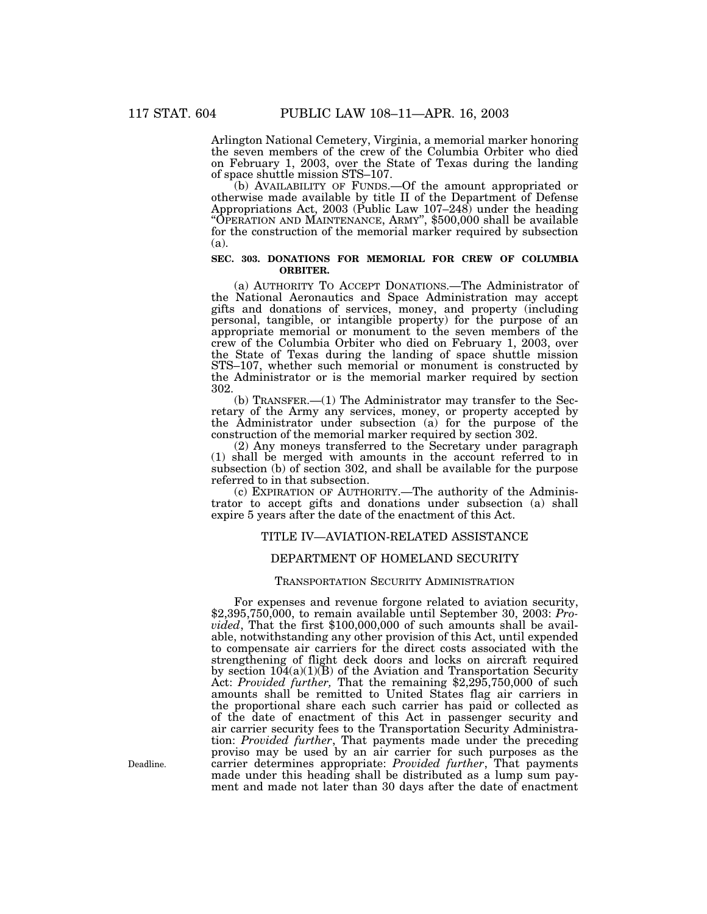Arlington National Cemetery, Virginia, a memorial marker honoring the seven members of the crew of the Columbia Orbiter who died on February 1, 2003, over the State of Texas during the landing of space shuttle mission STS–107.

(b) AVAILABILITY OF FUNDS.—Of the amount appropriated or otherwise made available by title II of the Department of Defense Appropriations Act, 2003 (Public Law 107–248) under the heading "OPERATION AND MAINTENANCE, ARMY", \$500,000 shall be available for the construction of the memorial marker required by subsection (a).

### **SEC. 303. DONATIONS FOR MEMORIAL FOR CREW OF COLUMBIA ORBITER.**

(a) AUTHORITY TO ACCEPT DONATIONS.—The Administrator of the National Aeronautics and Space Administration may accept gifts and donations of services, money, and property (including personal, tangible, or intangible property) for the purpose of an appropriate memorial or monument to the seven members of the crew of the Columbia Orbiter who died on February 1, 2003, over the State of Texas during the landing of space shuttle mission STS–107, whether such memorial or monument is constructed by the Administrator or is the memorial marker required by section 302.

(b) TRANSFER.—(1) The Administrator may transfer to the Secretary of the Army any services, money, or property accepted by the Administrator under subsection (a) for the purpose of the construction of the memorial marker required by section 302.

(2) Any moneys transferred to the Secretary under paragraph (1) shall be merged with amounts in the account referred to in subsection (b) of section 302, and shall be available for the purpose referred to in that subsection.

(c) EXPIRATION OF AUTHORITY.—The authority of the Administrator to accept gifts and donations under subsection (a) shall expire 5 years after the date of the enactment of this Act.

## TITLE IV—AVIATION-RELATED ASSISTANCE

## DEPARTMENT OF HOMELAND SECURITY

### TRANSPORTATION SECURITY ADMINISTRATION

For expenses and revenue forgone related to aviation security, \$2,395,750,000, to remain available until September 30, 2003: *Provided*, That the first \$100,000,000 of such amounts shall be available, notwithstanding any other provision of this Act, until expended to compensate air carriers for the direct costs associated with the strengthening of flight deck doors and locks on aircraft required by section 104(a)(1)(B) of the Aviation and Transportation Security Act: *Provided further,* That the remaining \$2,295,750,000 of such amounts shall be remitted to United States flag air carriers in the proportional share each such carrier has paid or collected as of the date of enactment of this Act in passenger security and air carrier security fees to the Transportation Security Administration: *Provided further*, That payments made under the preceding proviso may be used by an air carrier for such purposes as the carrier determines appropriate: *Provided further*, That payments made under this heading shall be distributed as a lump sum payment and made not later than 30 days after the date of enactment

Deadline.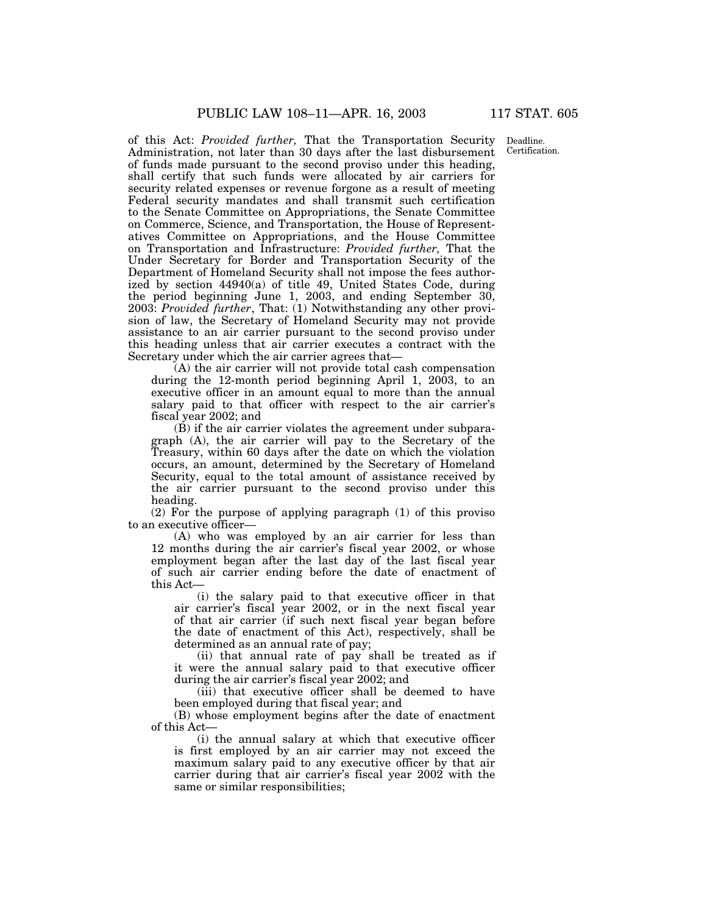of this Act: *Provided further,* That the Transportation Security Administration, not later than 30 days after the last disbursement of funds made pursuant to the second proviso under this heading, shall certify that such funds were allocated by air carriers for security related expenses or revenue forgone as a result of meeting Federal security mandates and shall transmit such certification to the Senate Committee on Appropriations, the Senate Committee on Commerce, Science, and Transportation, the House of Representatives Committee on Appropriations, and the House Committee on Transportation and Infrastructure: *Provided further,* That the Under Secretary for Border and Transportation Security of the Department of Homeland Security shall not impose the fees authorized by section 44940(a) of title 49, United States Code, during the period beginning June 1, 2003, and ending September 30, 2003: *Provided further*, That: (1) Notwithstanding any other provision of law, the Secretary of Homeland Security may not provide assistance to an air carrier pursuant to the second proviso under this heading unless that air carrier executes a contract with the Secretary under which the air carrier agrees that—

(A) the air carrier will not provide total cash compensation during the 12-month period beginning April 1, 2003, to an executive officer in an amount equal to more than the annual salary paid to that officer with respect to the air carrier's fiscal year 2002; and

(B) if the air carrier violates the agreement under subparagraph (A), the air carrier will pay to the Secretary of the Treasury, within 60 days after the date on which the violation occurs, an amount, determined by the Secretary of Homeland Security, equal to the total amount of assistance received by the air carrier pursuant to the second proviso under this heading.

(2) For the purpose of applying paragraph (1) of this proviso to an executive officer—

(A) who was employed by an air carrier for less than 12 months during the air carrier's fiscal year 2002, or whose employment began after the last day of the last fiscal year of such air carrier ending before the date of enactment of this Act—

(i) the salary paid to that executive officer in that air carrier's fiscal year 2002, or in the next fiscal year of that air carrier (if such next fiscal year began before the date of enactment of this Act), respectively, shall be determined as an annual rate of pay;

(ii) that annual rate of pay shall be treated as if it were the annual salary paid to that executive officer during the air carrier's fiscal year 2002; and

(iii) that executive officer shall be deemed to have been employed during that fiscal year; and

(B) whose employment begins after the date of enactment of this Act—

(i) the annual salary at which that executive officer is first employed by an air carrier may not exceed the maximum salary paid to any executive officer by that air carrier during that air carrier's fiscal year 2002 with the same or similar responsibilities;

Deadline. Certification.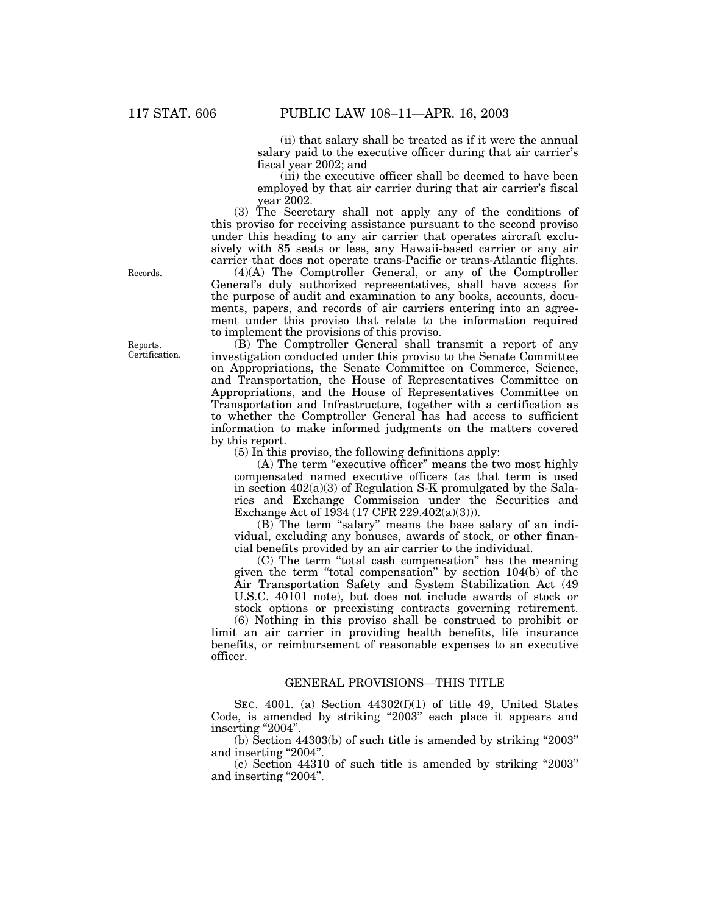(ii) that salary shall be treated as if it were the annual salary paid to the executive officer during that air carrier's fiscal year 2002; and

(iii) the executive officer shall be deemed to have been employed by that air carrier during that air carrier's fiscal year 2002.

(3) The Secretary shall not apply any of the conditions of this proviso for receiving assistance pursuant to the second proviso under this heading to any air carrier that operates aircraft exclusively with 85 seats or less, any Hawaii-based carrier or any air carrier that does not operate trans-Pacific or trans-Atlantic flights.

(4)(A) The Comptroller General, or any of the Comptroller General's duly authorized representatives, shall have access for the purpose of audit and examination to any books, accounts, documents, papers, and records of air carriers entering into an agreement under this proviso that relate to the information required to implement the provisions of this proviso.

(B) The Comptroller General shall transmit a report of any investigation conducted under this proviso to the Senate Committee on Appropriations, the Senate Committee on Commerce, Science, and Transportation, the House of Representatives Committee on Appropriations, and the House of Representatives Committee on Transportation and Infrastructure, together with a certification as to whether the Comptroller General has had access to sufficient information to make informed judgments on the matters covered by this report.

(5) In this proviso, the following definitions apply:

(A) The term "executive officer" means the two most highly compensated named executive officers (as that term is used in section 402(a)(3) of Regulation S-K promulgated by the Salaries and Exchange Commission under the Securities and Exchange Act of 1934 (17 CFR 229.402(a)(3))).

(B) The term "salary" means the base salary of an individual, excluding any bonuses, awards of stock, or other financial benefits provided by an air carrier to the individual.

(C) The term ''total cash compensation'' has the meaning given the term ''total compensation'' by section 104(b) of the Air Transportation Safety and System Stabilization Act (49 U.S.C. 40101 note), but does not include awards of stock or stock options or preexisting contracts governing retirement.

(6) Nothing in this proviso shall be construed to prohibit or limit an air carrier in providing health benefits, life insurance benefits, or reimbursement of reasonable expenses to an executive officer.

### GENERAL PROVISIONS—THIS TITLE

SEC. 4001. (a) Section 44302(f)(1) of title 49, United States Code, is amended by striking "2003" each place it appears and inserting "2004".

(b) Section 44303(b) of such title is amended by striking ''2003'' and inserting "2004".

(c) Section 44310 of such title is amended by striking ''2003'' and inserting "2004".

Records.

Reports. Certification.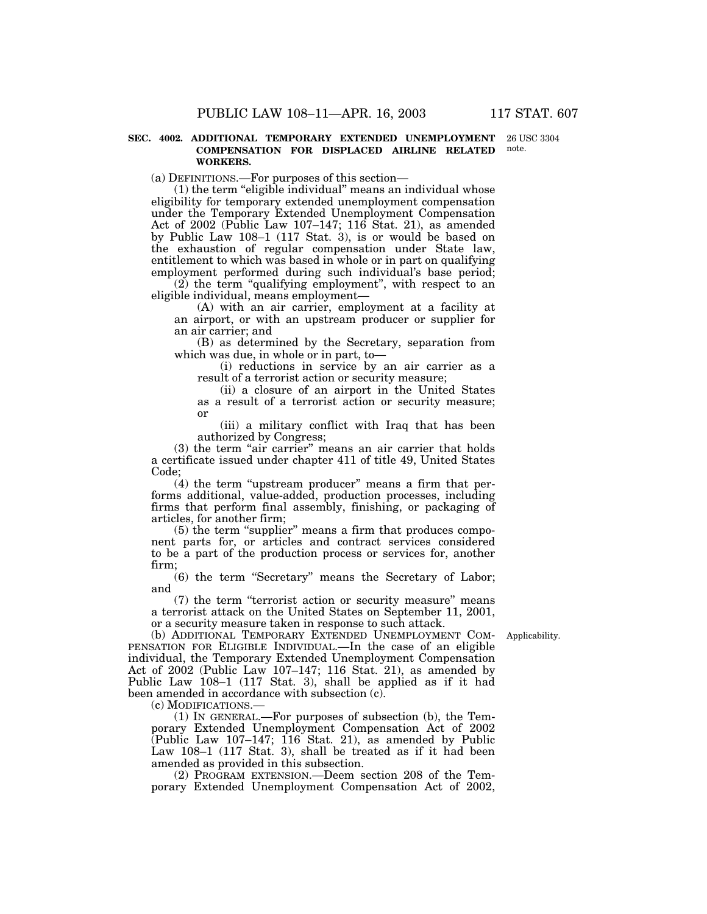#### **SEC. 4002. ADDITIONAL TEMPORARY EXTENDED UNEMPLOYMENT** 26 USC 3304 **COMPENSATION FOR DISPLACED AIRLINE RELATED WORKERS.** note.

(a) DEFINITIONS.—For purposes of this section—

(1) the term ''eligible individual'' means an individual whose eligibility for temporary extended unemployment compensation under the Temporary Extended Unemployment Compensation Act of 2002 (Public Law 107–147; 116 Stat. 21), as amended by Public Law 108–1 (117 Stat. 3), is or would be based on the exhaustion of regular compensation under State law, entitlement to which was based in whole or in part on qualifying employment performed during such individual's base period;

(2) the term ''qualifying employment'', with respect to an eligible individual, means employment—

(A) with an air carrier, employment at a facility at an airport, or with an upstream producer or supplier for an air carrier; and

(B) as determined by the Secretary, separation from which was due, in whole or in part, to—

(i) reductions in service by an air carrier as a result of a terrorist action or security measure;

(ii) a closure of an airport in the United States as a result of a terrorist action or security measure; or

(iii) a military conflict with Iraq that has been authorized by Congress;

(3) the term "air carrier" means an air carrier that holds a certificate issued under chapter 411 of title 49, United States Code;

 $(4)$  the term "upstream producer" means a firm that performs additional, value-added, production processes, including firms that perform final assembly, finishing, or packaging of articles, for another firm;

(5) the term ''supplier'' means a firm that produces component parts for, or articles and contract services considered to be a part of the production process or services for, another firm;

(6) the term ''Secretary'' means the Secretary of Labor; and

(7) the term ''terrorist action or security measure'' means a terrorist attack on the United States on September 11, 2001, or a security measure taken in response to such attack.

(b) ADDITIONAL TEMPORARY EXTENDED UNEMPLOYMENT COM-Applicability. PENSATION FOR ELIGIBLE INDIVIDUAL.—In the case of an eligible individual, the Temporary Extended Unemployment Compensation Act of 2002 (Public Law 107–147; 116 Stat. 21), as amended by Public Law 108–1 (117 Stat. 3), shall be applied as if it had been amended in accordance with subsection (c).

(c) MODIFICATIONS.—

(1) IN GENERAL.—For purposes of subsection (b), the Temporary Extended Unemployment Compensation Act of 2002 (Public Law 107–147; 116 Stat. 21), as amended by Public Law 108–1 (117 Stat. 3), shall be treated as if it had been amended as provided in this subsection.

(2) PROGRAM EXTENSION.—Deem section 208 of the Temporary Extended Unemployment Compensation Act of 2002,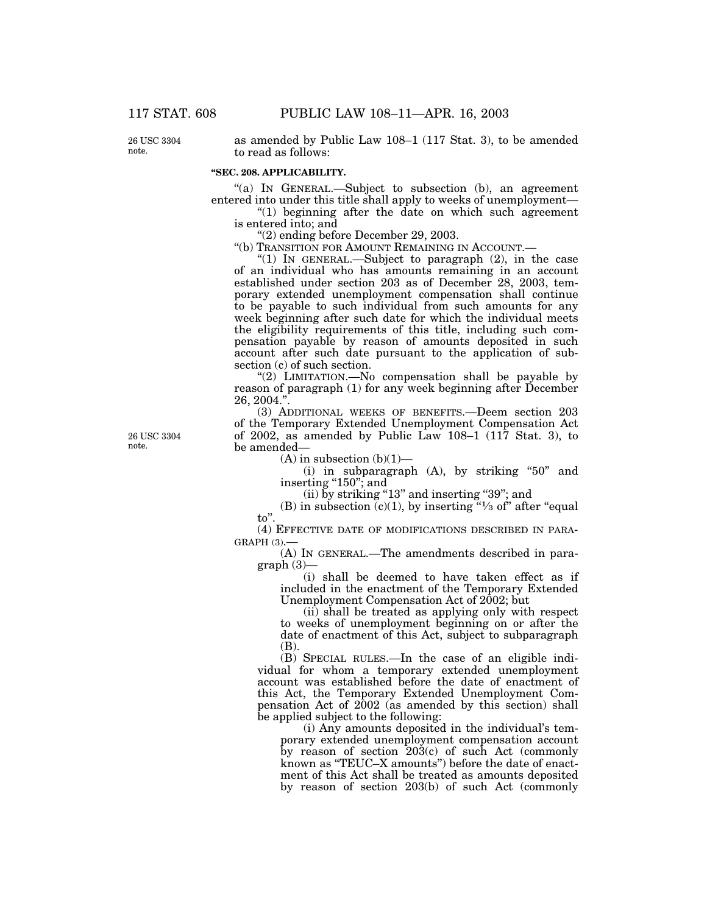26 USC 3304 note.

as amended by Public Law 108–1 (117 Stat. 3), to be amended to read as follows:

## **''SEC. 208. APPLICABILITY.**

''(a) IN GENERAL.—Subject to subsection (b), an agreement entered into under this title shall apply to weeks of unemployment—

"(1) beginning after the date on which such agreement is entered into; and

''(2) ending before December 29, 2003.

''(b) TRANSITION FOR AMOUNT REMAINING IN ACCOUNT.—

''(1) IN GENERAL.—Subject to paragraph (2), in the case of an individual who has amounts remaining in an account established under section 203 as of December 28, 2003, temporary extended unemployment compensation shall continue to be payable to such individual from such amounts for any week beginning after such date for which the individual meets the eligibility requirements of this title, including such compensation payable by reason of amounts deposited in such account after such date pursuant to the application of subsection (c) of such section.

"(2) LIMITATION.—No compensation shall be payable by reason of paragraph (1) for any week beginning after December 26, 2004.''.

(3) ADDITIONAL WEEKS OF BENEFITS.—Deem section 203 of the Temporary Extended Unemployment Compensation Act of 2002, as amended by Public Law 108–1 (117 Stat. 3), to be amended—

 $(A)$  in subsection  $(b)(1)$ —

(i) in subparagraph  $(A)$ , by striking "50" and inserting "150"; and

(ii) by striking "13" and inserting "39"; and

(B) in subsection  $(c)(1)$ , by inserting "<sup>1</sup>/<sub>3</sub> of" after "equal to''.

(4) EFFECTIVE DATE OF MODIFICATIONS DESCRIBED IN PARA- $GRAPH(3)$ .

(A) IN GENERAL.—The amendments described in paragraph (3)—

(i) shall be deemed to have taken effect as if included in the enactment of the Temporary Extended Unemployment Compensation Act of 2002; but

(ii) shall be treated as applying only with respect to weeks of unemployment beginning on or after the date of enactment of this Act, subject to subparagraph (B).

(B) SPECIAL RULES.—In the case of an eligible individual for whom a temporary extended unemployment account was established before the date of enactment of this Act, the Temporary Extended Unemployment Compensation Act of 2002 (as amended by this section) shall be applied subject to the following:

(i) Any amounts deposited in the individual's temporary extended unemployment compensation account by reason of section 203(c) of such Act (commonly known as "TEUC–X amounts") before the date of enactment of this Act shall be treated as amounts deposited by reason of section 203(b) of such Act (commonly

26 USC 3304 note.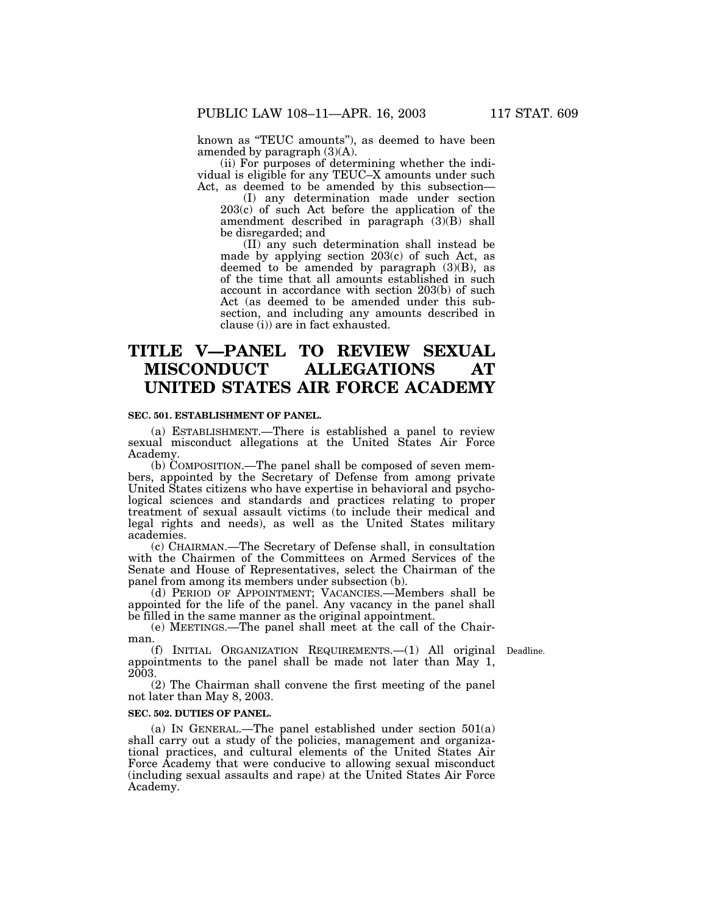known as ''TEUC amounts''), as deemed to have been amended by paragraph (3)(A).

(ii) For purposes of determining whether the individual is eligible for any TEUC–X amounts under such Act, as deemed to be amended by this subsection—

(I) any determination made under section 203(c) of such Act before the application of the amendment described in paragraph (3)(B) shall be disregarded; and

(II) any such determination shall instead be made by applying section 203(c) of such Act, as deemed to be amended by paragraph  $(3)(B)$ , as of the time that all amounts established in such account in accordance with section 203(b) of such Act (as deemed to be amended under this subsection, and including any amounts described in clause (i)) are in fact exhausted.

# **TITLE V—PANEL TO REVIEW SEXUAL MISCONDUCT ALLEGATIONS AT UNITED STATES AIR FORCE ACADEMY**

## **SEC. 501. ESTABLISHMENT OF PANEL.**

(a) ESTABLISHMENT.—There is established a panel to review sexual misconduct allegations at the United States Air Force Academy.

(b) COMPOSITION.—The panel shall be composed of seven members, appointed by the Secretary of Defense from among private United States citizens who have expertise in behavioral and psychological sciences and standards and practices relating to proper treatment of sexual assault victims (to include their medical and legal rights and needs), as well as the United States military academies.

(c) CHAIRMAN.—The Secretary of Defense shall, in consultation with the Chairmen of the Committees on Armed Services of the Senate and House of Representatives, select the Chairman of the panel from among its members under subsection (b).

(d) PERIOD OF APPOINTMENT; VACANCIES.—Members shall be appointed for the life of the panel. Any vacancy in the panel shall be filled in the same manner as the original appointment.

(e) MEETINGS.—The panel shall meet at the call of the Chairman.

(f) INITIAL ORGANIZATION REQUIREMENTS.—(1) All original Deadline. appointments to the panel shall be made not later than May 1, 2003.

(2) The Chairman shall convene the first meeting of the panel not later than May 8, 2003.

### **SEC. 502. DUTIES OF PANEL.**

(a) IN GENERAL.—The panel established under section 501(a) shall carry out a study of the policies, management and organizational practices, and cultural elements of the United States Air Force Academy that were conducive to allowing sexual misconduct (including sexual assaults and rape) at the United States Air Force Academy.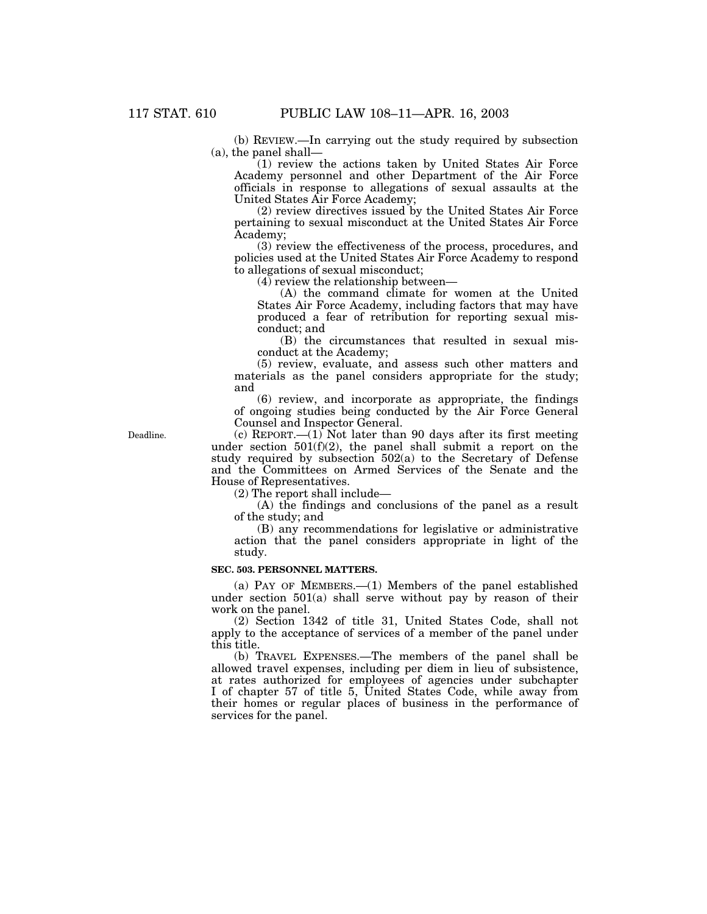(b) REVIEW.—In carrying out the study required by subsection (a), the panel shall—

(1) review the actions taken by United States Air Force Academy personnel and other Department of the Air Force officials in response to allegations of sexual assaults at the United States Air Force Academy;

(2) review directives issued by the United States Air Force pertaining to sexual misconduct at the United States Air Force Academy;

(3) review the effectiveness of the process, procedures, and policies used at the United States Air Force Academy to respond to allegations of sexual misconduct;

(4) review the relationship between—

(A) the command climate for women at the United States Air Force Academy, including factors that may have produced a fear of retribution for reporting sexual misconduct; and

(B) the circumstances that resulted in sexual misconduct at the Academy;

(5) review, evaluate, and assess such other matters and materials as the panel considers appropriate for the study; and

(6) review, and incorporate as appropriate, the findings of ongoing studies being conducted by the Air Force General Counsel and Inspector General.

Deadline.

(c) REPORT.—(1) Not later than 90 days after its first meeting under section  $501(f)(2)$ , the panel shall submit a report on the study required by subsection 502(a) to the Secretary of Defense and the Committees on Armed Services of the Senate and the House of Representatives.

(2) The report shall include—

(A) the findings and conclusions of the panel as a result of the study; and

(B) any recommendations for legislative or administrative action that the panel considers appropriate in light of the study.

### **SEC. 503. PERSONNEL MATTERS.**

(a) PAY OF MEMBERS.—(1) Members of the panel established under section  $501(a)$  shall serve without pay by reason of their work on the panel.

(2) Section 1342 of title 31, United States Code, shall not apply to the acceptance of services of a member of the panel under this title.

(b) TRAVEL EXPENSES.—The members of the panel shall be allowed travel expenses, including per diem in lieu of subsistence, at rates authorized for employees of agencies under subchapter I of chapter 57 of title 5, United States Code, while away from their homes or regular places of business in the performance of services for the panel.